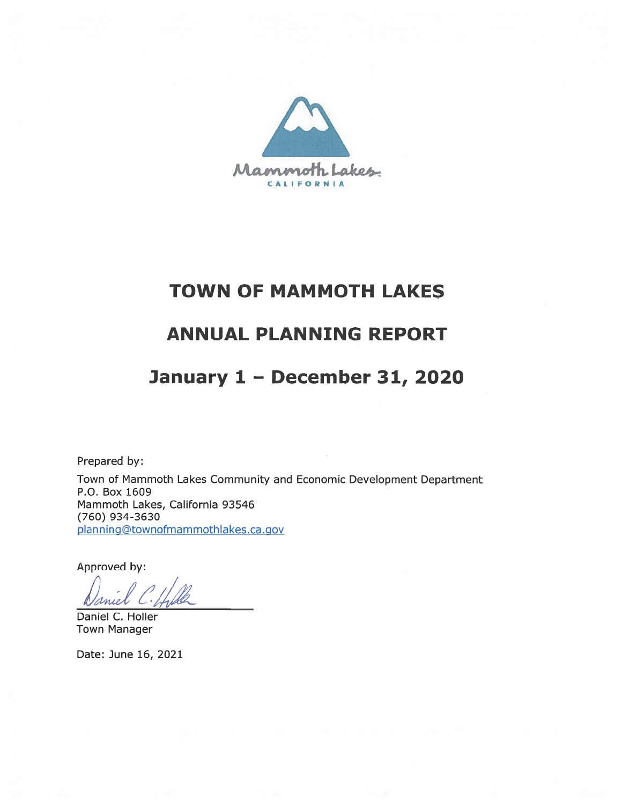

# **TOWN OF MAMMOTH LAKES**

# **ANNUAL PLANNING REPORT**

# January 1 - December 31, 2020

Prepared by:

Town of Mammoth Lakes Community and Economic Development Department P.O. Box 1609 Mammoth Lakes, California 93546 (760) 934-3630 planning@townofmammothlakes.ca.gov

Approved by:

Daniel C. Holler **Town Manager** 

Date: June 16, 2021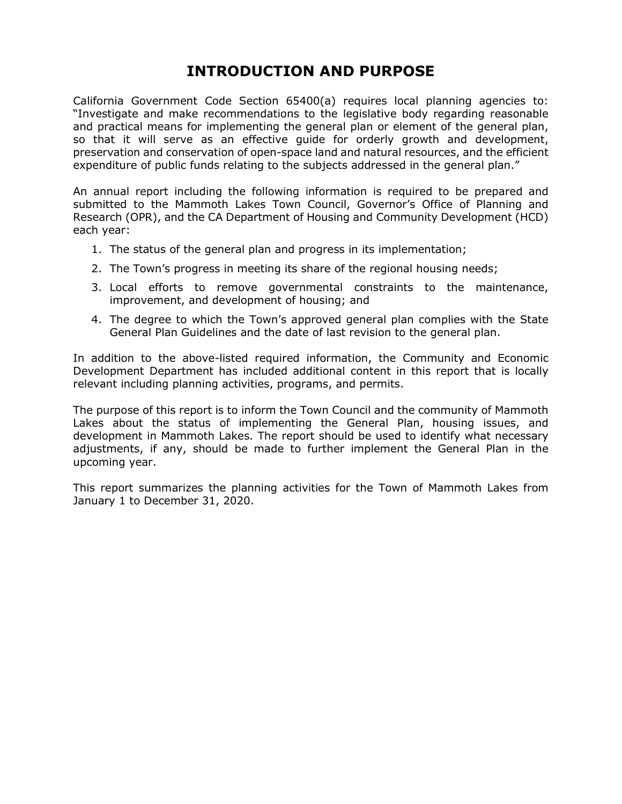### **INTRODUCTION AND PURPOSE**

California Government Code Section 65400(a) requires local planning agencies to: "Investigate and make recommendations to the legislative body regarding reasonable and practical means for implementing the general plan or element of the general plan, so that it will serve as an effective guide for orderly growth and development, preservation and conservation of open-space land and natural resources, and the efficient expenditure of public funds relating to the subjects addressed in the general plan."

An annual report including the following information is required to be prepared and submitted to the Mammoth Lakes Town Council, Governor's Office of Planning and Research (OPR), and the CA Department of Housing and Community Development (HCD) each year:

- 1. The status of the general plan and progress in its implementation;
- 2. The Town's progress in meeting its share of the regional housing needs;
- 3. Local efforts to remove governmental constraints to the maintenance, improvement, and development of housing; and
- 4. The degree to which the Town's approved general plan complies with the State General Plan Guidelines and the date of last revision to the general plan.

In addition to the above-listed required information, the Community and Economic Development Department has included additional content in this report that is locally relevant including planning activities, programs, and permits.

The purpose of this report is to inform the Town Council and the community of Mammoth Lakes about the status of implementing the General Plan, housing issues, and development in Mammoth Lakes. The report should be used to identify what necessary adjustments, if any, should be made to further implement the General Plan in the upcoming year.

This report summarizes the planning activities for the Town of Mammoth Lakes from January 1 to December 31, 2020.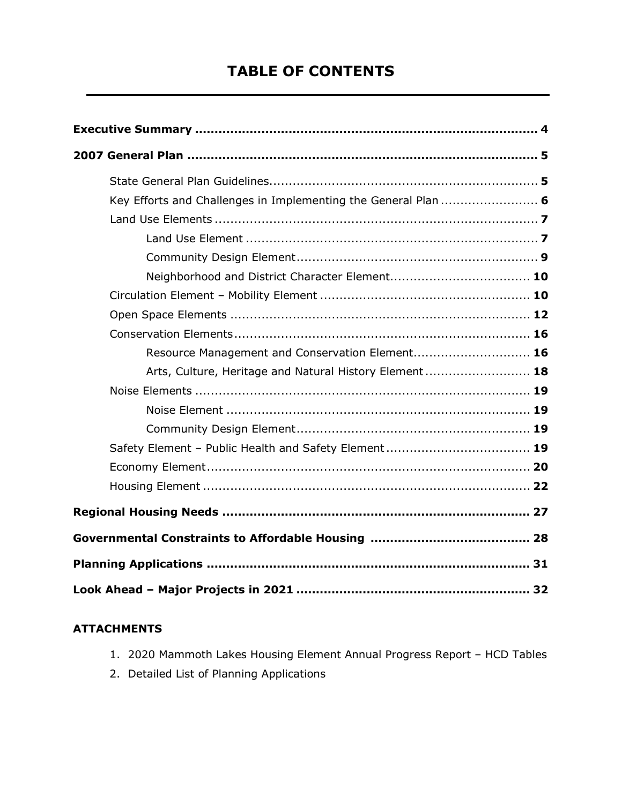### **TABLE OF CONTENTS**

| Key Efforts and Challenges in Implementing the General Plan  6 |  |
|----------------------------------------------------------------|--|
|                                                                |  |
|                                                                |  |
|                                                                |  |
|                                                                |  |
|                                                                |  |
|                                                                |  |
|                                                                |  |
| Resource Management and Conservation Element 16                |  |
| Arts, Culture, Heritage and Natural History Element 18         |  |
|                                                                |  |
|                                                                |  |
|                                                                |  |
|                                                                |  |
|                                                                |  |
|                                                                |  |
|                                                                |  |
|                                                                |  |
|                                                                |  |
|                                                                |  |

#### **ATTACHMENTS**

- 1. 2020 Mammoth Lakes Housing Element Annual Progress Report HCD Tables
- 2. Detailed List of Planning Applications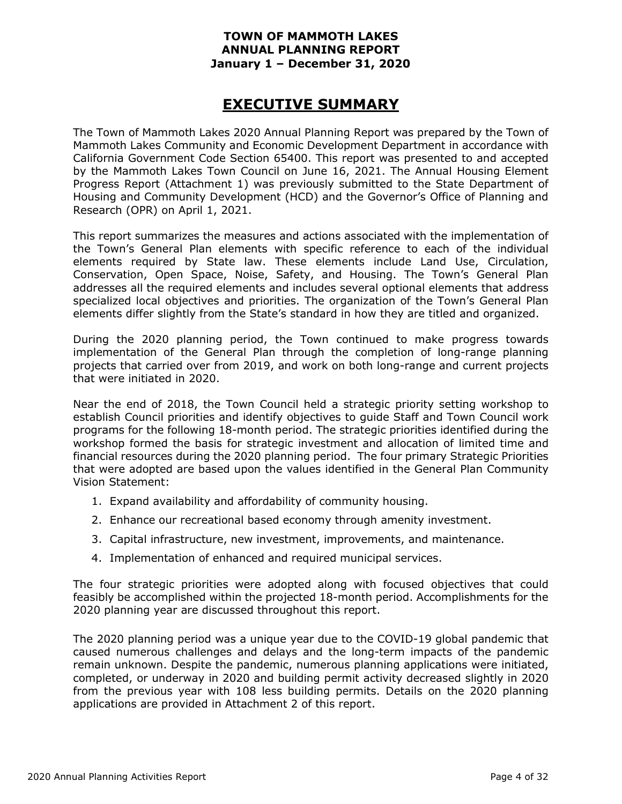### **EXECUTIVE SUMMARY**

The Town of Mammoth Lakes 2020 Annual Planning Report was prepared by the Town of Mammoth Lakes Community and Economic Development Department in accordance with California Government Code Section 65400. This report was presented to and accepted by the Mammoth Lakes Town Council on June 16, 2021. The Annual Housing Element Progress Report (Attachment 1) was previously submitted to the State Department of Housing and Community Development (HCD) and the Governor's Office of Planning and Research (OPR) on April 1, 2021.

This report summarizes the measures and actions associated with the implementation of the Town's General Plan elements with specific reference to each of the individual elements required by State law. These elements include Land Use, Circulation, Conservation, Open Space, Noise, Safety, and Housing. The Town's General Plan addresses all the required elements and includes several optional elements that address specialized local objectives and priorities. The organization of the Town's General Plan elements differ slightly from the State's standard in how they are titled and organized.

During the 2020 planning period, the Town continued to make progress towards implementation of the General Plan through the completion of long-range planning projects that carried over from 2019, and work on both long-range and current projects that were initiated in 2020.

Near the end of 2018, the Town Council held a strategic priority setting workshop to establish Council priorities and identify objectives to guide Staff and Town Council work programs for the following 18-month period. The strategic priorities identified during the workshop formed the basis for strategic investment and allocation of limited time and financial resources during the 2020 planning period. The four primary Strategic Priorities that were adopted are based upon the values identified in the General Plan Community Vision Statement:

- 1. Expand availability and affordability of community housing.
- 2. Enhance our recreational based economy through amenity investment.
- 3. Capital infrastructure, new investment, improvements, and maintenance.
- 4. Implementation of enhanced and required municipal services.

The four strategic priorities were adopted along with focused objectives that could feasibly be accomplished within the projected 18-month period. Accomplishments for the 2020 planning year are discussed throughout this report.

The 2020 planning period was a unique year due to the COVID-19 global pandemic that caused numerous challenges and delays and the long-term impacts of the pandemic remain unknown. Despite the pandemic, numerous planning applications were initiated, completed, or underway in 2020 and building permit activity decreased slightly in 2020 from the previous year with 108 less building permits. Details on the 2020 planning applications are provided in Attachment 2 of this report.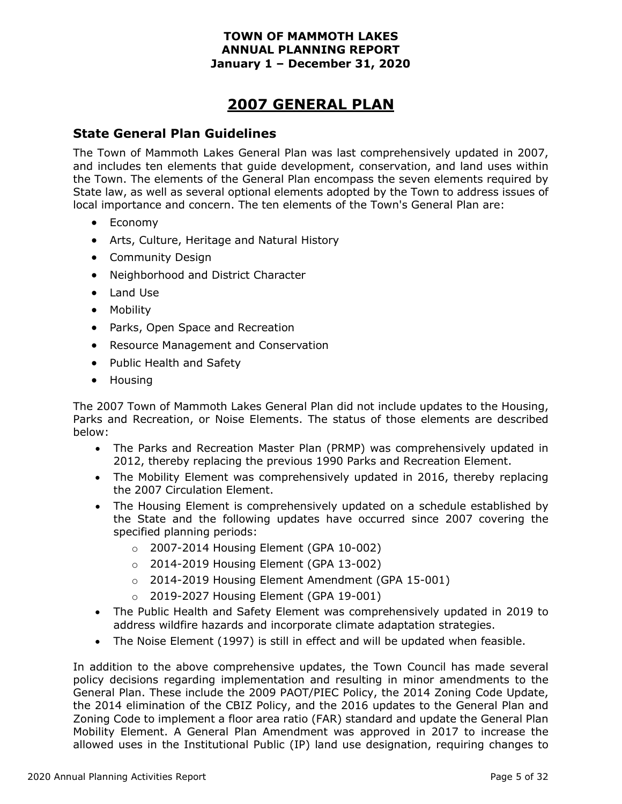### **2007 GENERAL PLAN**

#### **State General Plan Guidelines**

The Town of Mammoth Lakes General Plan was last comprehensively updated in 2007, and includes ten elements that guide development, conservation, and land uses within the Town. The elements of the General Plan encompass the seven elements required by State law, as well as several optional elements adopted by the Town to address issues of local importance and concern. The ten elements of the Town's General Plan are:

- Economy
- Arts, Culture, Heritage and Natural History
- Community Design
- Neighborhood and District Character
- Land Use
- Mobility
- Parks, Open Space and Recreation
- Resource Management and Conservation
- Public Health and Safety
- Housing

The 2007 Town of Mammoth Lakes General Plan did not include updates to the Housing, Parks and Recreation, or Noise Elements. The status of those elements are described below:

- The Parks and Recreation Master Plan (PRMP) was comprehensively updated in 2012, thereby replacing the previous 1990 Parks and Recreation Element.
- The Mobility Element was comprehensively updated in 2016, thereby replacing the 2007 Circulation Element.
- The Housing Element is comprehensively updated on a schedule established by the State and the following updates have occurred since 2007 covering the specified planning periods:
	- o 2007-2014 Housing Element (GPA 10-002)
	- o 2014-2019 Housing Element (GPA 13-002)
	- o 2014-2019 Housing Element Amendment (GPA 15-001)
	- o 2019-2027 Housing Element (GPA 19-001)
- The Public Health and Safety Element was comprehensively updated in 2019 to address wildfire hazards and incorporate climate adaptation strategies.
- The Noise Element (1997) is still in effect and will be updated when feasible.

In addition to the above comprehensive updates, the Town Council has made several policy decisions regarding implementation and resulting in minor amendments to the General Plan. These include the 2009 PAOT/PIEC Policy, the 2014 Zoning Code Update, the 2014 elimination of the CBIZ Policy, and the 2016 updates to the General Plan and Zoning Code to implement a floor area ratio (FAR) standard and update the General Plan Mobility Element. A General Plan Amendment was approved in 2017 to increase the allowed uses in the Institutional Public (IP) land use designation, requiring changes to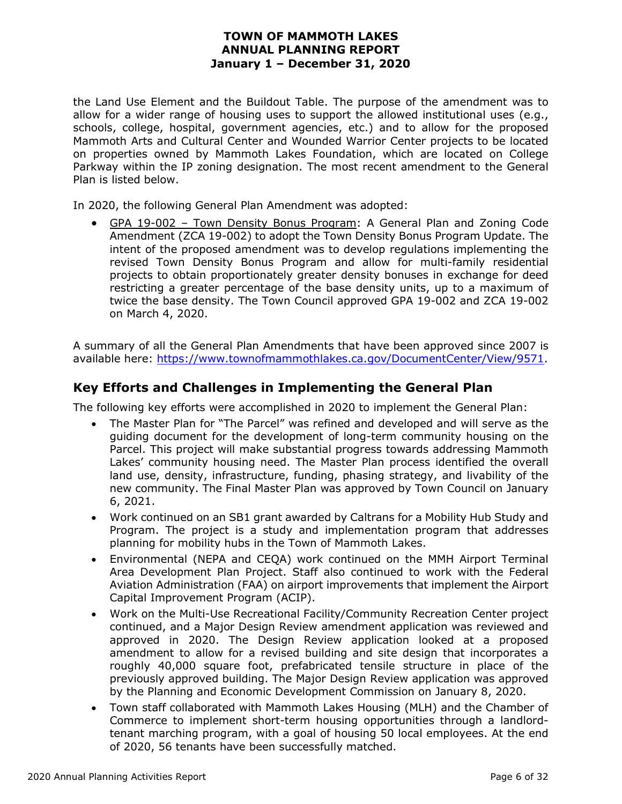the Land Use Element and the Buildout Table. The purpose of the amendment was to allow for a wider range of housing uses to support the allowed institutional uses (e.g., schools, college, hospital, government agencies, etc.) and to allow for the proposed Mammoth Arts and Cultural Center and Wounded Warrior Center projects to be located on properties owned by Mammoth Lakes Foundation, which are located on College Parkway within the IP zoning designation. The most recent amendment to the General Plan is listed below.

In 2020, the following General Plan Amendment was adopted:

• GPA 19-002 - Town Density Bonus Program: A General Plan and Zoning Code Amendment (ZCA 19-002) to adopt the Town Density Bonus Program Update. The intent of the proposed amendment was to develop regulations implementing the revised Town Density Bonus Program and allow for multi-family residential projects to obtain proportionately greater density bonuses in exchange for deed restricting a greater percentage of the base density units, up to a maximum of twice the base density. The Town Council approved GPA 19-002 and ZCA 19-002 on March 4, 2020.

A summary of all the General Plan Amendments that have been approved since 2007 is available here: [https://www.townofmammothlakes.ca.gov/DocumentCenter/View/9571.](https://www.townofmammothlakes.ca.gov/DocumentCenter/View/9571)

#### **Key Efforts and Challenges in Implementing the General Plan**

The following key efforts were accomplished in 2020 to implement the General Plan:

- The Master Plan for "The Parcel" was refined and developed and will serve as the guiding document for the development of long-term community housing on the Parcel. This project will make substantial progress towards addressing Mammoth Lakes' community housing need. The Master Plan process identified the overall land use, density, infrastructure, funding, phasing strategy, and livability of the new community. The Final Master Plan was approved by Town Council on January 6, 2021.
- Work continued on an SB1 grant awarded by Caltrans for a Mobility Hub Study and Program. The project is a study and implementation program that addresses planning for mobility hubs in the Town of Mammoth Lakes.
- Environmental (NEPA and CEQA) work continued on the MMH Airport Terminal Area Development Plan Project. Staff also continued to work with the Federal Aviation Administration (FAA) on airport improvements that implement the Airport Capital Improvement Program (ACIP).
- Work on the Multi-Use Recreational Facility/Community Recreation Center project continued, and a Major Design Review amendment application was reviewed and approved in 2020. The Design Review application looked at a proposed amendment to allow for a revised building and site design that incorporates a roughly 40,000 square foot, prefabricated tensile structure in place of the previously approved building. The Major Design Review application was approved by the Planning and Economic Development Commission on January 8, 2020.
- Town staff collaborated with Mammoth Lakes Housing (MLH) and the Chamber of Commerce to implement short-term housing opportunities through a landlordtenant marching program, with a goal of housing 50 local employees. At the end of 2020, 56 tenants have been successfully matched.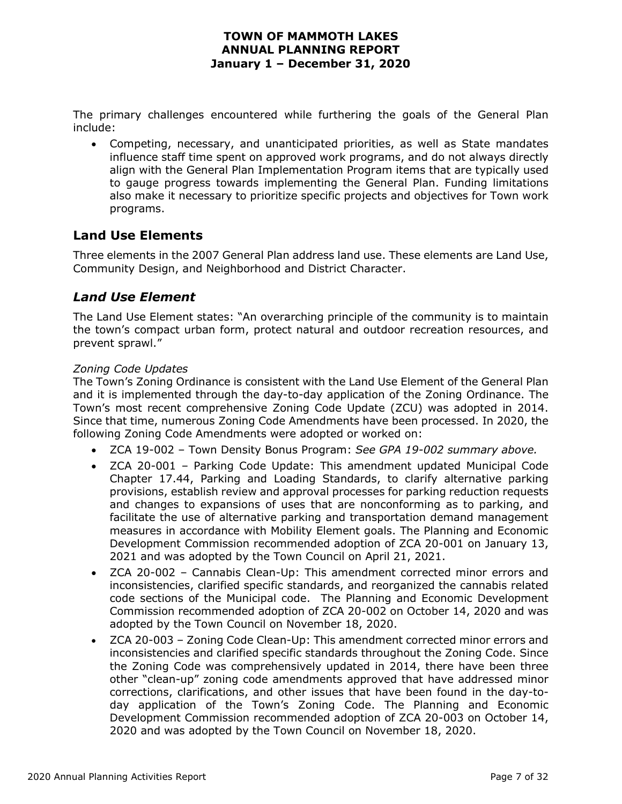The primary challenges encountered while furthering the goals of the General Plan include:

• Competing, necessary, and unanticipated priorities, as well as State mandates influence staff time spent on approved work programs, and do not always directly align with the General Plan Implementation Program items that are typically used to gauge progress towards implementing the General Plan. Funding limitations also make it necessary to prioritize specific projects and objectives for Town work programs.

#### **Land Use Elements**

Three elements in the 2007 General Plan address land use. These elements are Land Use, Community Design, and Neighborhood and District Character.

#### *Land Use Element*

The Land Use Element states: "An overarching principle of the community is to maintain the town's compact urban form, protect natural and outdoor recreation resources, and prevent sprawl."

#### *Zoning Code Updates*

The Town's Zoning Ordinance is consistent with the Land Use Element of the General Plan and it is implemented through the day-to-day application of the Zoning Ordinance. The Town's most recent comprehensive Zoning Code Update (ZCU) was adopted in 2014. Since that time, numerous Zoning Code Amendments have been processed. In 2020, the following Zoning Code Amendments were adopted or worked on:

- ZCA 19-002 Town Density Bonus Program: *See GPA 19-002 summary above.*
- ZCA 20-001 Parking Code Update: This amendment updated Municipal Code Chapter 17.44, Parking and Loading Standards, to clarify alternative parking provisions, establish review and approval processes for parking reduction requests and changes to expansions of uses that are nonconforming as to parking, and facilitate the use of alternative parking and transportation demand management measures in accordance with Mobility Element goals. The Planning and Economic Development Commission recommended adoption of ZCA 20-001 on January 13, 2021 and was adopted by the Town Council on April 21, 2021.
- ZCA 20-002 Cannabis Clean-Up: This amendment corrected minor errors and inconsistencies, clarified specific standards, and reorganized the cannabis related code sections of the Municipal code. The Planning and Economic Development Commission recommended adoption of ZCA 20-002 on October 14, 2020 and was adopted by the Town Council on November 18, 2020.
- ZCA 20-003 Zoning Code Clean-Up: This amendment corrected minor errors and inconsistencies and clarified specific standards throughout the Zoning Code. Since the Zoning Code was comprehensively updated in 2014, there have been three other "clean-up" zoning code amendments approved that have addressed minor corrections, clarifications, and other issues that have been found in the day-today application of the Town's Zoning Code. The Planning and Economic Development Commission recommended adoption of ZCA 20-003 on October 14, 2020 and was adopted by the Town Council on November 18, 2020.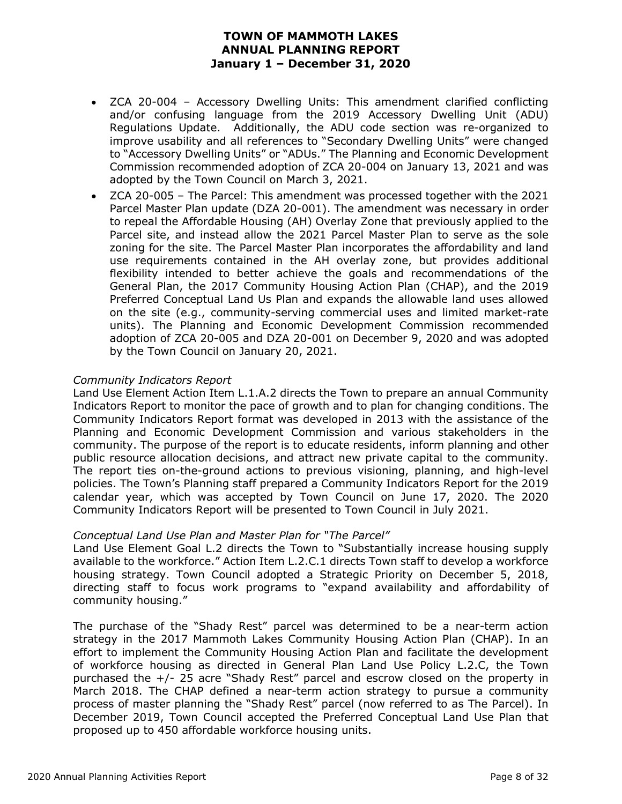- ZCA 20-004 Accessory Dwelling Units: This amendment clarified conflicting and/or confusing language from the 2019 Accessory Dwelling Unit (ADU) Regulations Update. Additionally, the ADU code section was re-organized to improve usability and all references to "Secondary Dwelling Units" were changed to "Accessory Dwelling Units" or "ADUs." The Planning and Economic Development Commission recommended adoption of ZCA 20-004 on January 13, 2021 and was adopted by the Town Council on March 3, 2021.
- ZCA 20-005 The Parcel: This amendment was processed together with the 2021 Parcel Master Plan update (DZA 20-001). The amendment was necessary in order to repeal the Affordable Housing (AH) Overlay Zone that previously applied to the Parcel site, and instead allow the 2021 Parcel Master Plan to serve as the sole zoning for the site. The Parcel Master Plan incorporates the affordability and land use requirements contained in the AH overlay zone, but provides additional flexibility intended to better achieve the goals and recommendations of the General Plan, the 2017 Community Housing Action Plan (CHAP), and the 2019 Preferred Conceptual Land Us Plan and expands the allowable land uses allowed on the site (e.g., community-serving commercial uses and limited market-rate units). The Planning and Economic Development Commission recommended adoption of ZCA 20-005 and DZA 20-001 on December 9, 2020 and was adopted by the Town Council on January 20, 2021.

#### *Community Indicators Report*

Land Use Element Action Item L.1.A.2 directs the Town to prepare an annual Community Indicators Report to monitor the pace of growth and to plan for changing conditions. The Community Indicators Report format was developed in 2013 with the assistance of the Planning and Economic Development Commission and various stakeholders in the community. The purpose of the report is to educate residents, inform planning and other public resource allocation decisions, and attract new private capital to the community. The report ties on-the-ground actions to previous visioning, planning, and high-level policies. The Town's Planning staff prepared a Community Indicators Report for the 2019 calendar year, which was accepted by Town Council on June 17, 2020. The 2020 Community Indicators Report will be presented to Town Council in July 2021.

#### *Conceptual Land Use Plan and Master Plan for "The Parcel"*

Land Use Element Goal L.2 directs the Town to "Substantially increase housing supply available to the workforce." Action Item L.2.C.1 directs Town staff to develop a workforce housing strategy. Town Council adopted a Strategic Priority on December 5, 2018, directing staff to focus work programs to "expand availability and affordability of community housing."

The purchase of the "Shady Rest" parcel was determined to be a near-term action strategy in the 2017 Mammoth Lakes Community Housing Action Plan (CHAP). In an effort to implement the Community Housing Action Plan and facilitate the development of workforce housing as directed in General Plan Land Use Policy L.2.C, the Town purchased the +/- 25 acre "Shady Rest" parcel and escrow closed on the property in March 2018. The CHAP defined a near-term action strategy to pursue a community process of master planning the "Shady Rest" parcel (now referred to as The Parcel). In December 2019, Town Council accepted the Preferred Conceptual Land Use Plan that proposed up to 450 affordable workforce housing units.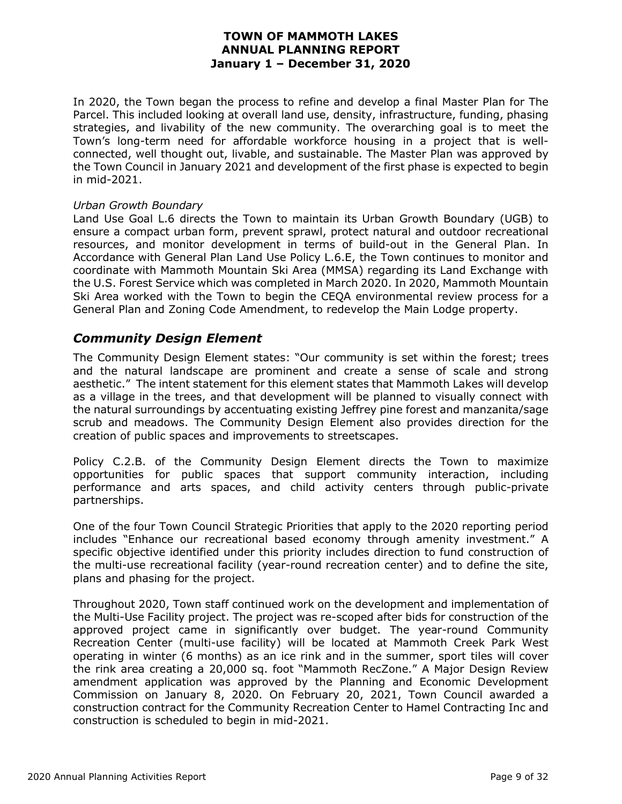In 2020, the Town began the process to refine and develop a final Master Plan for The Parcel. This included looking at overall land use, density, infrastructure, funding, phasing strategies, and livability of the new community. The overarching goal is to meet the Town's long-term need for affordable workforce housing in a project that is wellconnected, well thought out, livable, and sustainable. The Master Plan was approved by the Town Council in January 2021 and development of the first phase is expected to begin in mid-2021.

#### *Urban Growth Boundary*

Land Use Goal L.6 directs the Town to maintain its Urban Growth Boundary (UGB) to ensure a compact urban form, prevent sprawl, protect natural and outdoor recreational resources, and monitor development in terms of build-out in the General Plan. In Accordance with General Plan Land Use Policy L.6.E, the Town continues to monitor and coordinate with Mammoth Mountain Ski Area (MMSA) regarding its Land Exchange with the U.S. Forest Service which was completed in March 2020. In 2020, Mammoth Mountain Ski Area worked with the Town to begin the CEQA environmental review process for a General Plan and Zoning Code Amendment, to redevelop the Main Lodge property.

#### *Community Design Element*

The Community Design Element states: "Our community is set within the forest; trees and the natural landscape are prominent and create a sense of scale and strong aesthetic." The intent statement for this element states that Mammoth Lakes will develop as a village in the trees, and that development will be planned to visually connect with the natural surroundings by accentuating existing Jeffrey pine forest and manzanita/sage scrub and meadows. The Community Design Element also provides direction for the creation of public spaces and improvements to streetscapes.

Policy C.2.B. of the Community Design Element directs the Town to maximize opportunities for public spaces that support community interaction, including performance and arts spaces, and child activity centers through public-private partnerships.

One of the four Town Council Strategic Priorities that apply to the 2020 reporting period includes "Enhance our recreational based economy through amenity investment." A specific objective identified under this priority includes direction to fund construction of the multi-use recreational facility (year-round recreation center) and to define the site, plans and phasing for the project.

Throughout 2020, Town staff continued work on the development and implementation of the Multi-Use Facility project. The project was re-scoped after bids for construction of the approved project came in significantly over budget. The year-round Community Recreation Center (multi-use facility) will be located at Mammoth Creek Park West operating in winter (6 months) as an ice rink and in the summer, sport tiles will cover the rink area creating a 20,000 sq. foot "Mammoth RecZone." A Major Design Review amendment application was approved by the Planning and Economic Development Commission on January 8, 2020. On February 20, 2021, Town Council awarded a construction contract for the Community Recreation Center to Hamel Contracting Inc and construction is scheduled to begin in mid-2021.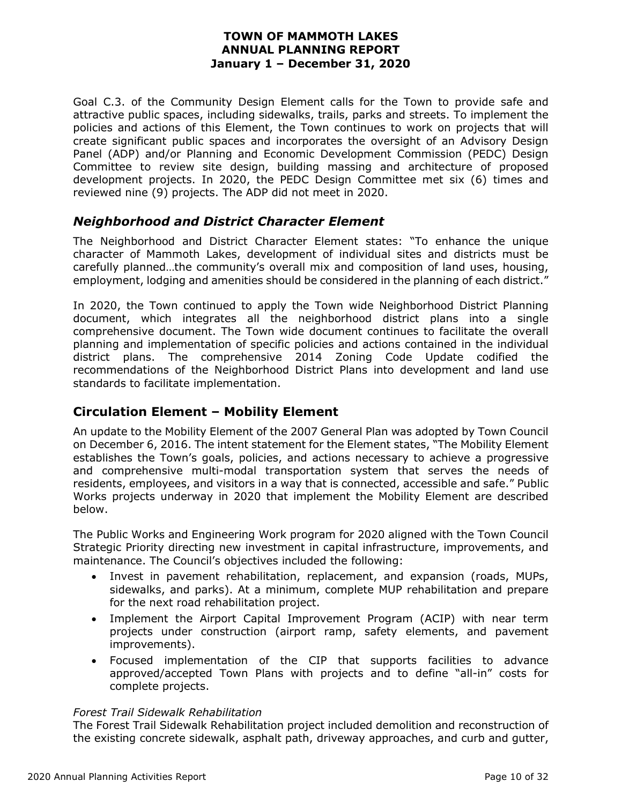Goal C.3. of the Community Design Element calls for the Town to provide safe and attractive public spaces, including sidewalks, trails, parks and streets. To implement the policies and actions of this Element, the Town continues to work on projects that will create significant public spaces and incorporates the oversight of an Advisory Design Panel (ADP) and/or Planning and Economic Development Commission (PEDC) Design Committee to review site design, building massing and architecture of proposed development projects. In 2020, the PEDC Design Committee met six (6) times and reviewed nine (9) projects. The ADP did not meet in 2020.

#### *Neighborhood and District Character Element*

The Neighborhood and District Character Element states: "To enhance the unique character of Mammoth Lakes, development of individual sites and districts must be carefully planned…the community's overall mix and composition of land uses, housing, employment, lodging and amenities should be considered in the planning of each district."

In 2020, the Town continued to apply the Town wide Neighborhood District Planning document, which integrates all the neighborhood district plans into a single comprehensive document. The Town wide document continues to facilitate the overall planning and implementation of specific policies and actions contained in the individual district plans. The comprehensive 2014 Zoning Code Update codified the recommendations of the Neighborhood District Plans into development and land use standards to facilitate implementation.

#### **Circulation Element – Mobility Element**

An update to the Mobility Element of the 2007 General Plan was adopted by Town Council on December 6, 2016. The intent statement for the Element states, "The Mobility Element establishes the Town's goals, policies, and actions necessary to achieve a progressive and comprehensive multi-modal transportation system that serves the needs of residents, employees, and visitors in a way that is connected, accessible and safe." Public Works projects underway in 2020 that implement the Mobility Element are described below.

The Public Works and Engineering Work program for 2020 aligned with the Town Council Strategic Priority directing new investment in capital infrastructure, improvements, and maintenance. The Council's objectives included the following:

- Invest in pavement rehabilitation, replacement, and expansion (roads, MUPs, sidewalks, and parks). At a minimum, complete MUP rehabilitation and prepare for the next road rehabilitation project.
- Implement the Airport Capital Improvement Program (ACIP) with near term projects under construction (airport ramp, safety elements, and pavement improvements).
- Focused implementation of the CIP that supports facilities to advance approved/accepted Town Plans with projects and to define "all-in" costs for complete projects.

#### *Forest Trail Sidewalk Rehabilitation*

The Forest Trail Sidewalk Rehabilitation project included demolition and reconstruction of the existing concrete sidewalk, asphalt path, driveway approaches, and curb and gutter,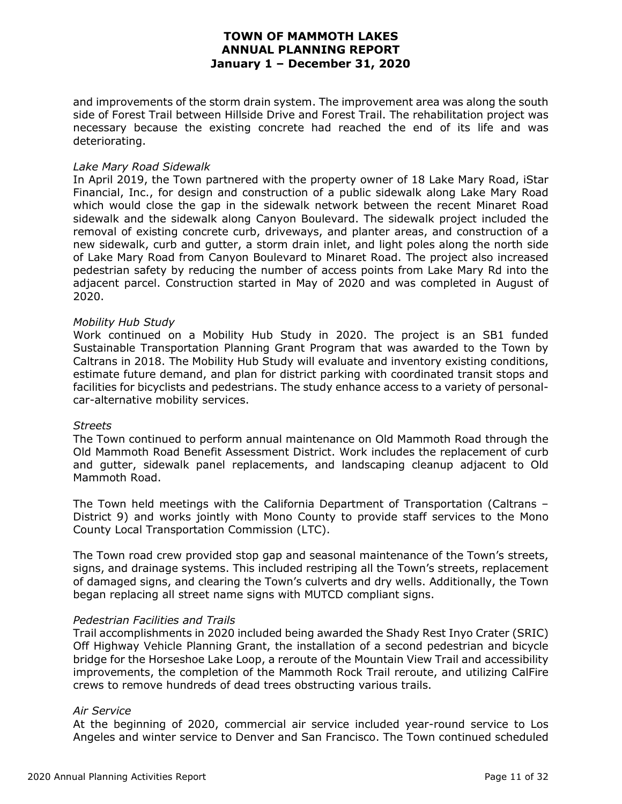and improvements of the storm drain system. The improvement area was along the south side of Forest Trail between Hillside Drive and Forest Trail. The rehabilitation project was necessary because the existing concrete had reached the end of its life and was deteriorating.

#### *Lake Mary Road Sidewalk*

In April 2019, the Town partnered with the property owner of 18 Lake Mary Road, iStar Financial, Inc., for design and construction of a public sidewalk along Lake Mary Road which would close the gap in the sidewalk network between the recent Minaret Road sidewalk and the sidewalk along Canyon Boulevard. The sidewalk project included the removal of existing concrete curb, driveways, and planter areas, and construction of a new sidewalk, curb and gutter, a storm drain inlet, and light poles along the north side of Lake Mary Road from Canyon Boulevard to Minaret Road. The project also increased pedestrian safety by reducing the number of access points from Lake Mary Rd into the adjacent parcel. Construction started in May of 2020 and was completed in August of 2020.

#### *Mobility Hub Study*

Work continued on a Mobility Hub Study in 2020. The project is an SB1 funded Sustainable Transportation Planning Grant Program that was awarded to the Town by Caltrans in 2018. The Mobility Hub Study will evaluate and inventory existing conditions, estimate future demand, and plan for district parking with coordinated transit stops and facilities for bicyclists and pedestrians. The study enhance access to a variety of personalcar-alternative mobility services.

#### *Streets*

The Town continued to perform annual maintenance on Old Mammoth Road through the Old Mammoth Road Benefit Assessment District. Work includes the replacement of curb and gutter, sidewalk panel replacements, and landscaping cleanup adjacent to Old Mammoth Road.

The Town held meetings with the California Department of Transportation (Caltrans – District 9) and works jointly with Mono County to provide staff services to the Mono County Local Transportation Commission (LTC).

The Town road crew provided stop gap and seasonal maintenance of the Town's streets, signs, and drainage systems. This included restriping all the Town's streets, replacement of damaged signs, and clearing the Town's culverts and dry wells. Additionally, the Town began replacing all street name signs with MUTCD compliant signs.

#### *Pedestrian Facilities and Trails*

Trail accomplishments in 2020 included being awarded the Shady Rest Inyo Crater (SRIC) Off Highway Vehicle Planning Grant, the installation of a second pedestrian and bicycle bridge for the Horseshoe Lake Loop, a reroute of the Mountain View Trail and accessibility improvements, the completion of the Mammoth Rock Trail reroute, and utilizing CalFire crews to remove hundreds of dead trees obstructing various trails.

#### *Air Service*

At the beginning of 2020, commercial air service included year-round service to Los Angeles and winter service to Denver and San Francisco. The Town continued scheduled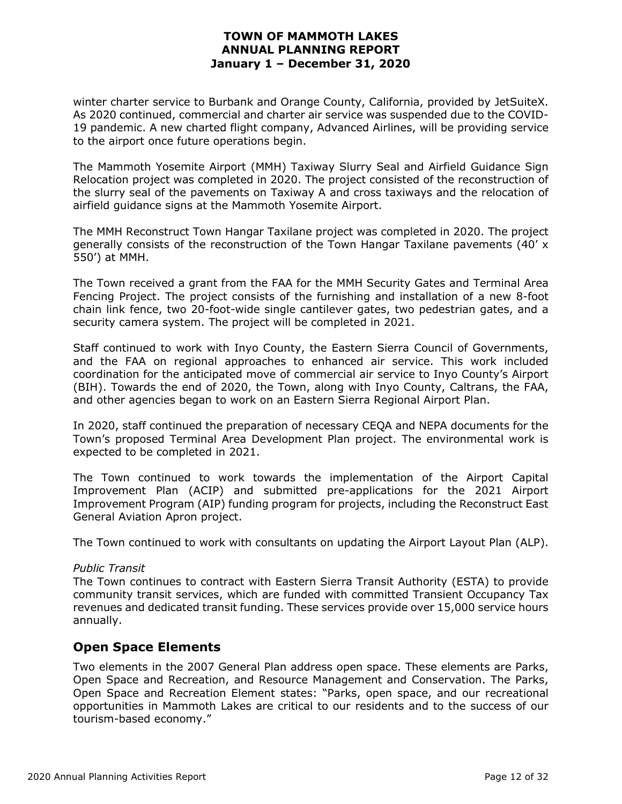winter charter service to Burbank and Orange County, California, provided by JetSuiteX. As 2020 continued, commercial and charter air service was suspended due to the COVID-19 pandemic. A new charted flight company, Advanced Airlines, will be providing service to the airport once future operations begin.

The Mammoth Yosemite Airport (MMH) Taxiway Slurry Seal and Airfield Guidance Sign Relocation project was completed in 2020. The project consisted of the reconstruction of the slurry seal of the pavements on Taxiway A and cross taxiways and the relocation of airfield guidance signs at the Mammoth Yosemite Airport.

The MMH Reconstruct Town Hangar Taxilane project was completed in 2020. The project generally consists of the reconstruction of the Town Hangar Taxilane pavements (40' x 550') at MMH.

The Town received a grant from the FAA for the MMH Security Gates and Terminal Area Fencing Project. The project consists of the furnishing and installation of a new 8-foot chain link fence, two 20-foot-wide single cantilever gates, two pedestrian gates, and a security camera system. The project will be completed in 2021.

Staff continued to work with Inyo County, the Eastern Sierra Council of Governments, and the FAA on regional approaches to enhanced air service. This work included coordination for the anticipated move of commercial air service to Inyo County's Airport (BIH). Towards the end of 2020, the Town, along with Inyo County, Caltrans, the FAA, and other agencies began to work on an Eastern Sierra Regional Airport Plan.

In 2020, staff continued the preparation of necessary CEQA and NEPA documents for the Town's proposed Terminal Area Development Plan project. The environmental work is expected to be completed in 2021.

The Town continued to work towards the implementation of the Airport Capital Improvement Plan (ACIP) and submitted pre-applications for the 2021 Airport Improvement Program (AIP) funding program for projects, including the Reconstruct East General Aviation Apron project.

The Town continued to work with consultants on updating the Airport Layout Plan (ALP).

#### *Public Transit*

The Town continues to contract with Eastern Sierra Transit Authority (ESTA) to provide community transit services, which are funded with committed Transient Occupancy Tax revenues and dedicated transit funding. These services provide over 15,000 service hours annually.

#### **Open Space Elements**

Two elements in the 2007 General Plan address open space. These elements are Parks, Open Space and Recreation, and Resource Management and Conservation. The Parks, Open Space and Recreation Element states: "Parks, open space, and our recreational opportunities in Mammoth Lakes are critical to our residents and to the success of our tourism-based economy."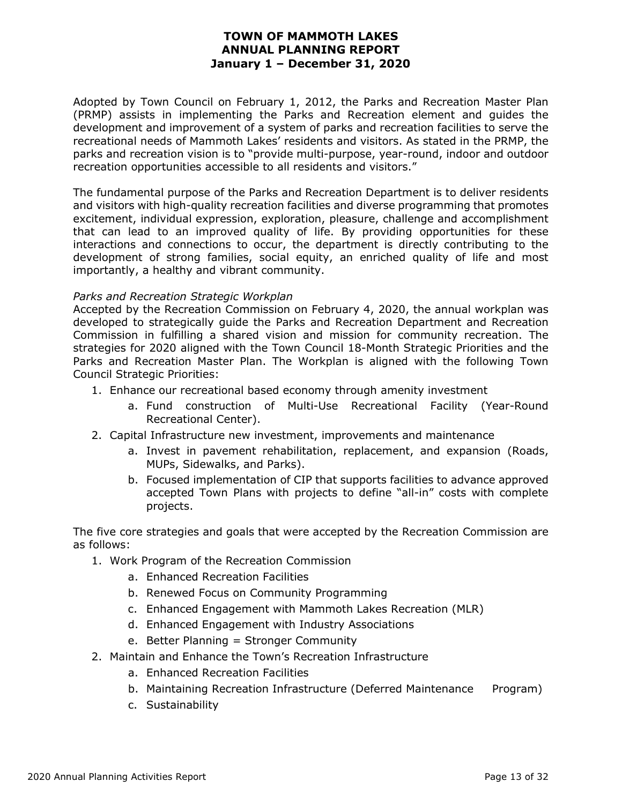Adopted by Town Council on February 1, 2012, the Parks and Recreation Master Plan (PRMP) assists in implementing the Parks and Recreation element and guides the development and improvement of a system of parks and recreation facilities to serve the recreational needs of Mammoth Lakes' residents and visitors. As stated in the PRMP, the parks and recreation vision is to "provide multi-purpose, year-round, indoor and outdoor recreation opportunities accessible to all residents and visitors."

The fundamental purpose of the Parks and Recreation Department is to deliver residents and visitors with high-quality recreation facilities and diverse programming that promotes excitement, individual expression, exploration, pleasure, challenge and accomplishment that can lead to an improved quality of life. By providing opportunities for these interactions and connections to occur, the department is directly contributing to the development of strong families, social equity, an enriched quality of life and most importantly, a healthy and vibrant community.

#### *Parks and Recreation Strategic Workplan*

Accepted by the Recreation Commission on February 4, 2020, the annual workplan was developed to strategically guide the Parks and Recreation Department and Recreation Commission in fulfilling a shared vision and mission for community recreation. The strategies for 2020 aligned with the Town Council 18-Month Strategic Priorities and the Parks and Recreation Master Plan. The Workplan is aligned with the following Town Council Strategic Priorities:

- 1. Enhance our recreational based economy through amenity investment
	- a. Fund construction of Multi-Use Recreational Facility (Year-Round Recreational Center).
- 2. Capital Infrastructure new investment, improvements and maintenance
	- a. Invest in pavement rehabilitation, replacement, and expansion (Roads, MUPs, Sidewalks, and Parks).
	- b. Focused implementation of CIP that supports facilities to advance approved accepted Town Plans with projects to define "all-in" costs with complete projects.

The five core strategies and goals that were accepted by the Recreation Commission are as follows:

- 1. Work Program of the Recreation Commission
	- a. Enhanced Recreation Facilities
	- b. Renewed Focus on Community Programming
	- c. Enhanced Engagement with Mammoth Lakes Recreation (MLR)
	- d. Enhanced Engagement with Industry Associations
	- e. Better Planning = Stronger Community
- 2. Maintain and Enhance the Town's Recreation Infrastructure
	- a. Enhanced Recreation Facilities
	- b. Maintaining Recreation Infrastructure (Deferred Maintenance Program)
	- c. Sustainability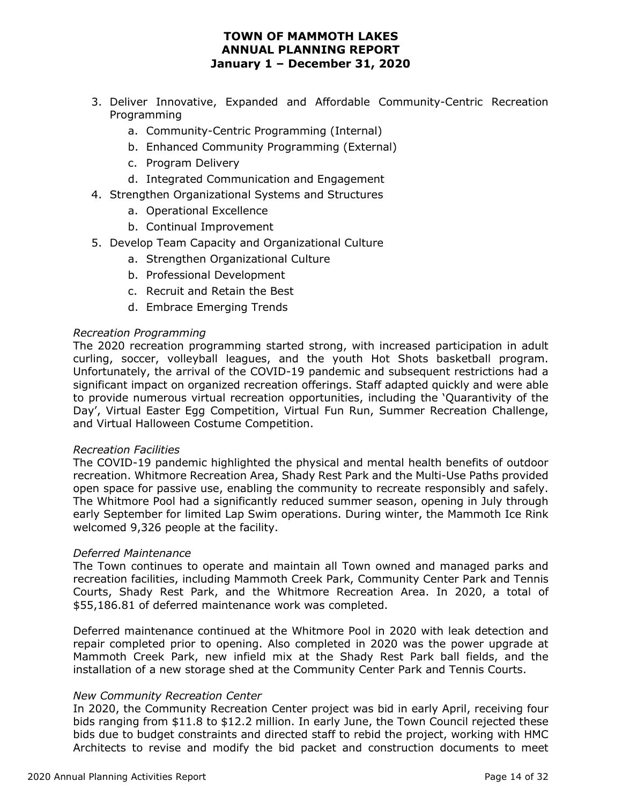- 3. Deliver Innovative, Expanded and Affordable Community-Centric Recreation Programming
	- a. Community-Centric Programming (Internal)
	- b. Enhanced Community Programming (External)
	- c. Program Delivery
	- d. Integrated Communication and Engagement
- 4. Strengthen Organizational Systems and Structures
	- a. Operational Excellence
	- b. Continual Improvement
- 5. Develop Team Capacity and Organizational Culture
	- a. Strengthen Organizational Culture
	- b. Professional Development
	- c. Recruit and Retain the Best
	- d. Embrace Emerging Trends

#### *Recreation Programming*

The 2020 recreation programming started strong, with increased participation in adult curling, soccer, volleyball leagues, and the youth Hot Shots basketball program. Unfortunately, the arrival of the COVID-19 pandemic and subsequent restrictions had a significant impact on organized recreation offerings. Staff adapted quickly and were able to provide numerous virtual recreation opportunities, including the 'Quarantivity of the Day', Virtual Easter Egg Competition, Virtual Fun Run, Summer Recreation Challenge, and Virtual Halloween Costume Competition.

#### *Recreation Facilities*

The COVID-19 pandemic highlighted the physical and mental health benefits of outdoor recreation. Whitmore Recreation Area, Shady Rest Park and the Multi-Use Paths provided open space for passive use, enabling the community to recreate responsibly and safely. The Whitmore Pool had a significantly reduced summer season, opening in July through early September for limited Lap Swim operations. During winter, the Mammoth Ice Rink welcomed 9,326 people at the facility.

#### *Deferred Maintenance*

The Town continues to operate and maintain all Town owned and managed parks and recreation facilities, including Mammoth Creek Park, Community Center Park and Tennis Courts, Shady Rest Park, and the Whitmore Recreation Area. In 2020, a total of \$55,186.81 of deferred maintenance work was completed.

Deferred maintenance continued at the Whitmore Pool in 2020 with leak detection and repair completed prior to opening. Also completed in 2020 was the power upgrade at Mammoth Creek Park, new infield mix at the Shady Rest Park ball fields, and the installation of a new storage shed at the Community Center Park and Tennis Courts.

#### *New Community Recreation Center*

In 2020, the Community Recreation Center project was bid in early April, receiving four bids ranging from \$11.8 to \$12.2 million. In early June, the Town Council rejected these bids due to budget constraints and directed staff to rebid the project, working with HMC Architects to revise and modify the bid packet and construction documents to meet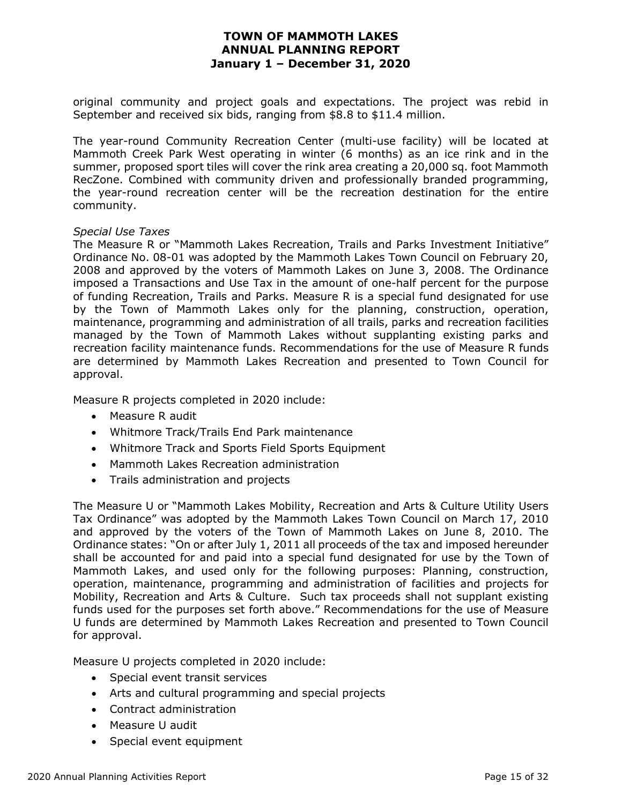original community and project goals and expectations. The project was rebid in September and received six bids, ranging from \$8.8 to \$11.4 million.

The year-round Community Recreation Center (multi-use facility) will be located at Mammoth Creek Park West operating in winter (6 months) as an ice rink and in the summer, proposed sport tiles will cover the rink area creating a 20,000 sq. foot Mammoth RecZone. Combined with community driven and professionally branded programming, the year-round recreation center will be the recreation destination for the entire community.

#### *Special Use Taxes*

The Measure R or "Mammoth Lakes Recreation, Trails and Parks Investment Initiative" Ordinance No. 08-01 was adopted by the Mammoth Lakes Town Council on February 20, 2008 and approved by the voters of Mammoth Lakes on June 3, 2008. The Ordinance imposed a Transactions and Use Tax in the amount of one-half percent for the purpose of funding Recreation, Trails and Parks. Measure R is a special fund designated for use by the Town of Mammoth Lakes only for the planning, construction, operation, maintenance, programming and administration of all trails, parks and recreation facilities managed by the Town of Mammoth Lakes without supplanting existing parks and recreation facility maintenance funds. Recommendations for the use of Measure R funds are determined by Mammoth Lakes Recreation and presented to Town Council for approval.

Measure R projects completed in 2020 include:

- Measure R audit
- Whitmore Track/Trails End Park maintenance
- Whitmore Track and Sports Field Sports Equipment
- Mammoth Lakes Recreation administration
- Trails administration and projects

The Measure U or "Mammoth Lakes Mobility, Recreation and Arts & Culture Utility Users Tax Ordinance" was adopted by the Mammoth Lakes Town Council on March 17, 2010 and approved by the voters of the Town of Mammoth Lakes on June 8, 2010. The Ordinance states: "On or after July 1, 2011 all proceeds of the tax and imposed hereunder shall be accounted for and paid into a special fund designated for use by the Town of Mammoth Lakes, and used only for the following purposes: Planning, construction, operation, maintenance, programming and administration of facilities and projects for Mobility, Recreation and Arts & Culture. Such tax proceeds shall not supplant existing funds used for the purposes set forth above." Recommendations for the use of Measure U funds are determined by Mammoth Lakes Recreation and presented to Town Council for approval.

Measure U projects completed in 2020 include:

- Special event transit services
- Arts and cultural programming and special projects
- Contract administration
- Measure U audit
- Special event equipment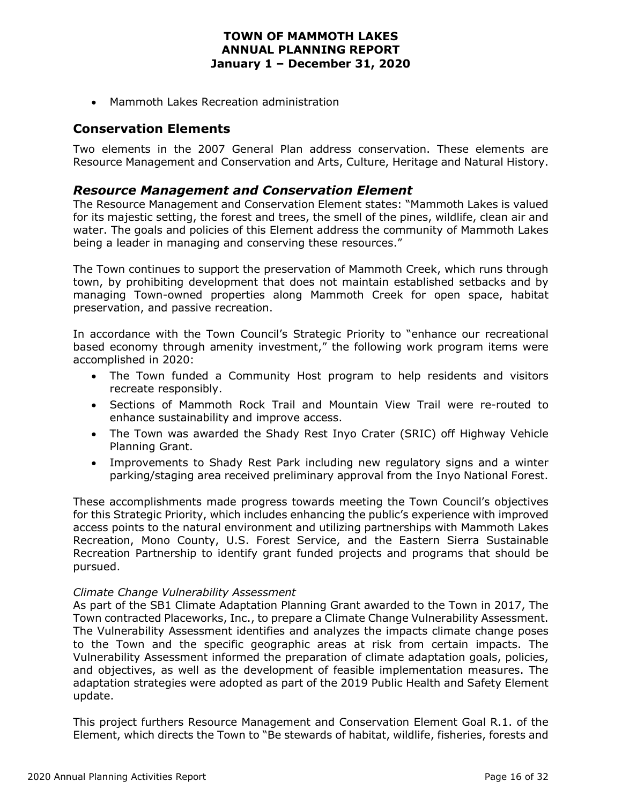• Mammoth Lakes Recreation administration

#### **Conservation Elements**

Two elements in the 2007 General Plan address conservation. These elements are Resource Management and Conservation and Arts, Culture, Heritage and Natural History.

#### *Resource Management and Conservation Element*

The Resource Management and Conservation Element states: "Mammoth Lakes is valued for its majestic setting, the forest and trees, the smell of the pines, wildlife, clean air and water. The goals and policies of this Element address the community of Mammoth Lakes being a leader in managing and conserving these resources."

The Town continues to support the preservation of Mammoth Creek, which runs through town, by prohibiting development that does not maintain established setbacks and by managing Town-owned properties along Mammoth Creek for open space, habitat preservation, and passive recreation.

In accordance with the Town Council's Strategic Priority to "enhance our recreational based economy through amenity investment," the following work program items were accomplished in 2020:

- The Town funded a Community Host program to help residents and visitors recreate responsibly.
- Sections of Mammoth Rock Trail and Mountain View Trail were re-routed to enhance sustainability and improve access.
- The Town was awarded the Shady Rest Inyo Crater (SRIC) off Highway Vehicle Planning Grant.
- Improvements to Shady Rest Park including new regulatory signs and a winter parking/staging area received preliminary approval from the Inyo National Forest.

These accomplishments made progress towards meeting the Town Council's objectives for this Strategic Priority, which includes enhancing the public's experience with improved access points to the natural environment and utilizing partnerships with Mammoth Lakes Recreation, Mono County, U.S. Forest Service, and the Eastern Sierra Sustainable Recreation Partnership to identify grant funded projects and programs that should be pursued.

#### *Climate Change Vulnerability Assessment*

As part of the SB1 Climate Adaptation Planning Grant awarded to the Town in 2017, The Town contracted Placeworks, Inc., to prepare a Climate Change Vulnerability Assessment. The Vulnerability Assessment identifies and analyzes the impacts climate change poses to the Town and the specific geographic areas at risk from certain impacts. The Vulnerability Assessment informed the preparation of climate adaptation goals, policies, and objectives, as well as the development of feasible implementation measures. The adaptation strategies were adopted as part of the 2019 Public Health and Safety Element update.

This project furthers Resource Management and Conservation Element Goal R.1. of the Element, which directs the Town to "Be stewards of habitat, wildlife, fisheries, forests and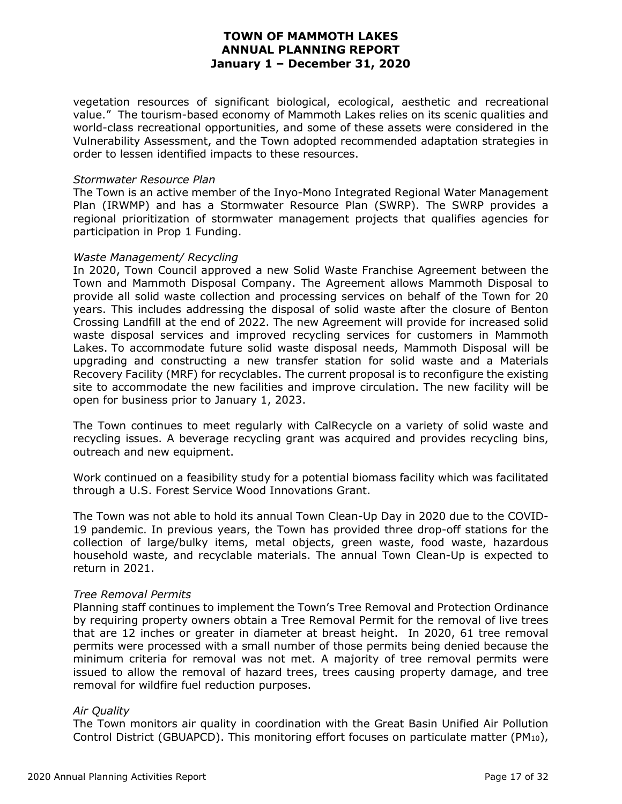vegetation resources of significant biological, ecological, aesthetic and recreational value." The tourism-based economy of Mammoth Lakes relies on its scenic qualities and world-class recreational opportunities, and some of these assets were considered in the Vulnerability Assessment, and the Town adopted recommended adaptation strategies in order to lessen identified impacts to these resources.

#### *Stormwater Resource Plan*

The Town is an active member of the Inyo-Mono Integrated Regional Water Management Plan (IRWMP) and has a Stormwater Resource Plan (SWRP). The SWRP provides a regional prioritization of stormwater management projects that qualifies agencies for participation in Prop 1 Funding.

#### *Waste Management/ Recycling*

In 2020, Town Council approved a new Solid Waste Franchise Agreement between the Town and Mammoth Disposal Company. The Agreement allows Mammoth Disposal to provide all solid waste collection and processing services on behalf of the Town for 20 years. This includes addressing the disposal of solid waste after the closure of Benton Crossing Landfill at the end of 2022. The new Agreement will provide for increased solid waste disposal services and improved recycling services for customers in Mammoth Lakes. To accommodate future solid waste disposal needs, Mammoth Disposal will be upgrading and constructing a new transfer station for solid waste and a Materials Recovery Facility (MRF) for recyclables. The current proposal is to reconfigure the existing site to accommodate the new facilities and improve circulation. The new facility will be open for business prior to January 1, 2023.

The Town continues to meet regularly with CalRecycle on a variety of solid waste and recycling issues. A beverage recycling grant was acquired and provides recycling bins, outreach and new equipment.

Work continued on a feasibility study for a potential biomass facility which was facilitated through a U.S. Forest Service Wood Innovations Grant.

The Town was not able to hold its annual Town Clean-Up Day in 2020 due to the COVID-19 pandemic. In previous years, the Town has provided three drop-off stations for the collection of large/bulky items, metal objects, green waste, food waste, hazardous household waste, and recyclable materials. The annual Town Clean-Up is expected to return in 2021.

#### *Tree Removal Permits*

Planning staff continues to implement the Town's Tree Removal and Protection Ordinance by requiring property owners obtain a Tree Removal Permit for the removal of live trees that are 12 inches or greater in diameter at breast height. In 2020, 61 tree removal permits were processed with a small number of those permits being denied because the minimum criteria for removal was not met. A majority of tree removal permits were issued to allow the removal of hazard trees, trees causing property damage, and tree removal for wildfire fuel reduction purposes.

#### *Air Quality*

The Town monitors air quality in coordination with the Great Basin Unified Air Pollution Control District (GBUAPCD). This monitoring effort focuses on particulate matter (PM<sub>10</sub>),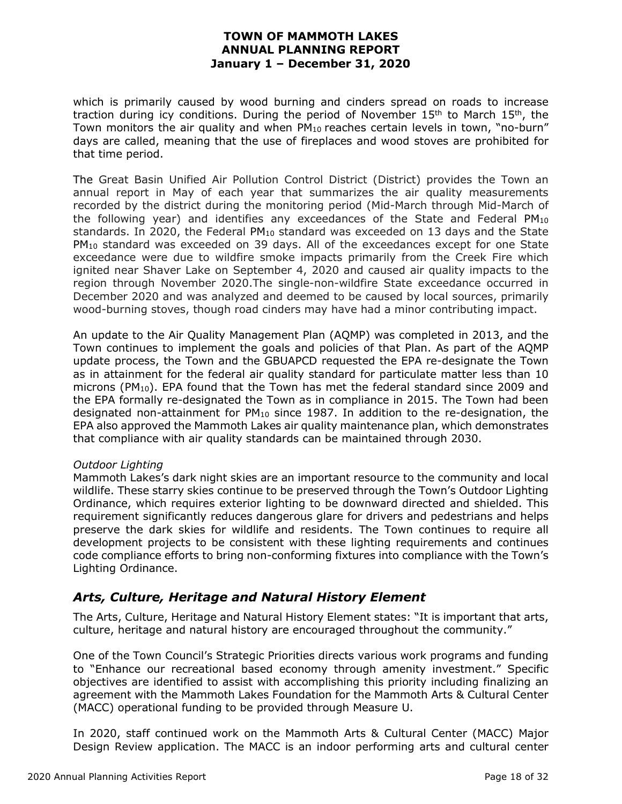which is primarily caused by wood burning and cinders spread on roads to increase traction during icy conditions. During the period of November  $15<sup>th</sup>$  to March  $15<sup>th</sup>$ , the Town monitors the air quality and when  $PM_{10}$  reaches certain levels in town, "no-burn" days are called, meaning that the use of fireplaces and wood stoves are prohibited for that time period.

The Great Basin Unified Air Pollution Control District (District) provides the Town an annual report in May of each year that summarizes the air quality measurements recorded by the district during the monitoring period (Mid-March through Mid-March of the following year) and identifies any exceedances of the State and Federal PM10 standards. In 2020, the Federal  $PM_{10}$  standard was exceeded on 13 days and the State PM<sub>10</sub> standard was exceeded on 39 days. All of the exceedances except for one State exceedance were due to wildfire smoke impacts primarily from the Creek Fire which ignited near Shaver Lake on September 4, 2020 and caused air quality impacts to the region through November 2020.The single-non-wildfire State exceedance occurred in December 2020 and was analyzed and deemed to be caused by local sources, primarily wood-burning stoves, though road cinders may have had a minor contributing impact.

An update to the Air Quality Management Plan (AQMP) was completed in 2013, and the Town continues to implement the goals and policies of that Plan. As part of the AQMP update process, the Town and the GBUAPCD requested the EPA re-designate the Town as in attainment for the federal air quality standard for particulate matter less than 10 microns ( $PM_{10}$ ). EPA found that the Town has met the federal standard since 2009 and the EPA formally re-designated the Town as in compliance in 2015. The Town had been designated non-attainment for  $PM_{10}$  since 1987. In addition to the re-designation, the EPA also approved the Mammoth Lakes air quality maintenance plan, which demonstrates that compliance with air quality standards can be maintained through 2030.

#### *Outdoor Lighting*

Mammoth Lakes's dark night skies are an important resource to the community and local wildlife. These starry skies continue to be preserved through the Town's Outdoor Lighting Ordinance, which requires exterior lighting to be downward directed and shielded. This requirement significantly reduces dangerous glare for drivers and pedestrians and helps preserve the dark skies for wildlife and residents. The Town continues to require all development projects to be consistent with these lighting requirements and continues code compliance efforts to bring non-conforming fixtures into compliance with the Town's Lighting Ordinance.

#### *Arts, Culture, Heritage and Natural History Element*

The Arts, Culture, Heritage and Natural History Element states: "It is important that arts, culture, heritage and natural history are encouraged throughout the community."

One of the Town Council's Strategic Priorities directs various work programs and funding to "Enhance our recreational based economy through amenity investment." Specific objectives are identified to assist with accomplishing this priority including finalizing an agreement with the Mammoth Lakes Foundation for the Mammoth Arts & Cultural Center (MACC) operational funding to be provided through Measure U.

In 2020, staff continued work on the Mammoth Arts & Cultural Center (MACC) Major Design Review application. The MACC is an indoor performing arts and cultural center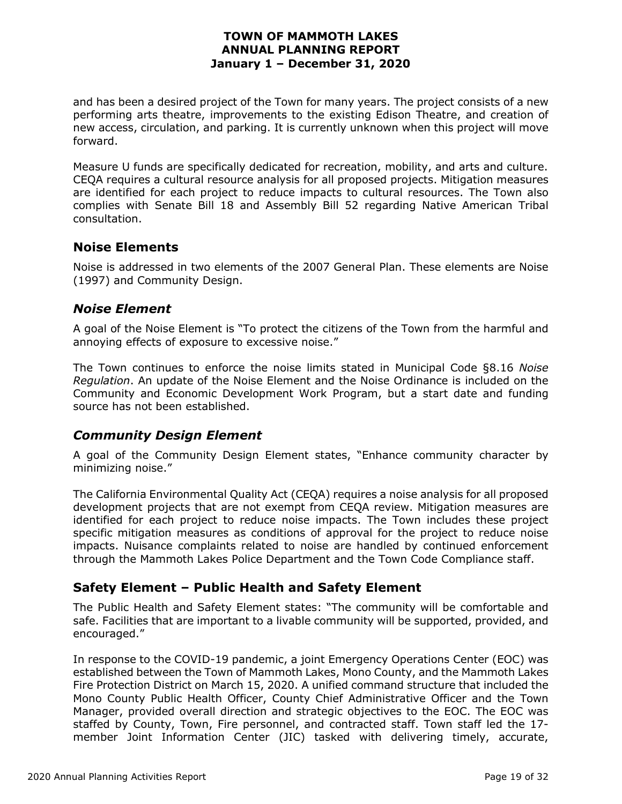and has been a desired project of the Town for many years. The project consists of a new performing arts theatre, improvements to the existing Edison Theatre, and creation of new access, circulation, and parking. It is currently unknown when this project will move forward.

Measure U funds are specifically dedicated for recreation, mobility, and arts and culture. CEQA requires a cultural resource analysis for all proposed projects. Mitigation measures are identified for each project to reduce impacts to cultural resources. The Town also complies with Senate Bill 18 and Assembly Bill 52 regarding Native American Tribal consultation.

#### **Noise Elements**

Noise is addressed in two elements of the 2007 General Plan. These elements are Noise (1997) and Community Design.

#### *Noise Element*

A goal of the Noise Element is "To protect the citizens of the Town from the harmful and annoying effects of exposure to excessive noise."

The Town continues to enforce the noise limits stated in Municipal Code §8.16 *Noise Regulation*. An update of the Noise Element and the Noise Ordinance is included on the Community and Economic Development Work Program, but a start date and funding source has not been established.

#### *Community Design Element*

A goal of the Community Design Element states, "Enhance community character by minimizing noise."

The California Environmental Quality Act (CEQA) requires a noise analysis for all proposed development projects that are not exempt from CEQA review. Mitigation measures are identified for each project to reduce noise impacts. The Town includes these project specific mitigation measures as conditions of approval for the project to reduce noise impacts. Nuisance complaints related to noise are handled by continued enforcement through the Mammoth Lakes Police Department and the Town Code Compliance staff.

#### **Safety Element – Public Health and Safety Element**

The Public Health and Safety Element states: "The community will be comfortable and safe. Facilities that are important to a livable community will be supported, provided, and encouraged."

In response to the COVID-19 pandemic, a joint Emergency Operations Center (EOC) was established between the Town of Mammoth Lakes, Mono County, and the Mammoth Lakes Fire Protection District on March 15, 2020. A unified command structure that included the Mono County Public Health Officer, County Chief Administrative Officer and the Town Manager, provided overall direction and strategic objectives to the EOC. The EOC was staffed by County, Town, Fire personnel, and contracted staff. Town staff led the 17 member Joint Information Center (JIC) tasked with delivering timely, accurate,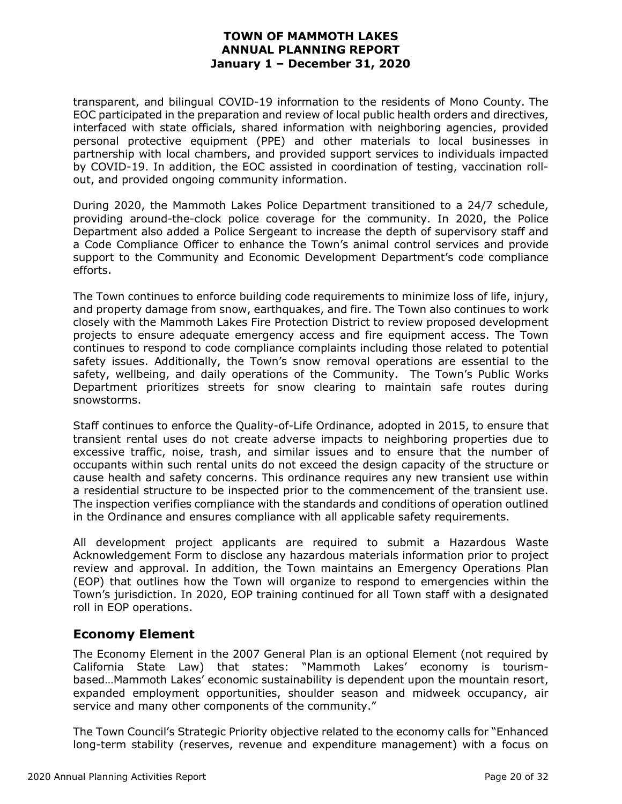transparent, and bilingual COVID-19 information to the residents of Mono County. The EOC participated in the preparation and review of local public health orders and directives, interfaced with state officials, shared information with neighboring agencies, provided personal protective equipment (PPE) and other materials to local businesses in partnership with local chambers, and provided support services to individuals impacted by COVID-19. In addition, the EOC assisted in coordination of testing, vaccination rollout, and provided ongoing community information.

During 2020, the Mammoth Lakes Police Department transitioned to a 24/7 schedule, providing around-the-clock police coverage for the community. In 2020, the Police Department also added a Police Sergeant to increase the depth of supervisory staff and a Code Compliance Officer to enhance the Town's animal control services and provide support to the Community and Economic Development Department's code compliance efforts.

The Town continues to enforce building code requirements to minimize loss of life, injury, and property damage from snow, earthquakes, and fire. The Town also continues to work closely with the Mammoth Lakes Fire Protection District to review proposed development projects to ensure adequate emergency access and fire equipment access. The Town continues to respond to code compliance complaints including those related to potential safety issues. Additionally, the Town's snow removal operations are essential to the safety, wellbeing, and daily operations of the Community. The Town's Public Works Department prioritizes streets for snow clearing to maintain safe routes during snowstorms.

Staff continues to enforce the Quality-of-Life Ordinance, adopted in 2015, to ensure that transient rental uses do not create adverse impacts to neighboring properties due to excessive traffic, noise, trash, and similar issues and to ensure that the number of occupants within such rental units do not exceed the design capacity of the structure or cause health and safety concerns. This ordinance requires any new transient use within a residential structure to be inspected prior to the commencement of the transient use. The inspection verifies compliance with the standards and conditions of operation outlined in the Ordinance and ensures compliance with all applicable safety requirements.

All development project applicants are required to submit a Hazardous Waste Acknowledgement Form to disclose any hazardous materials information prior to project review and approval. In addition, the Town maintains an Emergency Operations Plan (EOP) that outlines how the Town will organize to respond to emergencies within the Town's jurisdiction. In 2020, EOP training continued for all Town staff with a designated roll in EOP operations.

#### **Economy Element**

The Economy Element in the 2007 General Plan is an optional Element (not required by California State Law) that states: "Mammoth Lakes' economy is tourismbased…Mammoth Lakes' economic sustainability is dependent upon the mountain resort, expanded employment opportunities, shoulder season and midweek occupancy, air service and many other components of the community."

The Town Council's Strategic Priority objective related to the economy calls for "Enhanced long-term stability (reserves, revenue and expenditure management) with a focus on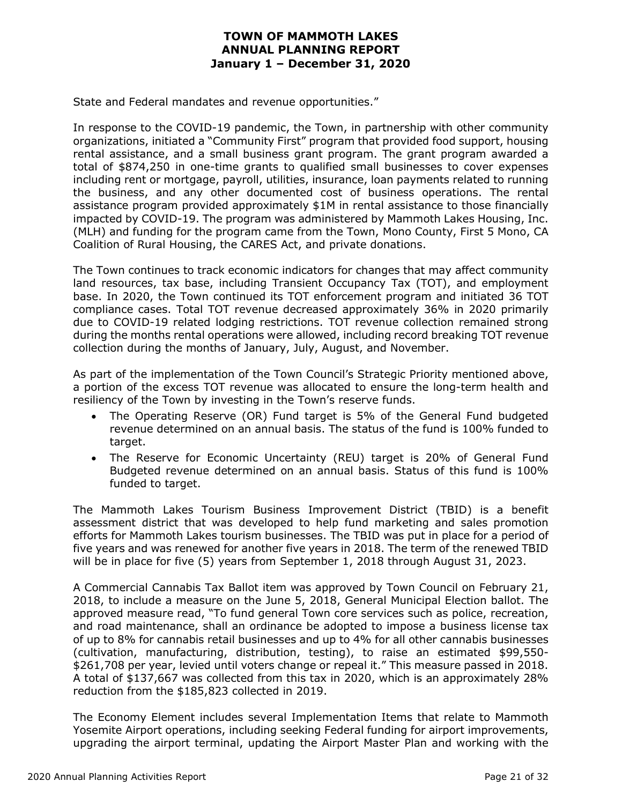State and Federal mandates and revenue opportunities."

In response to the COVID-19 pandemic, the Town, in partnership with other community organizations, initiated a "Community First" program that provided food support, housing rental assistance, and a small business grant program. The grant program awarded a total of \$874,250 in one-time grants to qualified small businesses to cover expenses including rent or mortgage, payroll, utilities, insurance, loan payments related to running the business, and any other documented cost of business operations. The rental assistance program provided approximately \$1M in rental assistance to those financially impacted by COVID-19. The program was administered by Mammoth Lakes Housing, Inc. (MLH) and funding for the program came from the Town, Mono County, First 5 Mono, CA Coalition of Rural Housing, the CARES Act, and private donations.

The Town continues to track economic indicators for changes that may affect community land resources, tax base, including Transient Occupancy Tax (TOT), and employment base. In 2020, the Town continued its TOT enforcement program and initiated 36 TOT compliance cases. Total TOT revenue decreased approximately 36% in 2020 primarily due to COVID-19 related lodging restrictions. TOT revenue collection remained strong during the months rental operations were allowed, including record breaking TOT revenue collection during the months of January, July, August, and November.

As part of the implementation of the Town Council's Strategic Priority mentioned above, a portion of the excess TOT revenue was allocated to ensure the long-term health and resiliency of the Town by investing in the Town's reserve funds.

- The Operating Reserve (OR) Fund target is 5% of the General Fund budgeted revenue determined on an annual basis. The status of the fund is 100% funded to target.
- The Reserve for Economic Uncertainty (REU) target is 20% of General Fund Budgeted revenue determined on an annual basis. Status of this fund is 100% funded to target.

The Mammoth Lakes Tourism Business Improvement District (TBID) is a benefit assessment district that was developed to help fund marketing and sales promotion efforts for Mammoth Lakes tourism businesses. The TBID was put in place for a period of five years and was renewed for another five years in 2018. The term of the renewed TBID will be in place for five (5) years from September 1, 2018 through August 31, 2023.

A Commercial Cannabis Tax Ballot item was approved by Town Council on February 21, 2018, to include a measure on the June 5, 2018, General Municipal Election ballot. The approved measure read, "To fund general Town core services such as police, recreation, and road maintenance, shall an ordinance be adopted to impose a business license tax of up to 8% for cannabis retail businesses and up to 4% for all other cannabis businesses (cultivation, manufacturing, distribution, testing), to raise an estimated \$99,550- \$261,708 per year, levied until voters change or repeal it." This measure passed in 2018. A total of \$137,667 was collected from this tax in 2020, which is an approximately 28% reduction from the \$185,823 collected in 2019.

The Economy Element includes several Implementation Items that relate to Mammoth Yosemite Airport operations, including seeking Federal funding for airport improvements, upgrading the airport terminal, updating the Airport Master Plan and working with the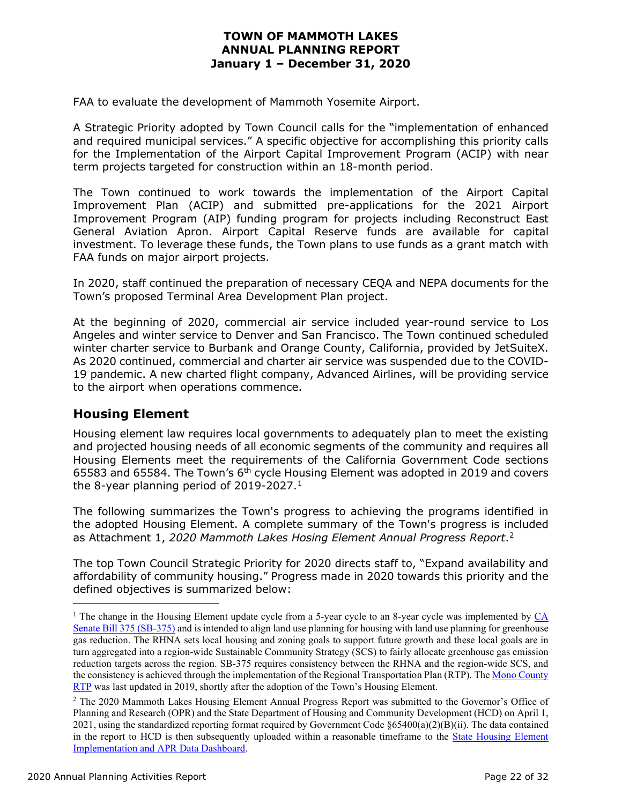FAA to evaluate the development of Mammoth Yosemite Airport.

A Strategic Priority adopted by Town Council calls for the "implementation of enhanced and required municipal services." A specific objective for accomplishing this priority calls for the Implementation of the Airport Capital Improvement Program (ACIP) with near term projects targeted for construction within an 18-month period.

The Town continued to work towards the implementation of the Airport Capital Improvement Plan (ACIP) and submitted pre-applications for the 2021 Airport Improvement Program (AIP) funding program for projects including Reconstruct East General Aviation Apron. Airport Capital Reserve funds are available for capital investment. To leverage these funds, the Town plans to use funds as a grant match with FAA funds on major airport projects.

In 2020, staff continued the preparation of necessary CEQA and NEPA documents for the Town's proposed Terminal Area Development Plan project.

At the beginning of 2020, commercial air service included year-round service to Los Angeles and winter service to Denver and San Francisco. The Town continued scheduled winter charter service to Burbank and Orange County, California, provided by JetSuiteX. As 2020 continued, commercial and charter air service was suspended due to the COVID-19 pandemic. A new charted flight company, Advanced Airlines, will be providing service to the airport when operations commence.

#### **Housing Element**

Housing element law requires local governments to adequately plan to meet the existing and projected housing needs of all economic segments of the community and requires all Housing Elements meet the requirements of the California Government Code sections 65583 and 65584. The Town's 6th cycle Housing Element was adopted in 2019 and covers the 8-year planning period of 20[1](#page-21-0)9-2027.<sup>1</sup>

The following summarizes the Town's progress to achieving the programs identified in the adopted Housing Element. A complete summary of the Town's progress is included as Attachment 1, *2020 Mammoth Lakes Hosing Element Annual Progress Report*.[2](#page-21-1)

The top Town Council Strategic Priority for 2020 directs staff to, "Expand availability and affordability of community housing." Progress made in 2020 towards this priority and the defined objectives is summarized below:

<span id="page-21-0"></span><sup>&</sup>lt;sup>1</sup> The change in the Housing Element update cycle from a 5-year cycle to an 8-year cycle was implemented by CA [Senate Bill 375 \(SB-375\)](https://leginfo.legislature.ca.gov/faces/billNavClient.xhtml?bill_id=200720080SB375) and is intended to align land use planning for housing with land use planning for greenhouse gas reduction. The RHNA sets local housing and zoning goals to support future growth and these local goals are in turn aggregated into a region-wide Sustainable Community Strategy (SCS) to fairly allocate greenhouse gas emission reduction targets across the region. SB-375 requires consistency between the RHNA and the region-wide SCS, and the consistency is achieved through the implementation of the Regional Transportation Plan (RTP). The [Mono County](https://monocounty.ca.gov/sites/default/files/fileattachments/local_transportation_commission_ltc/page/9002/adopted_2019_rtp_12.09.2019.pdf)  [RTP](https://monocounty.ca.gov/sites/default/files/fileattachments/local_transportation_commission_ltc/page/9002/adopted_2019_rtp_12.09.2019.pdf) was last updated in 2019, shortly after the adoption of the Town's Housing Element.

<span id="page-21-1"></span><sup>&</sup>lt;sup>2</sup> The 2020 Mammoth Lakes Housing Element Annual Progress Report was submitted to the Governor's Office of Planning and Research (OPR) and the State Department of Housing and Community Development (HCD) on April 1, 2021, using the standardized reporting format required by Government Code §65400(a)(2)(B)(ii). The data contained in the report to HCD is then subsequently uploaded within a reasonable timeframe to the [State Housing Element](https://app.powerbigov.us/view?r=eyJrIjoiMDA2YjBmNTItYzYwNS00ZDdiLThmMGMtYmFhMzc1YTAzMDM4IiwidCI6IjJiODI4NjQ2LWIwMzctNGZlNy04NDE1LWU5MzVjZDM0Y2Y5NiJ9&pageName=ReportSection3da4504e0949a7b7a0b0)  [Implementation and APR Data Dashboard.](https://app.powerbigov.us/view?r=eyJrIjoiMDA2YjBmNTItYzYwNS00ZDdiLThmMGMtYmFhMzc1YTAzMDM4IiwidCI6IjJiODI4NjQ2LWIwMzctNGZlNy04NDE1LWU5MzVjZDM0Y2Y5NiJ9&pageName=ReportSection3da4504e0949a7b7a0b0)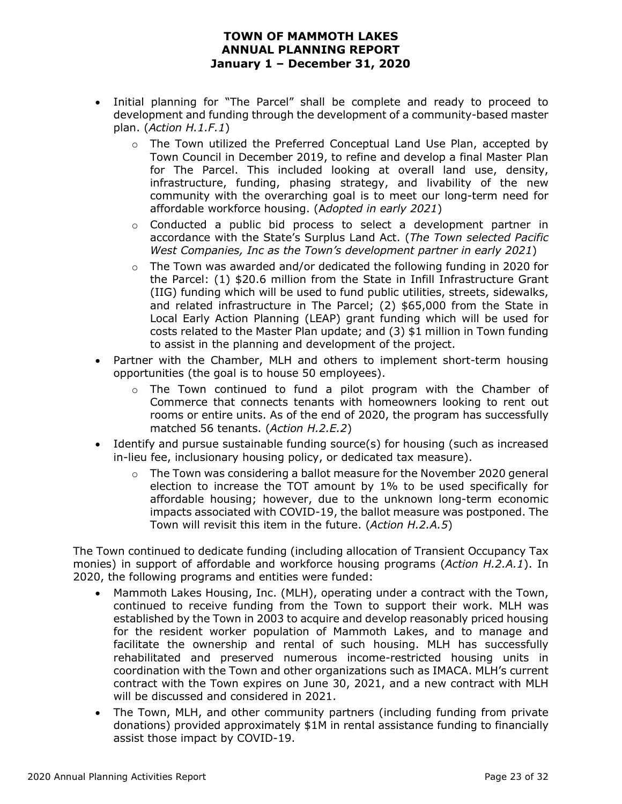- Initial planning for "The Parcel" shall be complete and ready to proceed to development and funding through the development of a community-based master plan. (*Action H.1.F.1*)
	- $\circ$  The Town utilized the Preferred Conceptual Land Use Plan, accepted by Town Council in December 2019, to refine and develop a final Master Plan for The Parcel. This included looking at overall land use, density, infrastructure, funding, phasing strategy, and livability of the new community with the overarching goal is to meet our long-term need for affordable workforce housing. (A*dopted in early 2021*)
	- $\circ$  Conducted a public bid process to select a development partner in accordance with the State's Surplus Land Act. (*The Town selected Pacific West Companies, Inc as the Town's development partner in early 2021*)
	- $\circ$  The Town was awarded and/or dedicated the following funding in 2020 for the Parcel: (1) \$20.6 million from the State in Infill Infrastructure Grant (IIG) funding which will be used to fund public utilities, streets, sidewalks, and related infrastructure in The Parcel; (2) \$65,000 from the State in Local Early Action Planning (LEAP) grant funding which will be used for costs related to the Master Plan update; and (3) \$1 million in Town funding to assist in the planning and development of the project.
- Partner with the Chamber, MLH and others to implement short-term housing opportunities (the goal is to house 50 employees).
	- $\circ$  The Town continued to fund a pilot program with the Chamber of Commerce that connects tenants with homeowners looking to rent out rooms or entire units. As of the end of 2020, the program has successfully matched 56 tenants. (*Action H.2.E.2*)
- Identify and pursue sustainable funding source(s) for housing (such as increased in-lieu fee, inclusionary housing policy, or dedicated tax measure).
	- $\circ$  The Town was considering a ballot measure for the November 2020 general election to increase the TOT amount by 1% to be used specifically for affordable housing; however, due to the unknown long-term economic impacts associated with COVID-19, the ballot measure was postponed. The Town will revisit this item in the future. (*Action H.2.A.5*)

The Town continued to dedicate funding (including allocation of Transient Occupancy Tax monies) in support of affordable and workforce housing programs (*Action H.2.A.1*). In 2020, the following programs and entities were funded:

- Mammoth Lakes Housing, Inc. (MLH), operating under a contract with the Town, continued to receive funding from the Town to support their work. MLH was established by the Town in 2003 to acquire and develop reasonably priced housing for the resident worker population of Mammoth Lakes, and to manage and facilitate the ownership and rental of such housing. MLH has successfully rehabilitated and preserved numerous income-restricted housing units in coordination with the Town and other organizations such as IMACA. MLH's current contract with the Town expires on June 30, 2021, and a new contract with MLH will be discussed and considered in 2021.
- The Town, MLH, and other community partners (including funding from private donations) provided approximately \$1M in rental assistance funding to financially assist those impact by COVID-19.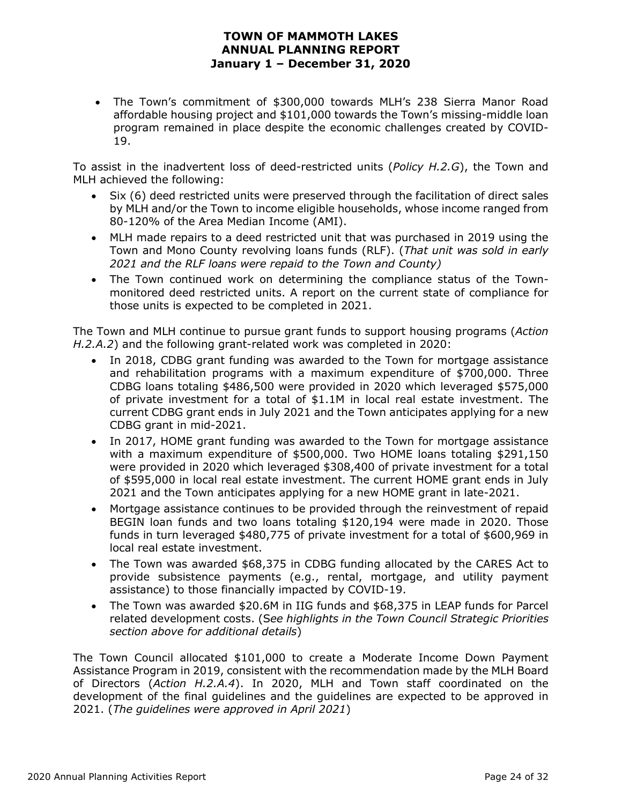• The Town's commitment of \$300,000 towards MLH's 238 Sierra Manor Road affordable housing project and \$101,000 towards the Town's missing-middle loan program remained in place despite the economic challenges created by COVID-19.

To assist in the inadvertent loss of deed-restricted units (*Policy H.2.G*), the Town and MLH achieved the following:

- Six (6) deed restricted units were preserved through the facilitation of direct sales by MLH and/or the Town to income eligible households, whose income ranged from 80-120% of the Area Median Income (AMI).
- MLH made repairs to a deed restricted unit that was purchased in 2019 using the Town and Mono County revolving loans funds (RLF). (*That unit was sold in early 2021 and the RLF loans were repaid to the Town and County)*
- The Town continued work on determining the compliance status of the Townmonitored deed restricted units. A report on the current state of compliance for those units is expected to be completed in 2021.

The Town and MLH continue to pursue grant funds to support housing programs (*Action H.2.A.2*) and the following grant-related work was completed in 2020:

- In 2018, CDBG grant funding was awarded to the Town for mortgage assistance and rehabilitation programs with a maximum expenditure of \$700,000. Three CDBG loans totaling \$486,500 were provided in 2020 which leveraged \$575,000 of private investment for a total of \$1.1M in local real estate investment. The current CDBG grant ends in July 2021 and the Town anticipates applying for a new CDBG grant in mid-2021.
- In 2017, HOME grant funding was awarded to the Town for mortgage assistance with a maximum expenditure of \$500,000. Two HOME loans totaling \$291,150 were provided in 2020 which leveraged \$308,400 of private investment for a total of \$595,000 in local real estate investment. The current HOME grant ends in July 2021 and the Town anticipates applying for a new HOME grant in late-2021.
- Mortgage assistance continues to be provided through the reinvestment of repaid BEGIN loan funds and two loans totaling \$120,194 were made in 2020. Those funds in turn leveraged \$480,775 of private investment for a total of \$600,969 in local real estate investment.
- The Town was awarded \$68,375 in CDBG funding allocated by the CARES Act to provide subsistence payments (e.g., rental, mortgage, and utility payment assistance) to those financially impacted by COVID-19.
- The Town was awarded \$20.6M in IIG funds and \$68,375 in LEAP funds for Parcel related development costs. (S*ee highlights in the Town Council Strategic Priorities section above for additional details*)

The Town Council allocated \$101,000 to create a Moderate Income Down Payment Assistance Program in 2019, consistent with the recommendation made by the MLH Board of Directors (*Action H.2.A.4*). In 2020, MLH and Town staff coordinated on the development of the final guidelines and the guidelines are expected to be approved in 2021. (*The guidelines were approved in April 2021*)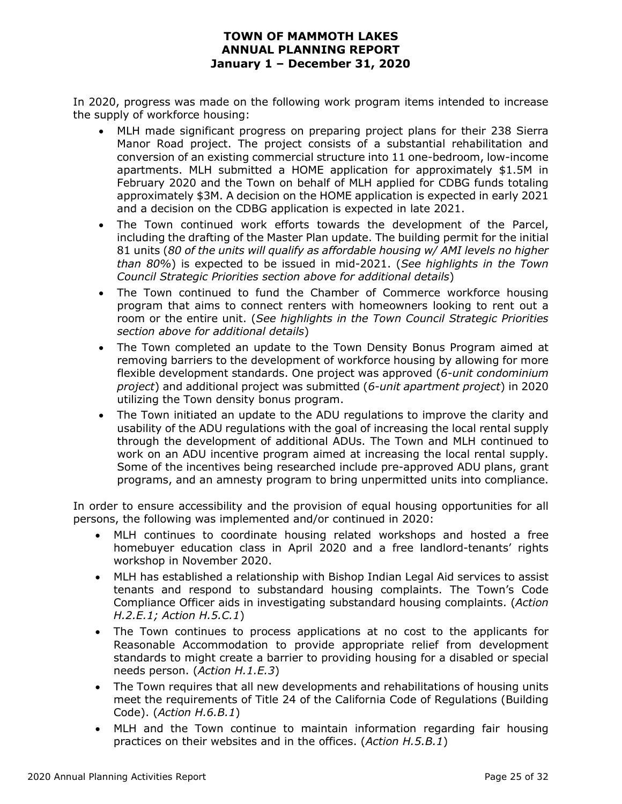In 2020, progress was made on the following work program items intended to increase the supply of workforce housing:

- MLH made significant progress on preparing project plans for their 238 Sierra Manor Road project. The project consists of a substantial rehabilitation and conversion of an existing commercial structure into 11 one-bedroom, low-income apartments. MLH submitted a HOME application for approximately \$1.5M in February 2020 and the Town on behalf of MLH applied for CDBG funds totaling approximately \$3M. A decision on the HOME application is expected in early 2021 and a decision on the CDBG application is expected in late 2021.
- The Town continued work efforts towards the development of the Parcel, including the drafting of the Master Plan update. The building permit for the initial 81 units (*80 of the units will qualify as affordable housing w/ AMI levels no higher than 80%*) is expected to be issued in mid-2021. (*See highlights in the Town Council Strategic Priorities section above for additional details*)
- The Town continued to fund the Chamber of Commerce workforce housing program that aims to connect renters with homeowners looking to rent out a room or the entire unit. (*See highlights in the Town Council Strategic Priorities section above for additional details*)
- The Town completed an update to the Town Density Bonus Program aimed at removing barriers to the development of workforce housing by allowing for more flexible development standards. One project was approved (*6-unit condominium project*) and additional project was submitted (*6-unit apartment project*) in 2020 utilizing the Town density bonus program.
- The Town initiated an update to the ADU regulations to improve the clarity and usability of the ADU regulations with the goal of increasing the local rental supply through the development of additional ADUs. The Town and MLH continued to work on an ADU incentive program aimed at increasing the local rental supply. Some of the incentives being researched include pre-approved ADU plans, grant programs, and an amnesty program to bring unpermitted units into compliance.

In order to ensure accessibility and the provision of equal housing opportunities for all persons, the following was implemented and/or continued in 2020:

- MLH continues to coordinate housing related workshops and hosted a free homebuyer education class in April 2020 and a free landlord-tenants' rights workshop in November 2020.
- MLH has established a relationship with Bishop Indian Legal Aid services to assist tenants and respond to substandard housing complaints. The Town's Code Compliance Officer aids in investigating substandard housing complaints. (*Action H.2.E.1; Action H.5.C.1*)
- The Town continues to process applications at no cost to the applicants for Reasonable Accommodation to provide appropriate relief from development standards to might create a barrier to providing housing for a disabled or special needs person. (*Action H.1.E.3*)
- The Town requires that all new developments and rehabilitations of housing units meet the requirements of Title 24 of the California Code of Regulations (Building Code). (*Action H.6.B.1*)
- MLH and the Town continue to maintain information regarding fair housing practices on their websites and in the offices. (*Action H.5.B.1*)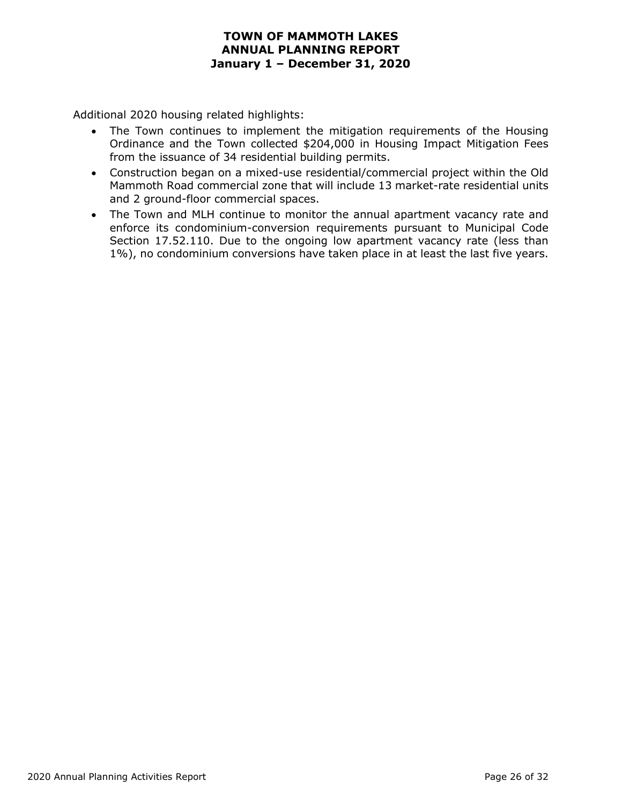Additional 2020 housing related highlights:

- The Town continues to implement the mitigation requirements of the Housing Ordinance and the Town collected \$204,000 in Housing Impact Mitigation Fees from the issuance of 34 residential building permits.
- Construction began on a mixed-use residential/commercial project within the Old Mammoth Road commercial zone that will include 13 market-rate residential units and 2 ground-floor commercial spaces.
- The Town and MLH continue to monitor the annual apartment vacancy rate and enforce its condominium-conversion requirements pursuant to Municipal Code Section 17.52.110. Due to the ongoing low apartment vacancy rate (less than 1%), no condominium conversions have taken place in at least the last five years.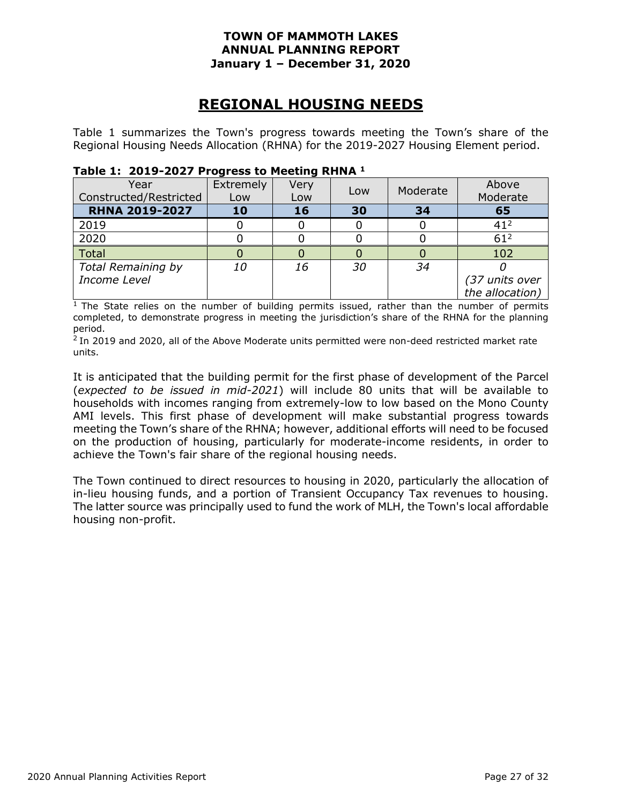### **REGIONAL HOUSING NEEDS**

Table 1 summarizes the Town's progress towards meeting the Town's share of the Regional Housing Needs Allocation (RHNA) for the 2019-2027 Housing Element period.

| Year<br>Constructed/Restricted | Extremely<br>Low | Very<br>Low | Low | Moderate | Above<br>Moderate |
|--------------------------------|------------------|-------------|-----|----------|-------------------|
| <b>RHNA 2019-2027</b>          | 10               | 16          | 30  | 34       | 65                |
| 2019                           |                  |             |     |          | 41 <sup>2</sup>   |
| 2020                           |                  |             |     |          | $61^2$            |
| Total                          |                  |             |     |          | 102               |
| <b>Total Remaining by</b>      | 10               | 16          | 30  | 34       |                   |
| Income Level                   |                  |             |     |          | (37 units over    |
|                                |                  |             |     |          | the allocation)   |

#### **Table 1: 2019-2027 Progress to Meeting RHNA 1**

 $1$  The State relies on the number of building permits issued, rather than the number of permits completed, to demonstrate progress in meeting the jurisdiction's share of the RHNA for the planning period.

<sup>2</sup> In 2019 and 2020, all of the Above Moderate units permitted were non-deed restricted market rate units.

It is anticipated that the building permit for the first phase of development of the Parcel (*expected to be issued in mid-2021*) will include 80 units that will be available to households with incomes ranging from extremely-low to low based on the Mono County AMI levels. This first phase of development will make substantial progress towards meeting the Town's share of the RHNA; however, additional efforts will need to be focused on the production of housing, particularly for moderate-income residents, in order to achieve the Town's fair share of the regional housing needs.

The Town continued to direct resources to housing in 2020, particularly the allocation of in-lieu housing funds, and a portion of Transient Occupancy Tax revenues to housing. The latter source was principally used to fund the work of MLH, the Town's local affordable housing non-profit.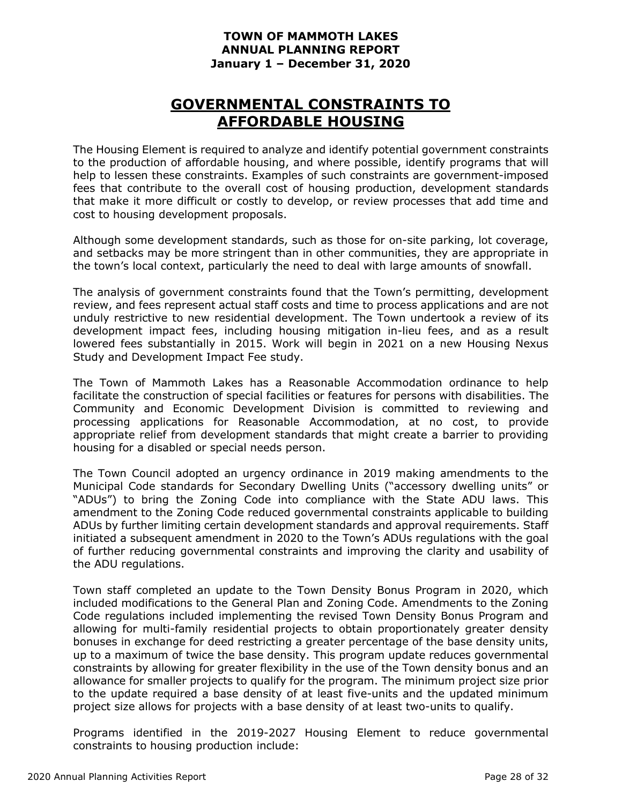### **GOVERNMENTAL CONSTRAINTS TO AFFORDABLE HOUSING**

The Housing Element is required to analyze and identify potential government constraints to the production of affordable housing, and where possible, identify programs that will help to lessen these constraints. Examples of such constraints are government-imposed fees that contribute to the overall cost of housing production, development standards that make it more difficult or costly to develop, or review processes that add time and cost to housing development proposals.

Although some development standards, such as those for on-site parking, lot coverage, and setbacks may be more stringent than in other communities, they are appropriate in the town's local context, particularly the need to deal with large amounts of snowfall.

The analysis of government constraints found that the Town's permitting, development review, and fees represent actual staff costs and time to process applications and are not unduly restrictive to new residential development. The Town undertook a review of its development impact fees, including housing mitigation in-lieu fees, and as a result lowered fees substantially in 2015. Work will begin in 2021 on a new Housing Nexus Study and Development Impact Fee study.

The Town of Mammoth Lakes has a Reasonable Accommodation ordinance to help facilitate the construction of special facilities or features for persons with disabilities. The Community and Economic Development Division is committed to reviewing and processing applications for Reasonable Accommodation, at no cost, to provide appropriate relief from development standards that might create a barrier to providing housing for a disabled or special needs person.

The Town Council adopted an urgency ordinance in 2019 making amendments to the Municipal Code standards for Secondary Dwelling Units ("accessory dwelling units" or "ADUs") to bring the Zoning Code into compliance with the State ADU laws. This amendment to the Zoning Code reduced governmental constraints applicable to building ADUs by further limiting certain development standards and approval requirements. Staff initiated a subsequent amendment in 2020 to the Town's ADUs regulations with the goal of further reducing governmental constraints and improving the clarity and usability of the ADU regulations.

Town staff completed an update to the Town Density Bonus Program in 2020, which included modifications to the General Plan and Zoning Code. Amendments to the Zoning Code regulations included implementing the revised Town Density Bonus Program and allowing for multi-family residential projects to obtain proportionately greater density bonuses in exchange for deed restricting a greater percentage of the base density units, up to a maximum of twice the base density. This program update reduces governmental constraints by allowing for greater flexibility in the use of the Town density bonus and an allowance for smaller projects to qualify for the program. The minimum project size prior to the update required a base density of at least five-units and the updated minimum project size allows for projects with a base density of at least two-units to qualify.

Programs identified in the 2019-2027 Housing Element to reduce governmental constraints to housing production include: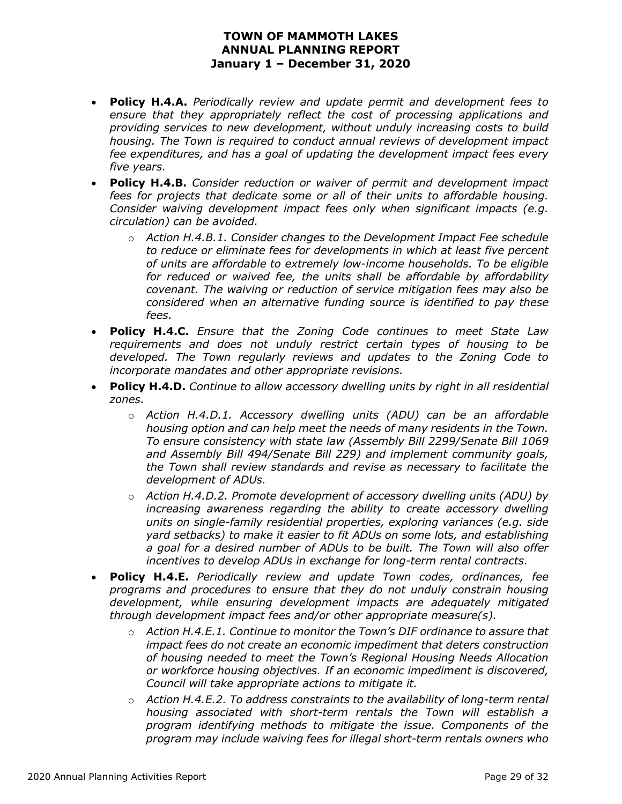- **Policy H.4.A.** *Periodically review and update permit and development fees to ensure that they appropriately reflect the cost of processing applications and providing services to new development, without unduly increasing costs to build housing. The Town is required to conduct annual reviews of development impact fee expenditures, and has a goal of updating the development impact fees every five years.*
- **Policy H.4.B.** *Consider reduction or waiver of permit and development impact*  fees for projects that dedicate some or all of their units to affordable housing. *Consider waiving development impact fees only when significant impacts (e.g. circulation) can be avoided.*
	- o *Action H.4.B.1. Consider changes to the Development Impact Fee schedule to reduce or eliminate fees for developments in which at least five percent of units are affordable to extremely low-income households. To be eligible for reduced or waived fee, the units shall be affordable by affordability covenant. The waiving or reduction of service mitigation fees may also be considered when an alternative funding source is identified to pay these fees.*
- **Policy H.4.C.** *Ensure that the Zoning Code continues to meet State Law requirements and does not unduly restrict certain types of housing to be developed. The Town regularly reviews and updates to the Zoning Code to incorporate mandates and other appropriate revisions.*
- **Policy H.4.D.** *Continue to allow accessory dwelling units by right in all residential zones.*
	- o *Action H.4.D.1. Accessory dwelling units (ADU) can be an affordable housing option and can help meet the needs of many residents in the Town. To ensure consistency with state law (Assembly Bill 2299/Senate Bill 1069 and Assembly Bill 494/Senate Bill 229) and implement community goals, the Town shall review standards and revise as necessary to facilitate the development of ADUs.*
	- o *Action H.4.D.2. Promote development of accessory dwelling units (ADU) by increasing awareness regarding the ability to create accessory dwelling units on single-family residential properties, exploring variances (e.g. side yard setbacks) to make it easier to fit ADUs on some lots, and establishing a goal for a desired number of ADUs to be built. The Town will also offer incentives to develop ADUs in exchange for long-term rental contracts.*
- **Policy H.4.E.** *Periodically review and update Town codes, ordinances, fee programs and procedures to ensure that they do not unduly constrain housing development, while ensuring development impacts are adequately mitigated through development impact fees and/or other appropriate measure(s).*
	- o *Action H.4.E.1. Continue to monitor the Town's DIF ordinance to assure that impact fees do not create an economic impediment that deters construction of housing needed to meet the Town's Regional Housing Needs Allocation or workforce housing objectives. If an economic impediment is discovered, Council will take appropriate actions to mitigate it.*
	- o *Action H.4.E.2. To address constraints to the availability of long-term rental housing associated with short-term rentals the Town will establish a program identifying methods to mitigate the issue. Components of the program may include waiving fees for illegal short-term rentals owners who*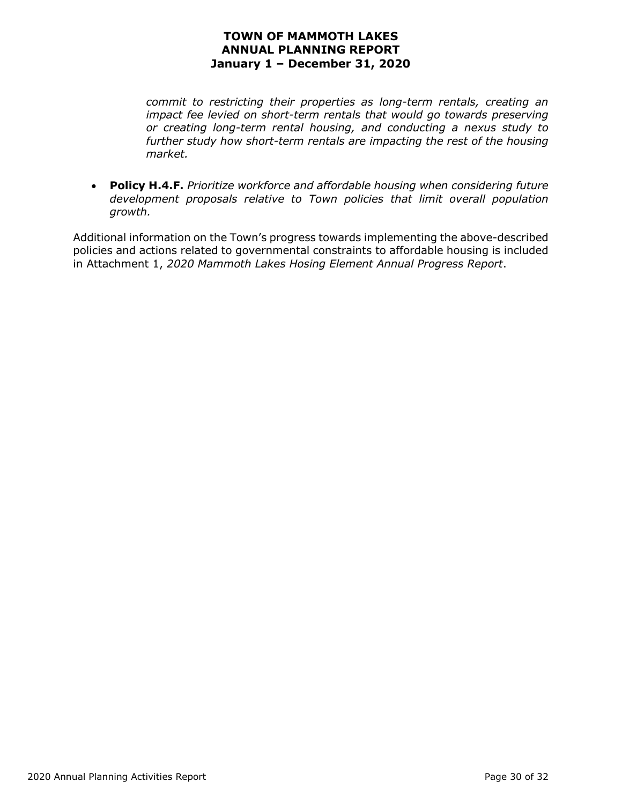*commit to restricting their properties as long-term rentals, creating an impact fee levied on short-term rentals that would go towards preserving or creating long-term rental housing, and conducting a nexus study to further study how short-term rentals are impacting the rest of the housing market.*

• **Policy H.4.F.** *Prioritize workforce and affordable housing when considering future development proposals relative to Town policies that limit overall population growth.*

Additional information on the Town's progress towards implementing the above-described policies and actions related to governmental constraints to affordable housing is included in Attachment 1, *2020 Mammoth Lakes Hosing Element Annual Progress Report*.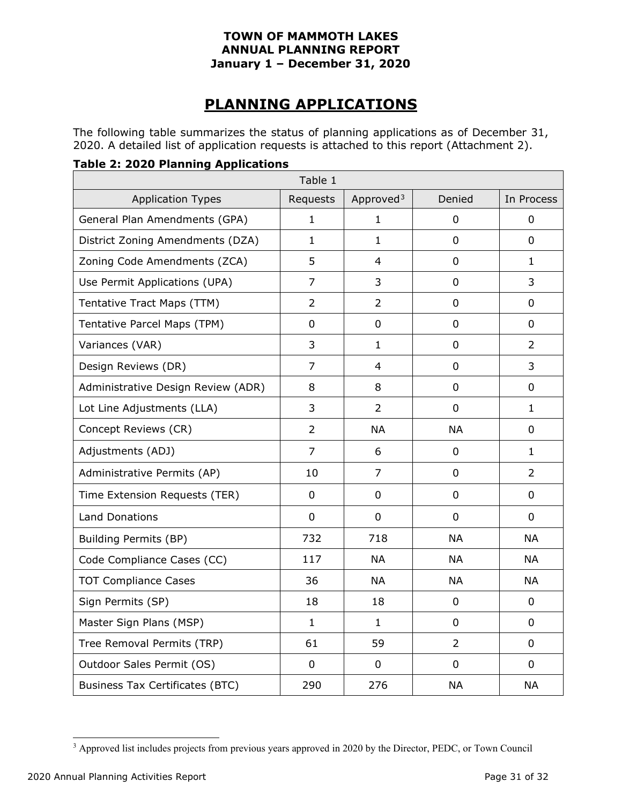### **PLANNING APPLICATIONS**

The following table summarizes the status of planning applications as of December 31, 2020. A detailed list of application requests is attached to this report (Attachment 2).

#### **Table 2: 2020 Planning Applications**

| Table 1                                |                |                       |                |                |  |  |  |  |  |  |
|----------------------------------------|----------------|-----------------------|----------------|----------------|--|--|--|--|--|--|
| <b>Application Types</b>               | Requests       | Approved <sup>3</sup> | Denied         | In Process     |  |  |  |  |  |  |
| General Plan Amendments (GPA)          | $\mathbf{1}$   | $\mathbf{1}$          | $\overline{0}$ | $\overline{0}$ |  |  |  |  |  |  |
| District Zoning Amendments (DZA)       | $\mathbf{1}$   | 1                     | $\overline{0}$ | $\Omega$       |  |  |  |  |  |  |
| Zoning Code Amendments (ZCA)           | 5              | 4                     | $\mathbf 0$    | $\mathbf{1}$   |  |  |  |  |  |  |
| Use Permit Applications (UPA)          | $\overline{7}$ | 3                     | $\mathbf 0$    | 3              |  |  |  |  |  |  |
| Tentative Tract Maps (TTM)             | $\overline{2}$ | $\overline{2}$        | $\overline{0}$ | 0              |  |  |  |  |  |  |
| Tentative Parcel Maps (TPM)            | $\overline{0}$ | $\overline{0}$        | $\overline{0}$ | $\overline{0}$ |  |  |  |  |  |  |
| Variances (VAR)                        | 3              | $\mathbf{1}$          | 0              | $\overline{2}$ |  |  |  |  |  |  |
| Design Reviews (DR)                    | $\overline{7}$ | $\overline{4}$        | $\mathbf 0$    | 3              |  |  |  |  |  |  |
| Administrative Design Review (ADR)     | 8              | 8                     | $\overline{0}$ | $\overline{0}$ |  |  |  |  |  |  |
| Lot Line Adjustments (LLA)             | $\overline{3}$ | $\overline{2}$        | $\overline{0}$ | $\mathbf{1}$   |  |  |  |  |  |  |
| Concept Reviews (CR)                   | $\overline{2}$ | <b>NA</b>             | <b>NA</b>      | 0              |  |  |  |  |  |  |
| Adjustments (ADJ)                      | $\overline{7}$ | 6                     | $\overline{0}$ | $\mathbf{1}$   |  |  |  |  |  |  |
| Administrative Permits (AP)            | 10             | $\overline{7}$        | $\mathbf 0$    | $\overline{2}$ |  |  |  |  |  |  |
| Time Extension Requests (TER)          | $\mathbf 0$    | $\mathbf 0$           | $\mathbf 0$    | $\mathbf 0$    |  |  |  |  |  |  |
| <b>Land Donations</b>                  | $\overline{0}$ | 0                     | $\overline{0}$ | $\overline{0}$ |  |  |  |  |  |  |
| <b>Building Permits (BP)</b>           | 732            | 718                   | <b>NA</b>      | <b>NA</b>      |  |  |  |  |  |  |
| Code Compliance Cases (CC)             | 117            | <b>NA</b>             | <b>NA</b>      | <b>NA</b>      |  |  |  |  |  |  |
| <b>TOT Compliance Cases</b>            | 36             | <b>NA</b>             | <b>NA</b>      | <b>NA</b>      |  |  |  |  |  |  |
| Sign Permits (SP)                      | 18             | 18                    | $\mathbf 0$    | $\mathbf 0$    |  |  |  |  |  |  |
| Master Sign Plans (MSP)                | $\mathbf{1}$   | $\mathbf{1}$          | $\mathbf 0$    | $\mathbf 0$    |  |  |  |  |  |  |
| Tree Removal Permits (TRP)             | 61             | 59                    | $\overline{2}$ | 0              |  |  |  |  |  |  |
| Outdoor Sales Permit (OS)              | $\overline{0}$ | 0                     | 0              | $\overline{0}$ |  |  |  |  |  |  |
| <b>Business Tax Certificates (BTC)</b> | 290            | 276                   | <b>NA</b>      | <b>NA</b>      |  |  |  |  |  |  |

<span id="page-30-0"></span><sup>&</sup>lt;sup>3</sup> Approved list includes projects from previous years approved in 2020 by the Director, PEDC, or Town Council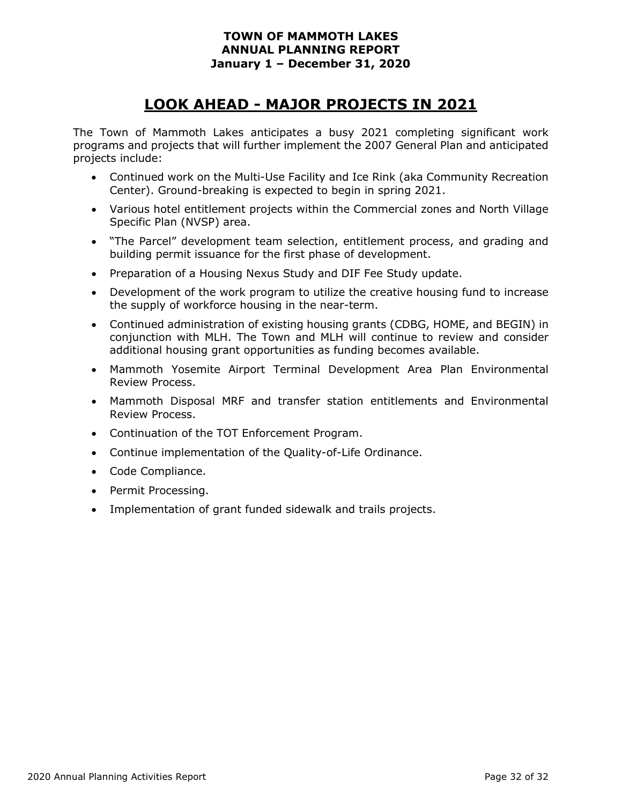### **LOOK AHEAD - MAJOR PROJECTS IN 2021**

The Town of Mammoth Lakes anticipates a busy 2021 completing significant work programs and projects that will further implement the 2007 General Plan and anticipated projects include:

- Continued work on the Multi-Use Facility and Ice Rink (aka Community Recreation Center). Ground-breaking is expected to begin in spring 2021.
- Various hotel entitlement projects within the Commercial zones and North Village Specific Plan (NVSP) area.
- "The Parcel" development team selection, entitlement process, and grading and building permit issuance for the first phase of development.
- Preparation of a Housing Nexus Study and DIF Fee Study update.
- Development of the work program to utilize the creative housing fund to increase the supply of workforce housing in the near-term.
- Continued administration of existing housing grants (CDBG, HOME, and BEGIN) in conjunction with MLH. The Town and MLH will continue to review and consider additional housing grant opportunities as funding becomes available.
- Mammoth Yosemite Airport Terminal Development Area Plan Environmental Review Process.
- Mammoth Disposal MRF and transfer station entitlements and Environmental Review Process.
- Continuation of the TOT Enforcement Program.
- Continue implementation of the Quality-of-Life Ordinance.
- Code Compliance.
- Permit Processing.
- Implementation of grant funded sidewalk and trails projects.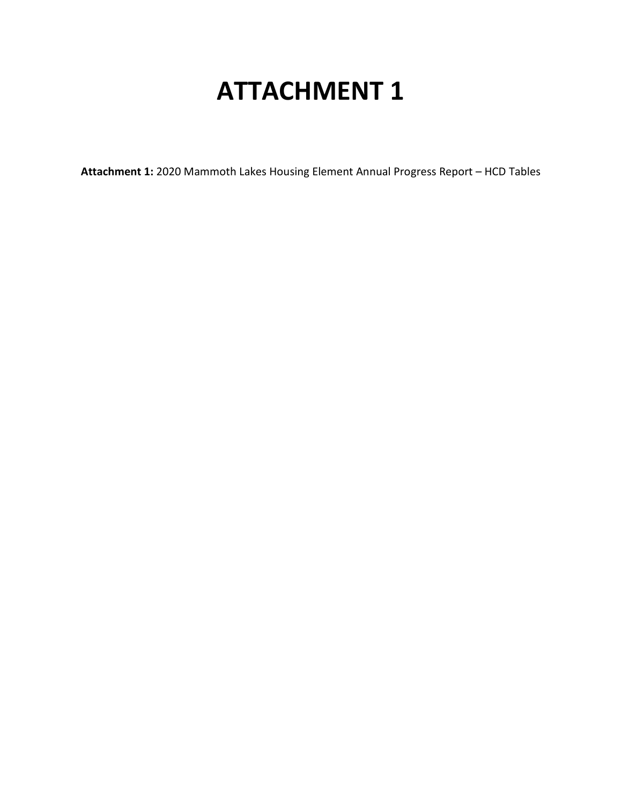# **ATTACHMENT 1**

**Attachment 1:** 2020 Mammoth Lakes Housing Element Annual Progress Report – HCD Tables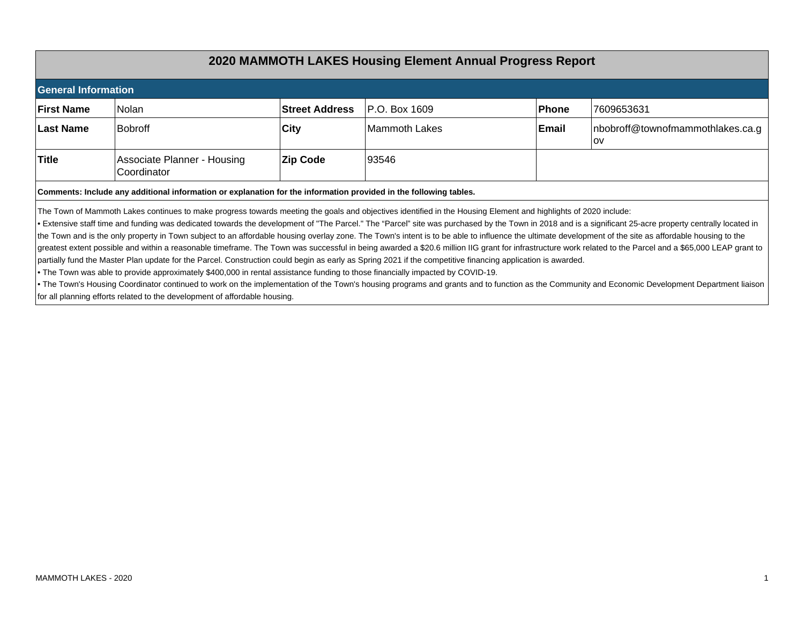### **2020 MAMMOTH LAKES Housing Element Annual Progress Report**

| <b>General Information</b>                                                                                                                                                                                                                                                                                                                                                                                                                                                                                                                                                                                                                                                                                                                                                                                                                                                                                                                                          |                                                                                                                   |                 |                |       |                                               |  |  |  |  |  |
|---------------------------------------------------------------------------------------------------------------------------------------------------------------------------------------------------------------------------------------------------------------------------------------------------------------------------------------------------------------------------------------------------------------------------------------------------------------------------------------------------------------------------------------------------------------------------------------------------------------------------------------------------------------------------------------------------------------------------------------------------------------------------------------------------------------------------------------------------------------------------------------------------------------------------------------------------------------------|-------------------------------------------------------------------------------------------------------------------|-----------------|----------------|-------|-----------------------------------------------|--|--|--|--|--|
| <b>First Name</b>                                                                                                                                                                                                                                                                                                                                                                                                                                                                                                                                                                                                                                                                                                                                                                                                                                                                                                                                                   | lNolan                                                                                                            | 7609653631      |                |       |                                               |  |  |  |  |  |
| <b>Last Name</b>                                                                                                                                                                                                                                                                                                                                                                                                                                                                                                                                                                                                                                                                                                                                                                                                                                                                                                                                                    | lBobroff                                                                                                          | <b>City</b>     | lMammoth Lakes | Email | nbobroff@townofmammothlakes.ca.g<br><b>OV</b> |  |  |  |  |  |
| <b>Title</b>                                                                                                                                                                                                                                                                                                                                                                                                                                                                                                                                                                                                                                                                                                                                                                                                                                                                                                                                                        | Associate Planner - Housing<br>Coordinator                                                                        | <b>Zip Code</b> | 193546         |       |                                               |  |  |  |  |  |
|                                                                                                                                                                                                                                                                                                                                                                                                                                                                                                                                                                                                                                                                                                                                                                                                                                                                                                                                                                     | Comments: Include any additional information or explanation for the information provided in the following tables. |                 |                |       |                                               |  |  |  |  |  |
| The Town of Mammoth Lakes continues to make progress towards meeting the goals and objectives identified in the Housing Element and highlights of 2020 include:<br>• Extensive staff time and funding was dedicated towards the development of "The Parcel." The "Parcel" site was purchased by the Town in 2018 and is a significant 25-acre property centrally located in<br>the Town and is the only property in Town subject to an affordable housing overlay zone. The Town's intent is to be able to influence the ultimate development of the site as affordable housing to the<br>greatest extent possible and within a reasonable timeframe. The Town was successful in being awarded a \$20.6 million IIG grant for infrastructure work related to the Parcel and a \$65,000 LEAP grant to<br>partially fund the Master Plan update for the Parcel. Construction could begin as early as Spring 2021 if the competitive financing application is awarded. |                                                                                                                   |                 |                |       |                                               |  |  |  |  |  |
| . The Town was able to provide approximately \$400,000 in rental assistance funding to those financially impacted by COVID-19.<br>. The Town's Housing Coordinator continued to work on the implementation of the Town's housing programs and grants and to function as the Community and Economic Development Department liaison<br>for all planning efforts related to the development of affordable housing.                                                                                                                                                                                                                                                                                                                                                                                                                                                                                                                                                     |                                                                                                                   |                 |                |       |                                               |  |  |  |  |  |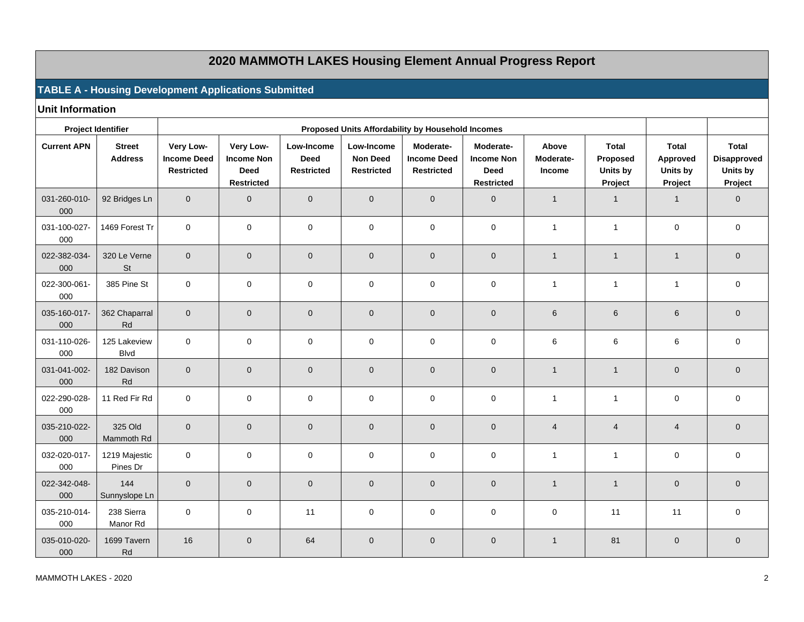### **2020 MAMMOTH LAKES Housing Element Annual Progress Report**

#### **TABLE A - Housing Development Applications Submitted**

**Unit Information**

|                     | <b>Project Identifier</b>       |                                                      |                                                                    |                                                |                                                    |                                                      |                                                             |                              |                                                 |                                                 |                                                           |
|---------------------|---------------------------------|------------------------------------------------------|--------------------------------------------------------------------|------------------------------------------------|----------------------------------------------------|------------------------------------------------------|-------------------------------------------------------------|------------------------------|-------------------------------------------------|-------------------------------------------------|-----------------------------------------------------------|
| <b>Current APN</b>  | <b>Street</b><br><b>Address</b> | Very Low-<br><b>Income Deed</b><br><b>Restricted</b> | Very Low-<br><b>Income Non</b><br><b>Deed</b><br><b>Restricted</b> | Low-Income<br><b>Deed</b><br><b>Restricted</b> | Low-Income<br><b>Non Deed</b><br><b>Restricted</b> | Moderate-<br><b>Income Deed</b><br><b>Restricted</b> | Moderate-<br><b>Income Non</b><br><b>Deed</b><br>Restricted | Above<br>Moderate-<br>Income | <b>Total</b><br>Proposed<br>Units by<br>Project | <b>Total</b><br>Approved<br>Units by<br>Project | <b>Total</b><br><b>Disapproved</b><br>Units by<br>Project |
| 031-260-010-<br>000 | 92 Bridges Ln                   | $\mathbf 0$                                          | $\overline{0}$                                                     | $\mathbf 0$                                    | $\mathbf 0$                                        | $\mathbf 0$                                          | $\mathbf{0}$                                                | $\overline{1}$               | $\mathbf{1}$                                    | $\overline{1}$                                  | $\mathbf 0$                                               |
| 031-100-027-<br>000 | 1469 Forest Tr                  | $\mathbf{0}$                                         | $\mathbf 0$                                                        | $\mathbf 0$                                    | $\mathbf 0$                                        | $\mathbf 0$                                          | $\mathbf 0$                                                 | $\mathbf{1}$                 | $\mathbf{1}$                                    | $\mathbf 0$                                     | $\mathbf 0$                                               |
| 022-382-034-<br>000 | 320 Le Verne<br><b>St</b>       | $\mathbf{0}$                                         | $\overline{0}$                                                     | $\mathbf 0$                                    | $\mathbf 0$                                        | $\mathbf 0$                                          | $\overline{0}$                                              | $\mathbf{1}$                 | $\mathbf{1}$                                    | $\overline{1}$                                  | $\mathbf 0$                                               |
| 022-300-061-<br>000 | 385 Pine St                     | $\mathbf 0$                                          | $\mathbf 0$                                                        | $\mathbf 0$                                    | $\pmb{0}$                                          | $\mathbf 0$                                          | $\mathbf 0$                                                 | $\mathbf{1}$                 | $\mathbf{1}$                                    | $\overline{1}$                                  | $\mathbf 0$                                               |
| 035-160-017-<br>000 | 362 Chaparral<br>Rd             | $\mathbf{0}$                                         | $\overline{0}$                                                     | $\mathbf 0$                                    | $\mathbf 0$                                        | $\mathbf 0$                                          | $\mathbf{0}$                                                | 6                            | $\,6$                                           | $6\phantom{1}$                                  | $\mathbf 0$                                               |
| 031-110-026-<br>000 | 125 Lakeview<br><b>Blvd</b>     | $\mathbf 0$                                          | $\mathbf{0}$                                                       | $\mathbf 0$                                    | 0                                                  | $\mathbf 0$                                          | $\Omega$                                                    | 6                            | 6                                               | 6                                               | $\mathbf 0$                                               |
| 031-041-002-<br>000 | 182 Davison<br>Rd               | $\mathbf{0}$                                         | $\overline{0}$                                                     | $\mathbf 0$                                    | $\pmb{0}$                                          | $\mathbf 0$                                          | $\overline{0}$                                              | $\overline{1}$               | $\mathbf{1}$                                    | $\overline{0}$                                  | $\mathbf 0$                                               |
| 022-290-028-<br>000 | 11 Red Fir Rd                   | $\mathsf{O}\xspace$                                  | $\mathbf 0$                                                        | $\mathbf 0$                                    | $\pmb{0}$                                          | $\mathbf 0$                                          | $\mathbf 0$                                                 | $\mathbf{1}$                 | $\mathbf{1}$                                    | $\mathbf 0$                                     | $\mathbf 0$                                               |
| 035-210-022-<br>000 | 325 Old<br>Mammoth Rd           | $\Omega$                                             | $\overline{0}$                                                     | $\mathbf{0}$                                   | $\mathbf{0}$                                       | $\mathbf{0}$                                         | $\Omega$                                                    | $\overline{4}$               | $\overline{4}$                                  | $\overline{4}$                                  | $\mathbf 0$                                               |
| 032-020-017-<br>000 | 1219 Majestic<br>Pines Dr       | $\mathbf 0$                                          | $\mathbf 0$                                                        | $\mathbf 0$                                    | $\pmb{0}$                                          | $\mathbf 0$                                          | $\mathbf 0$                                                 | $\mathbf{1}$                 | $\mathbf{1}$                                    | $\mathbf 0$                                     | $\mathbf 0$                                               |
| 022-342-048-<br>000 | 144<br>Sunnyslope Ln            | $\Omega$                                             | $\Omega$                                                           | $\mathbf{0}$                                   | $\mathbf{0}$                                       | $\mathbf{0}$                                         | $\Omega$                                                    | $\mathbf{1}$                 | $\mathbf{1}$                                    | $\overline{0}$                                  | $\mathbf 0$                                               |
| 035-210-014-<br>000 | 238 Sierra<br>Manor Rd          | $\mathbf 0$                                          | 0                                                                  | 11                                             | 0                                                  | 0                                                    | $\mathbf 0$                                                 | $\mathbf 0$                  | 11                                              | 11                                              | $\mathbf 0$                                               |
| 035-010-020-<br>000 | 1699 Tavern<br>Rd               | 16                                                   | $\overline{0}$                                                     | 64                                             | $\pmb{0}$                                          | $\pmb{0}$                                            | $\overline{0}$                                              | $\overline{1}$               | 81                                              | $\mathbf 0$                                     | $\mathbf 0$                                               |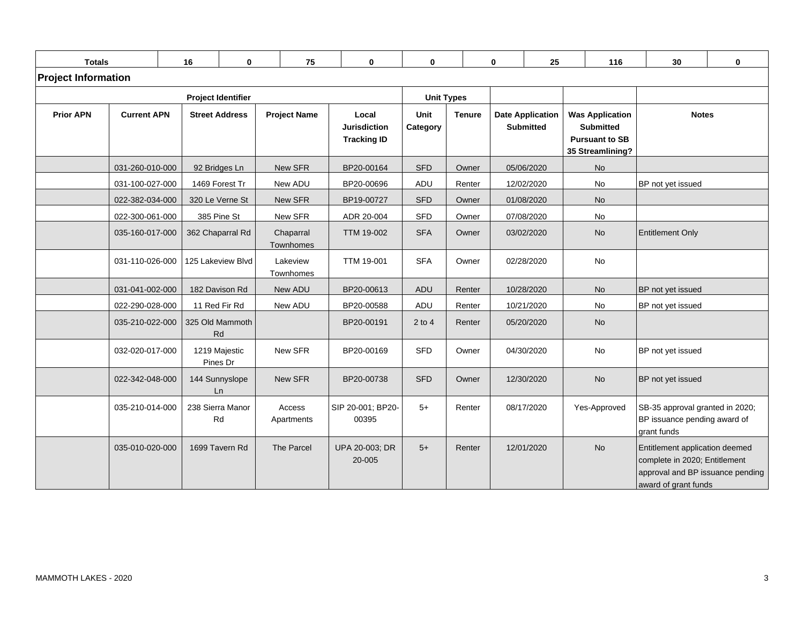| <b>Totals</b>              |                           | 16            | $\bf{0}$                  | 75                     | $\bf{0}$                                           | $\bf{0}$          |               | $\mathbf{0}$ | 25                                          |              | 116                                                                                     | 30                                                                                                                          | $\mathbf{0}$ |
|----------------------------|---------------------------|---------------|---------------------------|------------------------|----------------------------------------------------|-------------------|---------------|--------------|---------------------------------------------|--------------|-----------------------------------------------------------------------------------------|-----------------------------------------------------------------------------------------------------------------------------|--------------|
| <b>Project Information</b> |                           |               |                           |                        |                                                    |                   |               |              |                                             |              |                                                                                         |                                                                                                                             |              |
|                            | <b>Project Identifier</b> |               |                           |                        |                                                    | <b>Unit Types</b> |               |              |                                             |              |                                                                                         |                                                                                                                             |              |
| <b>Prior APN</b>           | <b>Current APN</b>        |               | <b>Street Address</b>     | <b>Project Name</b>    | Local<br><b>Jurisdiction</b><br><b>Tracking ID</b> | Unit<br>Category  | <b>Tenure</b> |              | <b>Date Application</b><br><b>Submitted</b> |              | <b>Was Application</b><br><b>Submitted</b><br><b>Pursuant to SB</b><br>35 Streamlining? | <b>Notes</b>                                                                                                                |              |
|                            | 031-260-010-000           |               | 92 Bridges Ln             | New SFR                | BP20-00164                                         | <b>SFD</b>        | Owner         |              | 05/06/2020                                  | <b>No</b>    |                                                                                         |                                                                                                                             |              |
|                            | 031-100-027-000           |               | 1469 Forest Tr            | New ADU                | BP20-00696                                         | <b>ADU</b>        | Renter        |              | 12/02/2020                                  | No           |                                                                                         | BP not yet issued                                                                                                           |              |
|                            | 022-382-034-000           |               | 320 Le Verne St           | New SFR                | BP19-00727                                         | <b>SFD</b>        | Owner         |              | 01/08/2020                                  | <b>No</b>    |                                                                                         |                                                                                                                             |              |
|                            | 022-300-061-000           |               | 385 Pine St               | New SFR                | ADR 20-004                                         | <b>SFD</b>        | Owner         |              | 07/08/2020                                  | No           |                                                                                         |                                                                                                                             |              |
|                            | 035-160-017-000           |               | 362 Chaparral Rd          | Chaparral<br>Townhomes | <b>TTM 19-002</b>                                  | <b>SFA</b>        | Owner         |              | 03/02/2020                                  | <b>No</b>    |                                                                                         | <b>Entitlement Only</b>                                                                                                     |              |
|                            | 031-110-026-000           |               | 125 Lakeview Blyd         | Lakeview<br>Townhomes  | <b>TTM 19-001</b>                                  | <b>SFA</b>        | Owner         |              | 02/28/2020                                  | <b>No</b>    |                                                                                         |                                                                                                                             |              |
|                            | 031-041-002-000           |               | 182 Davison Rd            | New ADU                | BP20-00613                                         | <b>ADU</b>        | Renter        |              | 10/28/2020                                  | <b>No</b>    |                                                                                         | BP not yet issued                                                                                                           |              |
|                            | 022-290-028-000           | 11 Red Fir Rd |                           | New ADU                | BP20-00588                                         | ADU               | Renter        |              | 10/21/2020                                  | No           |                                                                                         | BP not yet issued                                                                                                           |              |
|                            | 035-210-022-000           | Rd            | 325 Old Mammoth           |                        | BP20-00191                                         | $2$ to 4          | Renter        |              | 05/20/2020                                  | <b>No</b>    |                                                                                         |                                                                                                                             |              |
|                            | 032-020-017-000           |               | 1219 Majestic<br>Pines Dr | New SFR                | BP20-00169                                         | <b>SFD</b>        | Owner         |              | 04/30/2020                                  | No           |                                                                                         | BP not yet issued                                                                                                           |              |
|                            | 022-342-048-000           |               | 144 Sunnyslope<br>Ln      | New SFR                | BP20-00738                                         | <b>SFD</b>        | Owner         |              | 12/30/2020                                  | <b>No</b>    |                                                                                         | BP not yet issued                                                                                                           |              |
|                            | 035-210-014-000           | Rd            | 238 Sierra Manor          | Access<br>Apartments   | SIP 20-001; BP20-<br>00395                         | $5+$              | Renter        |              | 08/17/2020                                  | Yes-Approved |                                                                                         | SB-35 approval granted in 2020;<br>BP issuance pending award of<br>grant funds                                              |              |
|                            | 035-010-020-000           |               | 1699 Tavern Rd            | The Parcel             | UPA 20-003; DR<br>20-005                           | $5+$              | Renter        |              | 12/01/2020                                  | <b>No</b>    |                                                                                         | Entitlement application deemed<br>complete in 2020; Entitlement<br>approval and BP issuance pending<br>award of grant funds |              |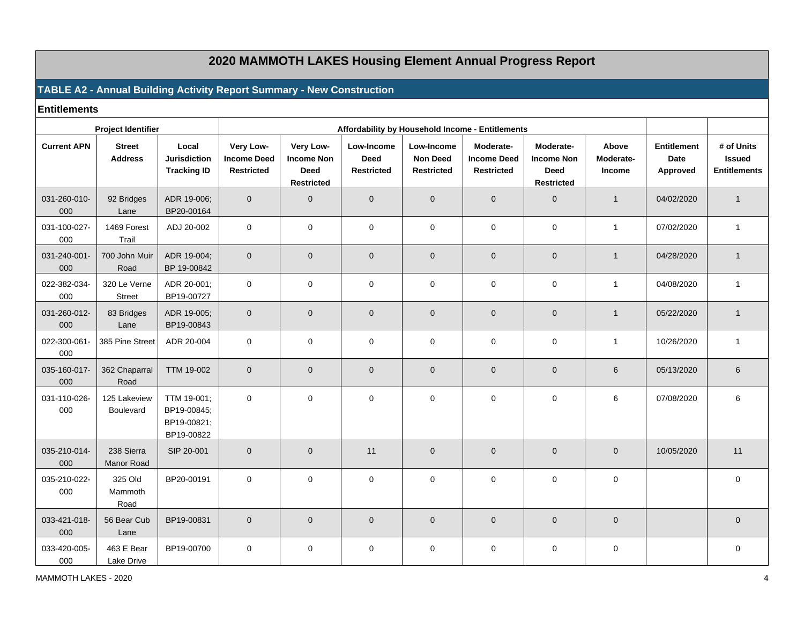## **2020 MAMMOTH LAKES Housing Element Annual Progress Report**

### **TABLE A2 - Annual Building Activity Report Summary - New Construction**

**Entitlements**

|                     | <b>Project Identifier</b>       |                                                         |                                                      | Affordability by Household Income - Entitlements                   |                                                |                                                    |                                                      |                                                                    |                              |                                        |                                                    |
|---------------------|---------------------------------|---------------------------------------------------------|------------------------------------------------------|--------------------------------------------------------------------|------------------------------------------------|----------------------------------------------------|------------------------------------------------------|--------------------------------------------------------------------|------------------------------|----------------------------------------|----------------------------------------------------|
| <b>Current APN</b>  | <b>Street</b><br><b>Address</b> | Local<br><b>Jurisdiction</b><br><b>Tracking ID</b>      | Very Low-<br><b>Income Deed</b><br><b>Restricted</b> | Very Low-<br><b>Income Non</b><br><b>Deed</b><br><b>Restricted</b> | Low-Income<br><b>Deed</b><br><b>Restricted</b> | Low-Income<br><b>Non Deed</b><br><b>Restricted</b> | Moderate-<br><b>Income Deed</b><br><b>Restricted</b> | Moderate-<br><b>Income Non</b><br><b>Deed</b><br><b>Restricted</b> | Above<br>Moderate-<br>Income | <b>Entitlement</b><br>Date<br>Approved | # of Units<br><b>Issued</b><br><b>Entitlements</b> |
| 031-260-010-<br>000 | 92 Bridges<br>Lane              | ADR 19-006;<br>BP20-00164                               | $\overline{0}$                                       | $\mathbf 0$                                                        | $\mathbf 0$                                    | $\mathbf 0$                                        | $\mathbf{0}$                                         | $\mathbf{0}$                                                       | $\mathbf{1}$                 | 04/02/2020                             | $\overline{1}$                                     |
| 031-100-027-<br>000 | 1469 Forest<br>Trail            | ADJ 20-002                                              | $\mathbf 0$                                          | $\mathbf 0$                                                        | $\pmb{0}$                                      | $\mathbf 0$                                        | $\mathbf 0$                                          | 0                                                                  | $\mathbf{1}$                 | 07/02/2020                             | $\mathbf{1}$                                       |
| 031-240-001-<br>000 | 700 John Muir<br>Road           | ADR 19-004;<br>BP 19-00842                              | $\mathbf{0}$                                         | $\mathbf 0$                                                        | $\mathbf 0$                                    | $\mathbf{0}$                                       | $\mathbf{0}$                                         | $\overline{0}$                                                     | $\mathbf{1}$                 | 04/28/2020                             | $\overline{1}$                                     |
| 022-382-034-<br>000 | 320 Le Verne<br><b>Street</b>   | ADR 20-001;<br>BP19-00727                               | $\mathbf 0$                                          | $\mathbf 0$                                                        | $\pmb{0}$                                      | $\mathbf 0$                                        | $\mathbf 0$                                          | $\mathbf{0}$                                                       | $\mathbf{1}$                 | 04/08/2020                             | $\overline{1}$                                     |
| 031-260-012-<br>000 | 83 Bridges<br>Lane              | ADR 19-005;<br>BP19-00843                               | $\overline{0}$                                       | $\mathbf 0$                                                        | $\mathbf 0$                                    | $\mathbf 0$                                        | $\overline{0}$                                       | $\overline{0}$                                                     | $\overline{1}$               | 05/22/2020                             | $\overline{1}$                                     |
| 022-300-061-<br>000 | 385 Pine Street                 | ADR 20-004                                              | $\mathbf 0$                                          | $\mathbf 0$                                                        | $\pmb{0}$                                      | $\mathbf 0$                                        | $\mathbf 0$                                          | $\mathbf 0$                                                        | $\mathbf{1}$                 | 10/26/2020                             | $\mathbf{1}$                                       |
| 035-160-017-<br>000 | 362 Chaparral<br>Road           | TTM 19-002                                              | $\mathbf{0}$                                         | $\mathbf 0$                                                        | $\mathbf 0$                                    | $\mathbf{0}$                                       | $\mathbf{0}$                                         | $\mathbf 0$                                                        | 6                            | 05/13/2020                             | 6                                                  |
| 031-110-026-<br>000 | 125 Lakeview<br>Boulevard       | TTM 19-001;<br>BP19-00845;<br>BP19-00821;<br>BP19-00822 | $\mathbf 0$                                          | 0                                                                  | 0                                              | $\mathbf 0$                                        | $\mathbf 0$                                          | 0                                                                  | 6                            | 07/08/2020                             | 6                                                  |
| 035-210-014-<br>000 | 238 Sierra<br><b>Manor Road</b> | SIP 20-001                                              | $\mathbf{0}$                                         | $\mathbf 0$                                                        | 11                                             | $\mathbf{0}$                                       | $\mathbf{0}$                                         | $\mathbf 0$                                                        | $\mathbf{0}$                 | 10/05/2020                             | 11                                                 |
| 035-210-022-<br>000 | 325 Old<br>Mammoth<br>Road      | BP20-00191                                              | $\mathbf 0$                                          | 0                                                                  | 0                                              | $\mathbf 0$                                        | $\mathbf 0$                                          | 0                                                                  | $\mathbf 0$                  |                                        | $\mathbf 0$                                        |
| 033-421-018-<br>000 | 56 Bear Cub<br>Lane             | BP19-00831                                              | $\mathbf 0$                                          | $\mathbf 0$                                                        | $\pmb{0}$                                      | $\mathbf 0$                                        | $\mathbf 0$                                          | $\overline{0}$                                                     | $\mathbf 0$                  |                                        | $\mathbf 0$                                        |
| 033-420-005-<br>000 | 463 E Bear<br>Lake Drive        | BP19-00700                                              | $\mathbf 0$                                          | $\mathbf 0$                                                        | $\pmb{0}$                                      | $\mathbf 0$                                        | $\mathbf 0$                                          | 0                                                                  | $\mathbf 0$                  |                                        | $\mathbf 0$                                        |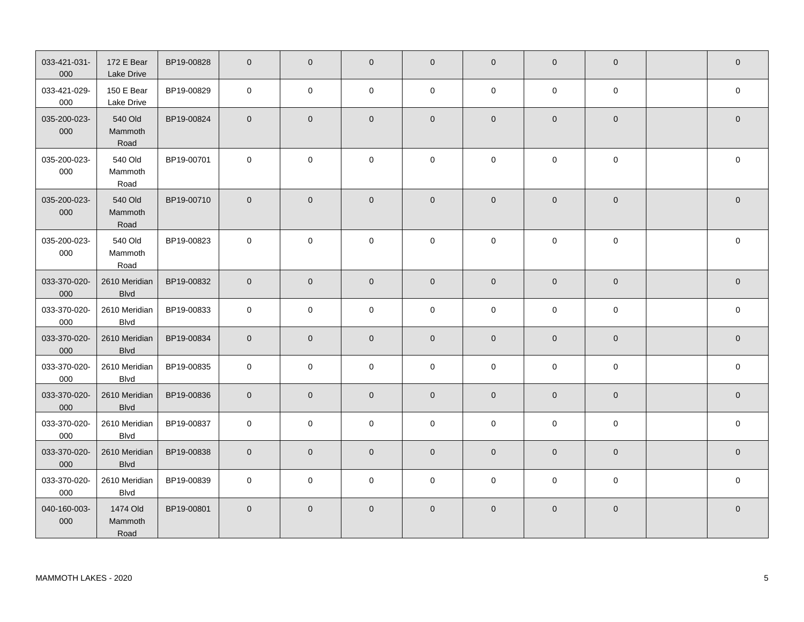| 033-421-031-<br>000 | 172 E Bear<br>Lake Drive     | BP19-00828 | $\mathbf 0$    | $\mathbf{0}$   | $\overline{0}$ | $\mathbf 0$         | $\overline{0}$ | $\overline{0}$ | $\overline{0}$ | $\mathbf 0$    |
|---------------------|------------------------------|------------|----------------|----------------|----------------|---------------------|----------------|----------------|----------------|----------------|
| 033-421-029-<br>000 | 150 E Bear<br>Lake Drive     | BP19-00829 | $\mathbf 0$    | $\mathbf 0$    | 0              | $\mathbf 0$         | $\mathbf 0$    | $\mathbf 0$    | $\mathbf 0$    | $\mathsf 0$    |
| 035-200-023-<br>000 | 540 Old<br>Mammoth<br>Road   | BP19-00824 | $\overline{0}$ | $\mathbf 0$    | $\pmb{0}$      | $\mathsf{O}\xspace$ | $\overline{0}$ | $\mathbf 0$    | $\overline{0}$ | $\mathbf 0$    |
| 035-200-023-<br>000 | 540 Old<br>Mammoth<br>Road   | BP19-00701 | $\mathbf 0$    | $\mathbf 0$    | 0              | 0                   | $\mathbf 0$    | $\mathbf 0$    | $\mathbf 0$    | $\mathbf 0$    |
| 035-200-023-<br>000 | 540 Old<br>Mammoth<br>Road   | BP19-00710 | $\mathbf{0}$   | $\mathbf{0}$   | $\mathbf 0$    | $\mathbf 0$         | $\overline{0}$ | $\mathbf{0}$   | $\overline{0}$ | $\mathbf 0$    |
| 035-200-023-<br>000 | 540 Old<br>Mammoth<br>Road   | BP19-00823 | $\mathbf 0$    | $\mathbf 0$    | $\mathbf 0$    | 0                   | $\mathbf 0$    | $\mathbf 0$    | $\mathbf 0$    | 0              |
| 033-370-020-<br>000 | 2610 Meridian<br><b>Blvd</b> | BP19-00832 | $\mathbf{0}$   | $\mathbf{0}$   | $\mathbf{0}$   | $\overline{0}$      | $\mathbf{0}$   | $\mathbf{0}$   | $\overline{0}$ | $\overline{0}$ |
| 033-370-020-<br>000 | 2610 Meridian<br><b>Blvd</b> | BP19-00833 | $\mathbf 0$    | $\mathbf 0$    | $\mathbf 0$    | $\mathsf{O}\xspace$ | $\mathsf 0$    | $\mathbf 0$    | $\mathbf 0$    | $\pmb{0}$      |
| 033-370-020-<br>000 | 2610 Meridian<br><b>Blvd</b> | BP19-00834 | $\overline{0}$ | $\mathbf{0}$   | $\mathbf 0$    | $\mathbf 0$         | $\overline{0}$ | $\mathbf 0$    | $\overline{0}$ | $\mathbf 0$    |
| 033-370-020-<br>000 | 2610 Meridian<br><b>Blvd</b> | BP19-00835 | $\mathbf 0$    | $\mathbf 0$    | $\mathbf 0$    | $\mathbf 0$         | $\mathbf 0$    | $\mathbf 0$    | $\mathbf 0$    | $\mathbf 0$    |
| 033-370-020-<br>000 | 2610 Meridian<br><b>Blvd</b> | BP19-00836 | $\mathbf 0$    | $\overline{0}$ | $\mathbf 0$    | $\mathsf{O}\xspace$ | $\overline{0}$ | $\mathsf 0$    | $\overline{0}$ | $\pmb{0}$      |
| 033-370-020-<br>000 | 2610 Meridian<br><b>Blvd</b> | BP19-00837 | $\mathbf 0$    | $\mathbf 0$    | $\mathbf 0$    | $\mathbf 0$         | $\mathbf 0$    | $\mathbf 0$    | $\mathbf 0$    | $\mathsf 0$    |
| 033-370-020-<br>000 | 2610 Meridian<br><b>Blvd</b> | BP19-00838 | $\overline{0}$ | $\mathbf 0$    | $\mathbf 0$    | $\mathbf{0}$        | $\overline{0}$ | $\mathbf 0$    | $\mathbf 0$    | $\mathbf 0$    |
| 033-370-020-<br>000 | 2610 Meridian<br><b>Blvd</b> | BP19-00839 | $\mathbf 0$    | $\mathbf 0$    | 0              | 0                   | 0              | $\mathbf 0$    | $\mathbf 0$    | 0              |
| 040-160-003-<br>000 | 1474 Old<br>Mammoth<br>Road  | BP19-00801 | $\overline{0}$ | $\mathbf{0}$   | $\mathbf 0$    | $\mathbf 0$         | $\mathbf 0$    | $\mathbf{0}$   | $\overline{0}$ | $\mathbf 0$    |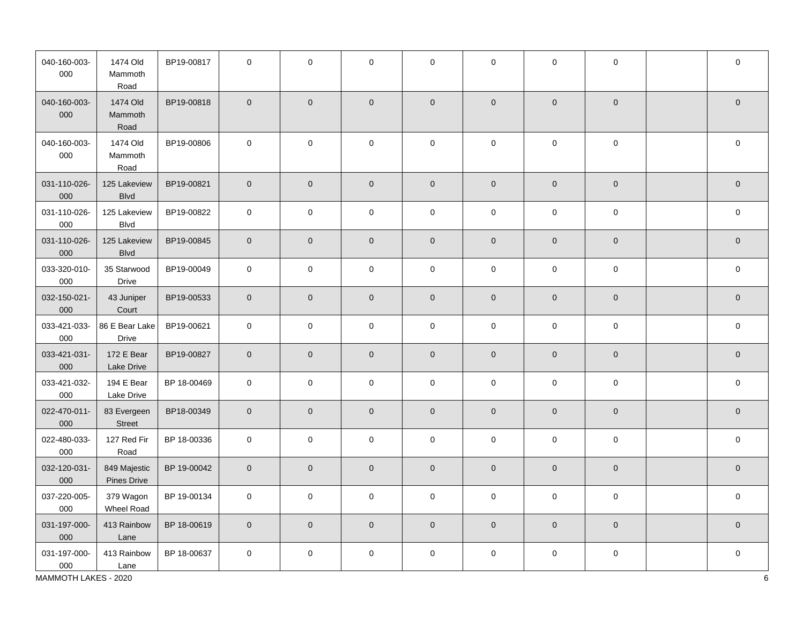| 040-160-003-<br>000 | 1474 Old<br>Mammoth<br>Road    | BP19-00817  | $\mathbf 0$         | $\mathbf 0$         | $\mathbf 0$         | 0                   | $\mathbf 0$ | $\mathbf 0$         | $\mathbf 0$         | $\mathbf 0$         |
|---------------------|--------------------------------|-------------|---------------------|---------------------|---------------------|---------------------|-------------|---------------------|---------------------|---------------------|
| 040-160-003-<br>000 | 1474 Old<br>Mammoth<br>Road    | BP19-00818  | $\mathsf{O}\xspace$ | $\mathbf 0$         | $\mathsf{O}\xspace$ | $\mathbf 0$         | $\pmb{0}$   | $\mathbf{0}$        | $\pmb{0}$           | $\mathbf{0}$        |
| 040-160-003-<br>000 | 1474 Old<br>Mammoth<br>Road    | BP19-00806  | $\mathbf 0$         | $\mathsf{O}\xspace$ | $\mathsf{O}\xspace$ | $\mathsf 0$         | $\pmb{0}$   | $\pmb{0}$           | $\mathsf{O}\xspace$ | $\mathsf{O}\xspace$ |
| 031-110-026-<br>000 | 125 Lakeview<br><b>Blvd</b>    | BP19-00821  | $\mathbf 0$         | $\mathsf{O}\xspace$ | $\mathsf{O}\xspace$ | $\mathbf 0$         | $\mathbf 0$ | $\mathbf 0$         | $\mathsf{O}\xspace$ | $\overline{0}$      |
| 031-110-026-<br>000 | 125 Lakeview<br><b>Blvd</b>    | BP19-00822  | $\pmb{0}$           | $\mathbf 0$         | $\mathbf 0$         | $\mathsf{O}$        | $\mathbf 0$ | $\mathbf 0$         | $\mathbf 0$         | $\mathsf{O}\xspace$ |
| 031-110-026-<br>000 | 125 Lakeview<br><b>Blvd</b>    | BP19-00845  | $\mathbf 0$         | $\mathbf 0$         | $\mathsf{O}\xspace$ | $\mathbf 0$         | $\pmb{0}$   | $\mathsf 0$         | $\mathsf{O}\xspace$ | $\mathbf 0$         |
| 033-320-010-<br>000 | 35 Starwood<br>Drive           | BP19-00049  | $\mathbf 0$         | $\mathsf{O}\xspace$ | $\mathsf{O}\xspace$ | $\mathsf{O}\xspace$ | $\pmb{0}$   | $\mathsf{O}\xspace$ | $\mathsf{O}\xspace$ | $\mathsf{O}\xspace$ |
| 032-150-021-<br>000 | 43 Juniper<br>Court            | BP19-00533  | $\mathbf 0$         | $\mathbf 0$         | $\mathsf{O}\xspace$ | $\mathbf 0$         | $\pmb{0}$   | $\mathbf{0}$        | $\mathsf{O}\xspace$ | $\mathbf 0$         |
| 033-421-033-<br>000 | 86 E Bear Lake<br><b>Drive</b> | BP19-00621  | $\mathsf 0$         | $\mathbf 0$         | $\pmb{0}$           | $\mathsf{O}\xspace$ | $\pmb{0}$   | $\mathsf{O}\xspace$ | $\mathsf{O}\xspace$ | $\mathbf 0$         |
| 033-421-031-<br>000 | 172 E Bear<br>Lake Drive       | BP19-00827  | $\mathbf 0$         | $\mathbf 0$         | $\mathsf{O}\xspace$ | $\mathbf 0$         | $\pmb{0}$   | $\mathsf 0$         | $\mathsf{O}\xspace$ | $\mathsf{O}\xspace$ |
| 033-421-032-<br>000 | 194 E Bear<br>Lake Drive       | BP 18-00469 | $\mathbf{0}$        | $\mathsf{O}\xspace$ | $\mathsf{O}\xspace$ | $\mathbf 0$         | $\pmb{0}$   | $\mathbf{0}$        | $\mathsf 0$         | $\mathbf 0$         |
| 022-470-011-<br>000 | 83 Evergeen<br>Street          | BP18-00349  | $\mathbf 0$         | $\mathbf{0}$        | $\mathbf 0$         | $\mathbf 0$         | $\pmb{0}$   | $\mathsf{O}\xspace$ | $\mathbf 0$         | $\overline{0}$      |
| 022-480-033-<br>000 | 127 Red Fir<br>Road            | BP 18-00336 | $\mathsf 0$         | $\mathsf 0$         | $\mathsf 0$         | $\mathsf 0$         | $\pmb{0}$   | $\mathsf{O}\xspace$ | $\mathbf 0$         | $\mathsf 0$         |
| 032-120-031-<br>000 | 849 Majestic<br>Pines Drive    | BP 19-00042 | $\mathbf{0}$        | $\mathbf 0$         | $\mathsf{O}\xspace$ | $\mathbf 0$         | $\mathbf 0$ | $\mathsf{O}\xspace$ | $\mathbf 0$         | $\mathbf 0$         |
| 037-220-005-<br>000 | 379 Wagon<br>Wheel Road        | BP 19-00134 | $\mathbf{0}$        | $\mathbf 0$         | $\mathbf 0$         | $\mathbf 0$         | $\mathbf 0$ | $\mathsf{O}\xspace$ | $\mathbf 0$         | $\mathbf 0$         |
| 031-197-000-<br>000 | 413 Rainbow<br>Lane            | BP 18-00619 | $\mathbf 0$         | $\mathbf 0$         | $\mathsf{O}\xspace$ | $\mathbf 0$         | $\pmb{0}$   | $\mathsf{O}\xspace$ | $\mathbf 0$         | $\mathsf{O}\xspace$ |
| 031-197-000-<br>000 | 413 Rainbow<br>Lane            | BP 18-00637 | $\mathbf 0$         | $\mathbf 0$         | $\pmb{0}$           | $\mathsf 0$         | $\pmb{0}$   | $\mathbf 0$         | $\mathbf 0$         | $\mathbf 0$         |

MAMMOTH LAKES - 2020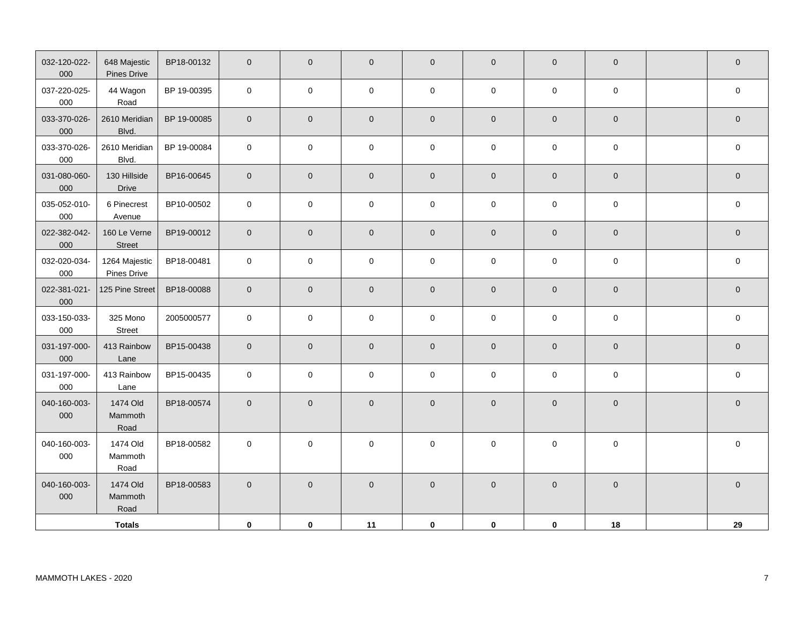| 032-120-022-<br>000 | 648 Majestic<br>Pines Drive  | BP18-00132  | $\mathbf 0$    | $\overline{0}$      | $\mathbf 0$         | $\mathbf 0$         | $\pmb{0}$   | $\mathbf 0$         | $\mathbf 0$         | $\mathbf 0$         |
|---------------------|------------------------------|-------------|----------------|---------------------|---------------------|---------------------|-------------|---------------------|---------------------|---------------------|
| 037-220-025-<br>000 | 44 Wagon<br>Road             | BP 19-00395 | $\mathsf 0$    | $\mathbf 0$         | $\mathbf 0$         | $\mathsf 0$         | $\mathbf 0$ | $\mathbf 0$         | $\mathbf 0$         | $\pmb{0}$           |
| 033-370-026-<br>000 | 2610 Meridian<br>Blvd.       | BP 19-00085 | $\mathbf 0$    | $\mathbf 0$         | $\mathbf 0$         | $\mathbf 0$         | $\mathbf 0$ | $\mathsf 0$         | $\mathsf{O}\xspace$ | $\mathbf 0$         |
| 033-370-026-<br>000 | 2610 Meridian<br>Blvd.       | BP 19-00084 | $\pmb{0}$      | $\pmb{0}$           | $\pmb{0}$           | $\pmb{0}$           | $\pmb{0}$   | $\pmb{0}$           | $\pmb{0}$           | $\pmb{0}$           |
| 031-080-060-<br>000 | 130 Hillside<br>Drive        | BP16-00645  | $\overline{0}$ | $\overline{0}$      | $\overline{0}$      | $\overline{0}$      | $\pmb{0}$   | $\mathbf 0$         | $\mathbf 0$         | $\mathbf 0$         |
| 035-052-010-<br>000 | 6 Pinecrest<br>Avenue        | BP10-00502  | $\pmb{0}$      | $\mathbf 0$         | $\mathbf 0$         | $\pmb{0}$           | $\pmb{0}$   | $\mathbf 0$         | $\mathsf 0$         | $\pmb{0}$           |
| 022-382-042-<br>000 | 160 Le Verne<br>Street       | BP19-00012  | $\pmb{0}$      | $\mathbf 0$         | $\pmb{0}$           | $\mathsf{O}\xspace$ | $\mathbf 0$ | $\mathbf 0$         | $\mathbf 0$         | $\pmb{0}$           |
| 032-020-034-<br>000 | 1264 Majestic<br>Pines Drive | BP18-00481  | $\mathbf 0$    | $\mathsf{O}\xspace$ | $\mathsf{O}\xspace$ | $\mathsf 0$         | $\mathbf 0$ | $\mathsf{O}\xspace$ | $\mathsf 0$         | $\mathsf{O}\xspace$ |
| 022-381-021-<br>000 | 125 Pine Street              | BP18-00088  | $\mathbf 0$    | $\mathbf 0$         | $\mathbf 0$         | $\mathsf{O}\xspace$ | $\pmb{0}$   | $\mathsf 0$         | $\mathbf 0$         | $\mathbf 0$         |
| 033-150-033-<br>000 | 325 Mono<br>Street           | 2005000577  | $\pmb{0}$      | $\mathbf 0$         | $\mathbf 0$         | $\mathsf 0$         | $\pmb{0}$   | $\pmb{0}$           | $\pmb{0}$           | $\mathbf 0$         |
| 031-197-000-<br>000 | 413 Rainbow<br>Lane          | BP15-00438  | $\mathbf 0$    | $\mathbf 0$         | $\mathbf 0$         | $\mathbf 0$         | $\pmb{0}$   | $\mathsf{O}\xspace$ | $\mathbf 0$         | $\mathbf 0$         |
| 031-197-000-<br>000 | 413 Rainbow<br>Lane          | BP15-00435  | $\mathsf 0$    | $\mathbf 0$         | $\mathbf 0$         | $\mathsf 0$         | $\mathbf 0$ | $\mathbf 0$         | $\mathbf 0$         | $\mathsf 0$         |
| 040-160-003-<br>000 | 1474 Old<br>Mammoth<br>Road  | BP18-00574  | $\pmb{0}$      | $\mathbf 0$         | $\pmb{0}$           | $\mathsf{O}\xspace$ | $\mathbf 0$ | $\mathbf 0$         | $\mathbf 0$         | $\pmb{0}$           |
| 040-160-003-<br>000 | 1474 Old<br>Mammoth<br>Road  | BP18-00582  | $\mathsf 0$    | $\mathbf 0$         | $\mathbf 0$         | $\pmb{0}$           | $\pmb{0}$   | $\mathbf 0$         | $\mathbf 0$         | $\mathsf 0$         |
| 040-160-003-<br>000 | 1474 Old<br>Mammoth<br>Road  | BP18-00583  | $\pmb{0}$      | $\pmb{0}$           | $\mathbf 0$         | $\pmb{0}$           | $\pmb{0}$   | $\mathbf 0$         | $\mathbf 0$         | $\mathbf 0$         |
|                     | <b>Totals</b>                |             | $\mathbf 0$    | 0                   | 11                  | $\mathbf 0$         | $\pmb{0}$   | $\mathbf 0$         | 18                  | 29                  |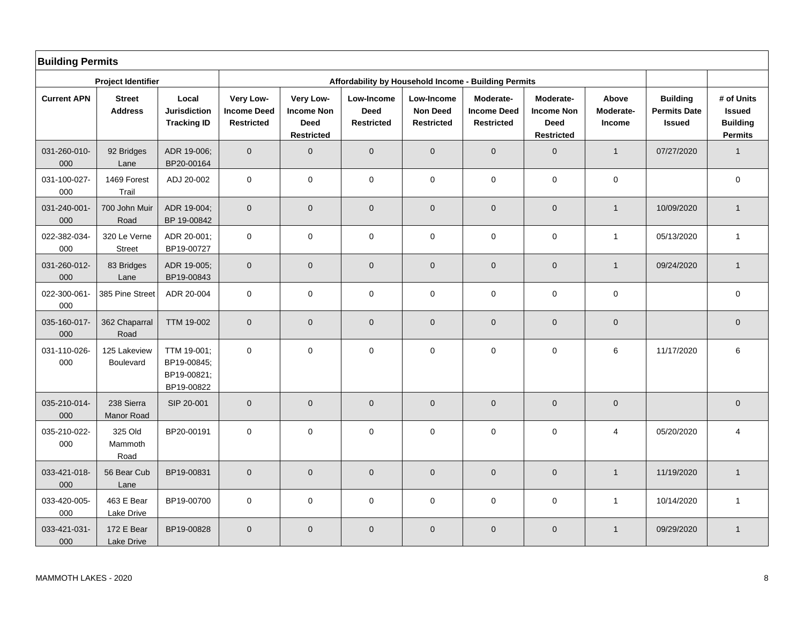| <b>Building Permits</b> |                                 |                                                         |                                                      |                                                                    |                                         |                                                    |                                                      |                                                                    |                              |                                                         |                                                                  |
|-------------------------|---------------------------------|---------------------------------------------------------|------------------------------------------------------|--------------------------------------------------------------------|-----------------------------------------|----------------------------------------------------|------------------------------------------------------|--------------------------------------------------------------------|------------------------------|---------------------------------------------------------|------------------------------------------------------------------|
|                         | <b>Project Identifier</b>       |                                                         |                                                      |                                                                    |                                         |                                                    | Affordability by Household Income - Building Permits |                                                                    |                              |                                                         |                                                                  |
| <b>Current APN</b>      | <b>Street</b><br><b>Address</b> | Local<br><b>Jurisdiction</b><br><b>Tracking ID</b>      | Very Low-<br><b>Income Deed</b><br><b>Restricted</b> | Very Low-<br><b>Income Non</b><br><b>Deed</b><br><b>Restricted</b> | Low-Income<br>Deed<br><b>Restricted</b> | Low-Income<br><b>Non Deed</b><br><b>Restricted</b> | Moderate-<br><b>Income Deed</b><br><b>Restricted</b> | Moderate-<br><b>Income Non</b><br><b>Deed</b><br><b>Restricted</b> | Above<br>Moderate-<br>Income | <b>Building</b><br><b>Permits Date</b><br><b>Issued</b> | # of Units<br><b>Issued</b><br><b>Building</b><br><b>Permits</b> |
| 031-260-010-<br>000     | 92 Bridges<br>Lane              | ADR 19-006;<br>BP20-00164                               | $\overline{0}$                                       | $\pmb{0}$                                                          | $\overline{0}$                          | $\mathbf{0}$                                       | $\mathbf{0}$                                         | $\mathbf{0}$                                                       | $\mathbf{1}$                 | 07/27/2020                                              | $\mathbf{1}$                                                     |
| 031-100-027-<br>000     | 1469 Forest<br>Trail            | ADJ 20-002                                              | $\mathbf 0$                                          | $\pmb{0}$                                                          | $\pmb{0}$                               | $\mathsf{O}\xspace$                                | $\mathbf 0$                                          | $\mathsf{O}\xspace$                                                | $\pmb{0}$                    |                                                         | $\pmb{0}$                                                        |
| 031-240-001-<br>000     | 700 John Muir<br>Road           | ADR 19-004;<br>BP 19-00842                              | $\overline{0}$                                       | $\mathbf 0$                                                        | $\mathbf 0$                             | $\mathbf 0$                                        | $\mathbf 0$                                          | $\mathbf 0$                                                        | $\mathbf{1}$                 | 10/09/2020                                              | $\mathbf{1}$                                                     |
| 022-382-034-<br>000     | 320 Le Verne<br>Street          | ADR 20-001;<br>BP19-00727                               | $\mathbf 0$                                          | $\pmb{0}$                                                          | $\mathbf 0$                             | $\mathsf{O}\xspace$                                | $\mathbf 0$                                          | $\mathsf{O}\xspace$                                                | $\mathbf{1}$                 | 05/13/2020                                              | $\mathbf{1}$                                                     |
| 031-260-012-<br>000     | 83 Bridges<br>Lane              | ADR 19-005;<br>BP19-00843                               | $\overline{0}$                                       | $\mathbf 0$                                                        | $\mathbf 0$                             | $\mathbf 0$                                        | $\mathbf 0$                                          | $\mathsf{O}\xspace$                                                | $\mathbf{1}$                 | 09/24/2020                                              | $\mathbf{1}$                                                     |
| 022-300-061-<br>000     | 385 Pine Street                 | ADR 20-004                                              | $\mathbf 0$                                          | $\mathbf 0$                                                        | $\mathbf 0$                             | $\mathbf 0$                                        | $\mathbf 0$                                          | $\mathbf 0$                                                        | $\mathbf 0$                  |                                                         | 0                                                                |
| 035-160-017-<br>000     | 362 Chaparral<br>Road           | <b>TTM 19-002</b>                                       | $\overline{0}$                                       | $\mathbf 0$                                                        | $\mathbf 0$                             | $\mathbf 0$                                        | $\mathbf{0}$                                         | $\mathbf{0}$                                                       | $\mathbf 0$                  |                                                         | $\mathbf 0$                                                      |
| 031-110-026-<br>000     | 125 Lakeview<br>Boulevard       | TTM 19-001;<br>BP19-00845;<br>BP19-00821;<br>BP19-00822 | $\mathbf 0$                                          | $\mathbf 0$                                                        | $\pmb{0}$                               | $\mathbf 0$                                        | $\mathbf 0$                                          | $\mathbf 0$                                                        | 6                            | 11/17/2020                                              | 6                                                                |
| 035-210-014-<br>000     | 238 Sierra<br>Manor Road        | SIP 20-001                                              | $\overline{0}$                                       | $\mathbf 0$                                                        | $\mathbf 0$                             | $\mathbf 0$                                        | $\mathbf{0}$                                         | $\mathbf{0}$                                                       | $\mathsf{O}\xspace$          |                                                         | $\pmb{0}$                                                        |
| 035-210-022-<br>000     | 325 Old<br>Mammoth<br>Road      | BP20-00191                                              | $\mathbf 0$                                          | $\mathbf 0$                                                        | $\mathbf 0$                             | $\mathbf 0$                                        | $\mathbf 0$                                          | $\mathbf 0$                                                        | $\overline{4}$               | 05/20/2020                                              | 4                                                                |
| 033-421-018-<br>000     | 56 Bear Cub<br>Lane             | BP19-00831                                              | $\overline{0}$                                       | $\pmb{0}$                                                          | $\pmb{0}$                               | $\mathsf{O}\xspace$                                | $\pmb{0}$                                            | $\mathbf{0}$                                                       | $\mathbf{1}$                 | 11/19/2020                                              | $\mathbf{1}$                                                     |
| 033-420-005-<br>000     | 463 E Bear<br>Lake Drive        | BP19-00700                                              | $\mathbf 0$                                          | $\pmb{0}$                                                          | $\mathbf 0$                             | $\pmb{0}$                                          | $\mathbf 0$                                          | $\mathsf{O}\xspace$                                                | $\mathbf{1}$                 | 10/14/2020                                              | $\mathbf{1}$                                                     |
| 033-421-031-<br>000     | 172 E Bear<br>Lake Drive        | BP19-00828                                              | $\overline{0}$                                       | $\mathbf 0$                                                        | $\mathbf 0$                             | $\mathbf 0$                                        | $\mathbf{0}$                                         | $\mathbf{0}$                                                       | $\mathbf{1}$                 | 09/29/2020                                              | $\mathbf{1}$                                                     |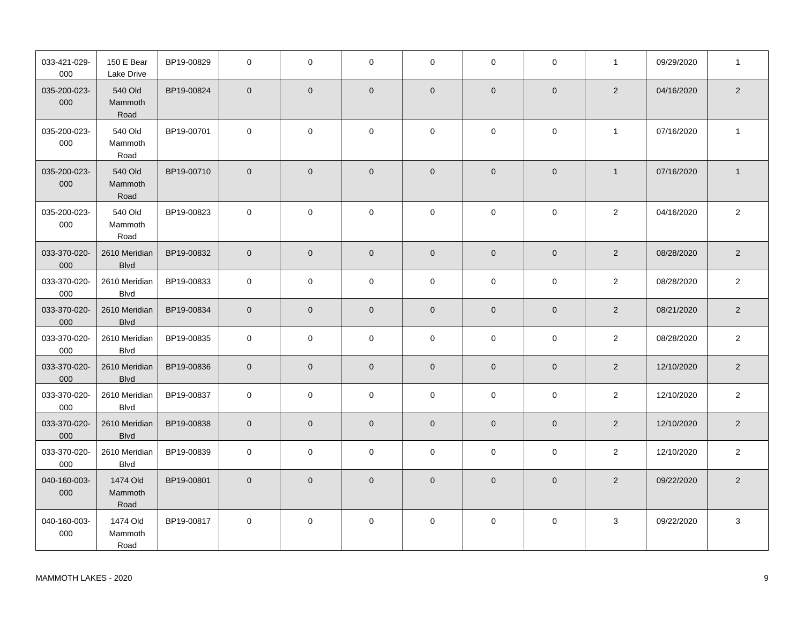| 033-421-029-<br>000 | 150 E Bear<br>Lake Drive     | BP19-00829 | $\mathbf 0$    | $\mathbf 0$  | $\mathbf 0$    | $\mathbf 0$    | $\mathbf 0$    | $\mathbf 0$    | $\mathbf{1}$   | 09/29/2020 | $\mathbf{1}$   |
|---------------------|------------------------------|------------|----------------|--------------|----------------|----------------|----------------|----------------|----------------|------------|----------------|
| 035-200-023-<br>000 | 540 Old<br>Mammoth<br>Road   | BP19-00824 | $\overline{0}$ | $\mathbf 0$  | $\mathbf 0$    | $\mathbf 0$    | $\overline{0}$ | $\mathbf{0}$   | $\overline{2}$ | 04/16/2020 | $\overline{2}$ |
| 035-200-023-<br>000 | 540 Old<br>Mammoth<br>Road   | BP19-00701 | $\mathbf 0$    | $\mathbf 0$  | $\mathbf 0$    | $\mathbf 0$    | $\mathbf 0$    | $\mathbf 0$    | $\mathbf{1}$   | 07/16/2020 | $\mathbf{1}$   |
| 035-200-023-<br>000 | 540 Old<br>Mammoth<br>Road   | BP19-00710 | $\mathbf{0}$   | $\mathbf 0$  | $\mathbf 0$    | $\mathbf 0$    | $\mathbf{0}$   | $\mathbf{0}$   | $\overline{1}$ | 07/16/2020 | $\mathbf{1}$   |
| 035-200-023-<br>000 | 540 Old<br>Mammoth<br>Road   | BP19-00823 | $\mathbf 0$    | 0            | $\mathbf 0$    | 0              | $\mathbf 0$    | $\mathbf 0$    | $\overline{2}$ | 04/16/2020 | 2              |
| 033-370-020-<br>000 | 2610 Meridian<br><b>Blvd</b> | BP19-00832 | $\overline{0}$ | $\mathbf 0$  | $\mathbf 0$    | $\mathbf 0$    | $\overline{0}$ | $\overline{0}$ | $\overline{2}$ | 08/28/2020 | 2              |
| 033-370-020-<br>000 | 2610 Meridian<br>Blvd        | BP19-00833 | $\mathbf 0$    | $\pmb{0}$    | $\mathsf 0$    | 0              | $\mathsf 0$    | $\mathbf 0$    | $\overline{2}$ | 08/28/2020 | $\overline{2}$ |
| 033-370-020-<br>000 | 2610 Meridian<br><b>Blvd</b> | BP19-00834 | $\overline{0}$ | $\mathbf 0$  | $\mathbf 0$    | $\mathbf 0$    | $\mathbf{0}$   | $\mathbf{0}$   | $\overline{2}$ | 08/21/2020 | $\overline{2}$ |
| 033-370-020-<br>000 | 2610 Meridian<br><b>Blvd</b> | BP19-00835 | $\mathbf 0$    | 0            | $\mathsf 0$    | $\mathbf 0$    | $\mathbf 0$    | $\mathbf 0$    | $\overline{c}$ | 08/28/2020 | $\overline{2}$ |
| 033-370-020-<br>000 | 2610 Meridian<br><b>Blvd</b> | BP19-00836 | $\overline{0}$ | $\mathbf{0}$ | $\mathbf 0$    | $\mathbf 0$    | $\mathbf{0}$   | $\mathbf{0}$   | $\overline{2}$ | 12/10/2020 | $\sqrt{2}$     |
| 033-370-020-<br>000 | 2610 Meridian<br><b>Blvd</b> | BP19-00837 | $\mathbf 0$    | $\mathbf 0$  | $\mathbf 0$    | $\mathbf 0$    | $\mathbf 0$    | $\mathbf 0$    | $\overline{2}$ | 12/10/2020 | $\overline{2}$ |
| 033-370-020-<br>000 | 2610 Meridian<br><b>Blvd</b> | BP19-00838 | $\overline{0}$ | $\mathbf 0$  | $\overline{0}$ | $\mathsf{O}$   | $\overline{0}$ | $\mathbf{0}$   | $\overline{2}$ | 12/10/2020 | $\overline{2}$ |
| 033-370-020-<br>000 | 2610 Meridian<br><b>Blvd</b> | BP19-00839 | $\mathbf 0$    | 0            | 0              | 0              | $\mathbf 0$    | $\mathbf 0$    | 2              | 12/10/2020 | 2              |
| 040-160-003-<br>000 | 1474 Old<br>Mammoth<br>Road  | BP19-00801 | $\mathbf{0}$   | $\mathbf{0}$ | $\mathbf 0$    | $\overline{0}$ | $\overline{0}$ | $\overline{0}$ | $\overline{2}$ | 09/22/2020 | $\overline{2}$ |
| 040-160-003-<br>000 | 1474 Old<br>Mammoth<br>Road  | BP19-00817 | $\mathbf 0$    | 0            | 0              | $\mathbf 0$    | $\Omega$       | $\mathbf 0$    | 3              | 09/22/2020 | 3              |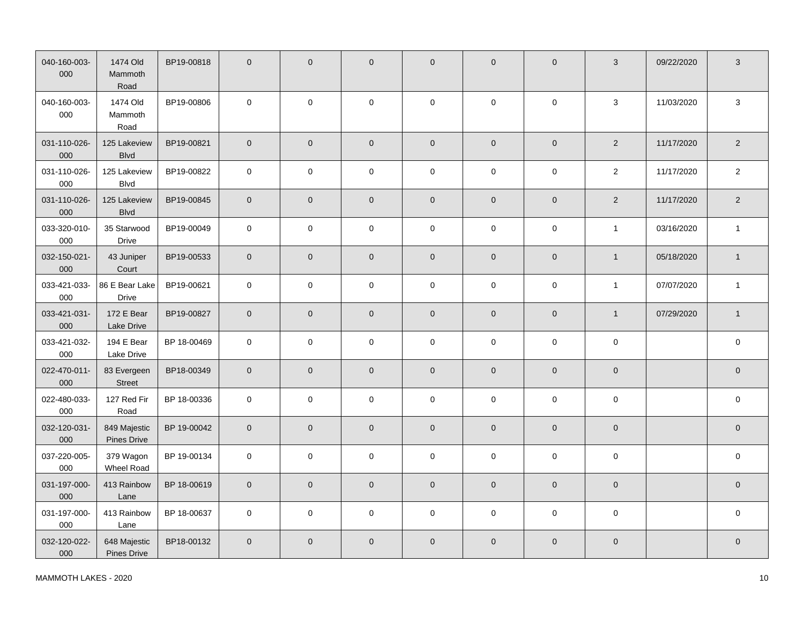| 040-160-003-<br>000 | 1474 Old<br>Mammoth<br>Road        | BP19-00818  | $\mathbf{0}$   | $\mathbf 0$ | $\mathbf 0$         | $\mathbf 0$         | $\mathbf{0}$        | $\overline{0}$      | 3              | 09/22/2020 | 3            |
|---------------------|------------------------------------|-------------|----------------|-------------|---------------------|---------------------|---------------------|---------------------|----------------|------------|--------------|
| 040-160-003-<br>000 | 1474 Old<br>Mammoth<br>Road        | BP19-00806  | $\mathsf 0$    | $\mathbf 0$ | $\mathbf 0$         | $\mathsf{O}\xspace$ | $\pmb{0}$           | $\mathsf{O}\xspace$ | $\sqrt{3}$     | 11/03/2020 | $\sqrt{3}$   |
| 031-110-026-<br>000 | 125 Lakeview<br><b>Blvd</b>        | BP19-00821  | $\mathbf{0}$   | $\mathbf 0$ | $\overline{0}$      | $\mathbf 0$         | $\mathsf{O}\xspace$ | $\mathsf{O}\xspace$ | $\overline{2}$ | 11/17/2020 | $\sqrt{2}$   |
| 031-110-026-<br>000 | 125 Lakeview<br><b>Blvd</b>        | BP19-00822  | $\mathsf 0$    | $\pmb{0}$   | $\pmb{0}$           | $\pmb{0}$           | $\mathbf 0$         | $\mathsf{O}\xspace$ | $\overline{2}$ | 11/17/2020 | $\sqrt{2}$   |
| 031-110-026-<br>000 | 125 Lakeview<br><b>Blvd</b>        | BP19-00845  | $\overline{0}$ | $\mathbf 0$ | $\mathbf 0$         | $\overline{0}$      | $\overline{0}$      | $\mathbf{0}$        | $\overline{2}$ | 11/17/2020 | $\sqrt{2}$   |
| 033-320-010-<br>000 | 35 Starwood<br>Drive               | BP19-00049  | $\pmb{0}$      | 0           | 0                   | $\pmb{0}$           | $\mathsf 0$         | $\mathbf 0$         | $\mathbf{1}$   | 03/16/2020 | $\mathbf{1}$ |
| 032-150-021-<br>000 | 43 Juniper<br>Court                | BP19-00533  | $\mathbf{0}$   | 0           | $\mathsf{O}\xspace$ | $\mathsf{O}\xspace$ | $\pmb{0}$           | $\overline{0}$      | $\mathbf{1}$   | 05/18/2020 | $\mathbf{1}$ |
| 033-421-033-<br>000 | 86 E Bear Lake<br>Drive            | BP19-00621  | $\mathsf 0$    | $\pmb{0}$   | $\mathbf 0$         | $\mathsf 0$         | $\mathbf 0$         | $\mathsf{O}\xspace$ | $\mathbf{1}$   | 07/07/2020 | $\mathbf{1}$ |
| 033-421-031-<br>000 | 172 E Bear<br>Lake Drive           | BP19-00827  | $\mathbf 0$    | $\mathbf 0$ | $\overline{0}$      | $\mathbf 0$         | $\mathbf 0$         | $\mathbf{0}$        | $\mathbf{1}$   | 07/29/2020 | $\mathbf{1}$ |
| 033-421-032-<br>000 | 194 E Bear<br>Lake Drive           | BP 18-00469 | $\mathbf 0$    | $\pmb{0}$   | $\mathbf 0$         | $\pmb{0}$           | $\mathbf 0$         | $\mathsf{O}\xspace$ | $\pmb{0}$      |            | $\mathsf 0$  |
| 022-470-011-<br>000 | 83 Evergeen<br>Street              | BP18-00349  | $\mathbf 0$    | $\pmb{0}$   | $\mathbf 0$         | $\mathsf{O}\xspace$ | $\overline{0}$      | $\mathbf{0}$        | $\pmb{0}$      |            | $\mathbf 0$  |
| 022-480-033-<br>000 | 127 Red Fir<br>Road                | BP 18-00336 | $\mathbf{0}$   | $\mathsf 0$ | $\pmb{0}$           | $\pmb{0}$           | $\mathbf 0$         | $\mathbf{0}$        | $\pmb{0}$      |            | $\mathsf 0$  |
| 032-120-031-<br>000 | 849 Majestic<br><b>Pines Drive</b> | BP 19-00042 | $\mathbf 0$    | $\mathbf 0$ | $\pmb{0}$           | $\mathbf 0$         | $\mathbf 0$         | $\mathbf{0}$        | $\mathbf 0$    |            | $\mathbf 0$  |
| 037-220-005-<br>000 | 379 Wagon<br>Wheel Road            | BP 19-00134 | $\mathsf 0$    | $\pmb{0}$   | $\mathsf 0$         | $\pmb{0}$           | $\mathbf 0$         | $\mathsf{O}\xspace$ | $\mathbf 0$    |            | $\pmb{0}$    |
| 031-197-000-<br>000 | 413 Rainbow<br>Lane                | BP 18-00619 | $\mathbf 0$    | $\mathbf 0$ | $\mathbf 0$         | $\mathsf{O}\xspace$ | $\mathsf{O}\xspace$ | $\mathsf{O}\xspace$ | $\pmb{0}$      |            | $\mathbf 0$  |
| 031-197-000-<br>000 | 413 Rainbow<br>Lane                | BP 18-00637 | $\mathbf 0$    | 0           | $\mathbf 0$         | $\mathbf 0$         | $\mathsf 0$         | $\mathbf 0$         | $\mathbf 0$    |            | $\pmb{0}$    |
| 032-120-022-<br>000 | 648 Majestic<br>Pines Drive        | BP18-00132  | $\mathbf{0}$   | 0           | $\mathbf 0$         | $\mathbf 0$         | $\mathbf{0}$        | $\overline{0}$      | $\mathbf 0$    |            | $\pmb{0}$    |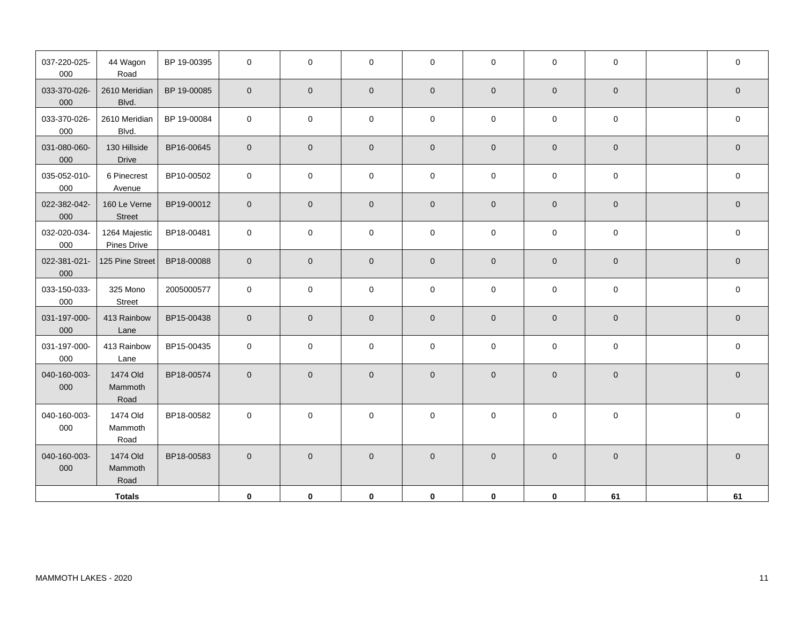| 037-220-025-<br>000 | 44 Wagon<br>Road                    | BP 19-00395 | $\mathbf 0$ | $\mathbf 0$ | $\mathbf 0$ | $\mathbf 0$ | $\mathbf 0$    | $\mathbf 0$  | $\mathbf 0$         | $\pmb{0}$   |
|---------------------|-------------------------------------|-------------|-------------|-------------|-------------|-------------|----------------|--------------|---------------------|-------------|
| 033-370-026-<br>000 | 2610 Meridian<br>Blvd.              | BP 19-00085 | $\mathbf 0$ | $\mathbf 0$ | $\mathbf 0$ | $\mathbf 0$ | $\mathbf 0$    | $\mathbf 0$  | $\mathbf 0$         | $\mathbf 0$ |
| 033-370-026-<br>000 | 2610 Meridian<br>Blvd.              | BP 19-00084 | $\mathbf 0$ | $\mathbf 0$ | $\pmb{0}$   | $\pmb{0}$   | $\pmb{0}$      | $\mathbf 0$  | $\mathbf 0$         | $\pmb{0}$   |
| 031-080-060-<br>000 | 130 Hillside<br>Drive               | BP16-00645  | $\mathbf 0$ | $\mathbf 0$ | $\mathbf 0$ | $\mathbf 0$ | $\mathbf 0$    | $\mathsf{O}$ | $\mathbf 0$         | $\mathbf 0$ |
| 035-052-010-<br>000 | 6 Pinecrest<br>Avenue               | BP10-00502  | $\mathbf 0$ | $\mathbf 0$ | $\mathbf 0$ | $\pmb{0}$   | $\mathbf 0$    | $\mathbf 0$  | $\mathbf 0$         | $\pmb{0}$   |
| 022-382-042-<br>000 | 160 Le Verne<br><b>Street</b>       | BP19-00012  | $\mathbf 0$ | $\mathbf 0$ | $\mathbf 0$ | $\pmb{0}$   | $\pmb{0}$      | $\mathbf 0$  | $\mathbf 0$         | $\mathbf 0$ |
| 032-020-034-<br>000 | 1264 Majestic<br><b>Pines Drive</b> | BP18-00481  | $\mathsf 0$ | $\mathbf 0$ | $\pmb{0}$   | $\pmb{0}$   | $\overline{0}$ | $\mathsf 0$  | $\pmb{0}$           | $\pmb{0}$   |
| 022-381-021-<br>000 | 125 Pine Street                     | BP18-00088  | $\mathbf 0$ | $\mathbf 0$ | $\pmb{0}$   | $\mathbf 0$ | $\pmb{0}$      | $\mathbf 0$  | $\mathbf 0$         | $\mathbf 0$ |
| 033-150-033-<br>000 | 325 Mono<br>Street                  | 2005000577  | $\pmb{0}$   | $\mathbf 0$ | $\mathbf 0$ | $\mathbf 0$ | $\mathbf 0$    | $\mathbf 0$  | $\mathbf 0$         | $\mathbf 0$ |
| 031-197-000-<br>000 | 413 Rainbow<br>Lane                 | BP15-00438  | $\mathbf 0$ | $\mathbf 0$ | $\mathbf 0$ | $\mathbf 0$ | $\mathbf 0$    | $\mathbf 0$  | $\mathbf 0$         | $\mathbf 0$ |
| 031-197-000-<br>000 | 413 Rainbow<br>Lane                 | BP15-00435  | $\mathbf 0$ | $\mathbf 0$ | $\mathbf 0$ | $\mathbf 0$ | $\mathbf 0$    | $\mathbf 0$  | $\mathbf 0$         | $\pmb{0}$   |
| 040-160-003-<br>000 | 1474 Old<br>Mammoth<br>Road         | BP18-00574  | $\mathbf 0$ | $\mathbf 0$ | $\mathbf 0$ | $\mathbf 0$ | $\mathbf 0$    | $\mathbf 0$  | $\mathsf{O}\xspace$ | $\mathbf 0$ |
| 040-160-003-<br>000 | 1474 Old<br>Mammoth<br>Road         | BP18-00582  | $\mathbf 0$ | $\mathbf 0$ | $\mathbf 0$ | 0           | $\mathbf 0$    | $\mathbf 0$  | $\mathsf{O}\xspace$ | $\mathbf 0$ |
| 040-160-003-<br>000 | 1474 Old<br>Mammoth<br>Road         | BP18-00583  | $\mathbf 0$ | $\mathbf 0$ | $\pmb{0}$   | $\pmb{0}$   | $\mathbf 0$    | $\mathbf 0$  | $\pmb{0}$           | $\pmb{0}$   |
|                     | <b>Totals</b>                       |             | $\mathbf 0$ | $\mathbf 0$ | $\mathbf 0$ | $\mathbf 0$ | $\pmb{0}$      | $\pmb{0}$    | 61                  | 61          |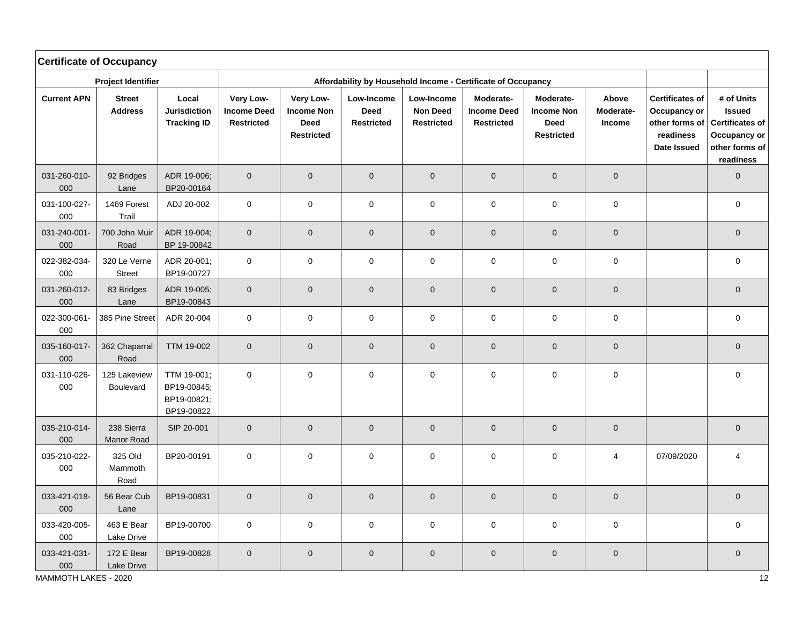|                     | <b>Certificate of Occupancy</b><br>Affordability by Household Income - Certificate of Occupancy |                                                         |                                                      |                                                                    |                                                |                                                    |                                                      |                                                                    |                              |                                                                                      |                                                                                                      |  |  |  |
|---------------------|-------------------------------------------------------------------------------------------------|---------------------------------------------------------|------------------------------------------------------|--------------------------------------------------------------------|------------------------------------------------|----------------------------------------------------|------------------------------------------------------|--------------------------------------------------------------------|------------------------------|--------------------------------------------------------------------------------------|------------------------------------------------------------------------------------------------------|--|--|--|
|                     | <b>Project Identifier</b>                                                                       |                                                         |                                                      |                                                                    |                                                |                                                    |                                                      |                                                                    |                              |                                                                                      |                                                                                                      |  |  |  |
| <b>Current APN</b>  | <b>Street</b><br><b>Address</b>                                                                 | Local<br><b>Jurisdiction</b><br><b>Tracking ID</b>      | Very Low-<br><b>Income Deed</b><br><b>Restricted</b> | Very Low-<br><b>Income Non</b><br><b>Deed</b><br><b>Restricted</b> | Low-Income<br><b>Deed</b><br><b>Restricted</b> | Low-Income<br><b>Non Deed</b><br><b>Restricted</b> | Moderate-<br><b>Income Deed</b><br><b>Restricted</b> | Moderate-<br><b>Income Non</b><br><b>Deed</b><br><b>Restricted</b> | Above<br>Moderate-<br>Income | <b>Certificates of</b><br>Occupancy or<br>other forms of<br>readiness<br>Date Issued | # of Units<br><b>Issued</b><br><b>Certificates of</b><br>Occupancy or<br>other forms of<br>readiness |  |  |  |
| 031-260-010-<br>000 | 92 Bridges<br>Lane                                                                              | ADR 19-006;<br>BP20-00164                               | $\overline{0}$                                       | $\mathbf 0$                                                        | $\mathbf 0$                                    | $\mathbf 0$                                        | $\pmb{0}$                                            | $\overline{0}$                                                     | $\mathbf 0$                  |                                                                                      | $\mathbf 0$                                                                                          |  |  |  |
| 031-100-027-<br>000 | 1469 Forest<br>Trail                                                                            | ADJ 20-002                                              | $\mathbf 0$                                          | 0                                                                  | $\mathbf 0$                                    | $\mathbf 0$                                        | $\mathbf 0$                                          | $\mathbf 0$                                                        | $\pmb{0}$                    |                                                                                      | $\mathsf 0$                                                                                          |  |  |  |
| 031-240-001-<br>000 | 700 John Muir<br>Road                                                                           | ADR 19-004;<br>BP 19-00842                              | $\pmb{0}$                                            | $\pmb{0}$                                                          | $\mathsf{O}\xspace$                            | $\pmb{0}$                                          | $\mathbf 0$                                          | $\mathsf{O}\xspace$                                                | $\mathbf 0$                  |                                                                                      | $\mathsf{O}\xspace$                                                                                  |  |  |  |
| 022-382-034-<br>000 | 320 Le Verne<br><b>Street</b>                                                                   | ADR 20-001;<br>BP19-00727                               | $\mathbf 0$                                          | $\mathsf 0$                                                        | $\mathbf 0$                                    | $\pmb{0}$                                          | $\pmb{0}$                                            | $\pmb{0}$                                                          | $\mathbf 0$                  |                                                                                      | $\mathsf 0$                                                                                          |  |  |  |
| 031-260-012-<br>000 | 83 Bridges<br>Lane                                                                              | ADR 19-005;<br>BP19-00843                               | $\mathbf 0$                                          | $\pmb{0}$                                                          | $\pmb{0}$                                      | $\mathsf{O}\xspace$                                | $\pmb{0}$                                            | $\mathbf 0$                                                        | $\pmb{0}$                    |                                                                                      | $\pmb{0}$                                                                                            |  |  |  |
| 022-300-061-<br>000 | 385 Pine Street                                                                                 | ADR 20-004                                              | $\mathbf 0$                                          | 0                                                                  | $\mathbf 0$                                    | $\pmb{0}$                                          | $\mathbf 0$                                          | $\mathbf 0$                                                        | $\mathbf 0$                  |                                                                                      | $\pmb{0}$                                                                                            |  |  |  |
| 035-160-017-<br>000 | 362 Chaparral<br>Road                                                                           | <b>TTM 19-002</b>                                       | $\mathbf 0$                                          | $\mathbf 0$                                                        | $\mathbf 0$                                    | $\mathbf 0$                                        | $\overline{0}$                                       | $\mathbf 0$                                                        | $\mathbf 0$                  |                                                                                      | $\pmb{0}$                                                                                            |  |  |  |
| 031-110-026-<br>000 | 125 Lakeview<br>Boulevard                                                                       | TTM 19-001;<br>BP19-00845;<br>BP19-00821;<br>BP19-00822 | $\mathbf 0$                                          | $\pmb{0}$                                                          | $\pmb{0}$                                      | $\mathsf 0$                                        | $\pmb{0}$                                            | $\mathbf 0$                                                        | $\pmb{0}$                    |                                                                                      | $\pmb{0}$                                                                                            |  |  |  |
| 035-210-014-<br>000 | 238 Sierra<br>Manor Road                                                                        | SIP 20-001                                              | $\mathbf 0$                                          | $\mathbf 0$                                                        | $\mathbf 0$                                    | $\mathbf 0$                                        | $\pmb{0}$                                            | $\pmb{0}$                                                          | $\pmb{0}$                    |                                                                                      | $\pmb{0}$                                                                                            |  |  |  |
| 035-210-022-<br>000 | 325 Old<br>Mammoth<br>Road                                                                      | BP20-00191                                              | $\pmb{0}$                                            | 0                                                                  | 0                                              | $\mathsf{O}\xspace$                                | $\pmb{0}$                                            | $\pmb{0}$                                                          | $\overline{4}$               | 07/09/2020                                                                           | $\overline{4}$                                                                                       |  |  |  |
| 033-421-018-<br>000 | 56 Bear Cub<br>Lane                                                                             | BP19-00831                                              | $\mathbf 0$                                          | $\pmb{0}$                                                          | $\mathbf 0$                                    | $\mathbf 0$                                        | $\pmb{0}$                                            | $\mathsf{O}\xspace$                                                | $\pmb{0}$                    |                                                                                      | $\pmb{0}$                                                                                            |  |  |  |
| 033-420-005-<br>000 | 463 E Bear<br>Lake Drive                                                                        | BP19-00700                                              | $\pmb{0}$                                            | $\pmb{0}$                                                          | $\mathbf 0$                                    | $\pmb{0}$                                          | $\mathbf 0$                                          | $\pmb{0}$                                                          | $\pmb{0}$                    |                                                                                      | $\mathsf 0$                                                                                          |  |  |  |
| 033-421-031-<br>000 | 172 E Bear<br>Lake Drive                                                                        | BP19-00828                                              | $\mathbf{0}$                                         | $\overline{0}$                                                     | $\mathbf 0$                                    | $\mathbf 0$                                        | $\mathbf 0$                                          | $\mathbf{0}$                                                       | $\mathbf 0$                  |                                                                                      | $\mathbf 0$                                                                                          |  |  |  |

MAMMOTH LAKES - 2020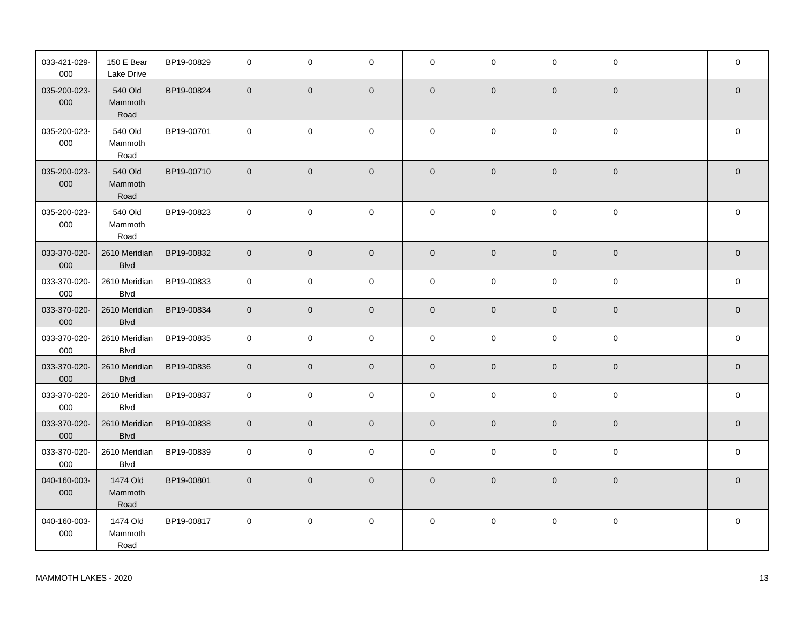| 033-421-029-<br>000 | 150 E Bear<br>Lake Drive     | BP19-00829 | $\mathbf 0$    | $\mathbf 0$    | $\mathbf 0$         | $\mathbf 0$    | $\mathbf 0$    | $\mathbf 0$  | $\mathbf 0$    | $\mathbf 0$         |
|---------------------|------------------------------|------------|----------------|----------------|---------------------|----------------|----------------|--------------|----------------|---------------------|
| 035-200-023-<br>000 | 540 Old<br>Mammoth<br>Road   | BP19-00824 | $\mathbf{0}$   | $\overline{0}$ | $\mathbf 0$         | $\overline{0}$ | $\overline{0}$ | $\mathbf{0}$ | $\overline{0}$ | $\mathbf 0$         |
| 035-200-023-<br>000 | 540 Old<br>Mammoth<br>Road   | BP19-00701 | $\Omega$       | $\mathbf 0$    | $\pmb{0}$           | 0              | $\mathbf 0$    | $\Omega$     | $\mathbf 0$    | $\pmb{0}$           |
| 035-200-023-<br>000 | 540 Old<br>Mammoth<br>Road   | BP19-00710 | $\mathbf{0}$   | $\mathbf{0}$   | $\mathbf 0$         | $\mathbf 0$    | $\overline{0}$ | $\mathbf{0}$ | $\overline{0}$ | $\mathbf 0$         |
| 035-200-023-<br>000 | 540 Old<br>Mammoth<br>Road   | BP19-00823 | $\Omega$       | $\mathbf 0$    | $\mathbf 0$         | 0              | $\mathbf 0$    | $\Omega$     | $\mathbf 0$    | $\mathbf 0$         |
| 033-370-020-<br>000 | 2610 Meridian<br><b>Blvd</b> | BP19-00832 | $\mathbf{0}$   | $\mathbf 0$    | $\overline{0}$      | $\mathbf 0$    | $\mathbf 0$    | $\mathbf 0$  | $\mathbf 0$    | $\pmb{0}$           |
| 033-370-020-<br>000 | 2610 Meridian<br><b>Blvd</b> | BP19-00833 | $\mathbf 0$    | $\mathsf{O}$   | $\mathbf 0$         | 0              | $\overline{0}$ | $\mathbf 0$  | $\mathbf 0$    | 0                   |
| 033-370-020-<br>000 | 2610 Meridian<br><b>Blvd</b> | BP19-00834 | $\mathbf{0}$   | $\mathbf 0$    | $\mathsf{O}\xspace$ | $\mathbf 0$    | $\mathbf 0$    | $\mathbf{0}$ | $\mathbf 0$    | $\mathsf{O}\xspace$ |
| 033-370-020-<br>000 | 2610 Meridian<br><b>Blvd</b> | BP19-00835 | $\mathbf 0$    | $\mathsf{O}$   | $\mathbf 0$         | $\mathbf 0$    | $\mathbf 0$    | $\mathbf 0$  | $\mathbf 0$    | 0                   |
| 033-370-020-<br>000 | 2610 Meridian<br><b>Blvd</b> | BP19-00836 | $\mathbf{0}$   | $\overline{0}$ | $\mathbf 0$         | $\mathbf 0$    | $\overline{0}$ | $\mathbf{0}$ | $\overline{0}$ | $\mathbf 0$         |
| 033-370-020-<br>000 | 2610 Meridian<br><b>Blvd</b> | BP19-00837 | $\mathbf 0$    | $\mathbf 0$    | $\mathbf 0$         | $\mathbf 0$    | $\mathbf 0$    | $\mathbf 0$  | $\mathbf 0$    | $\mathbf 0$         |
| 033-370-020-<br>000 | 2610 Meridian<br><b>Blvd</b> | BP19-00838 | $\overline{0}$ | $\overline{0}$ | $\overline{0}$      | $\overline{0}$ | $\mathbf 0$    | $\mathbf 0$  | $\mathbf 0$    | $\overline{0}$      |
| 033-370-020-<br>000 | 2610 Meridian<br><b>Blvd</b> | BP19-00839 | $\mathbf 0$    | 0              | 0                   | 0              | $\mathbf 0$    | $\mathbf 0$  | $\mathbf 0$    | 0                   |
| 040-160-003-<br>000 | 1474 Old<br>Mammoth<br>Road  | BP19-00801 | $\mathbf{0}$   | $\mathbf{0}$   | $\mathbf 0$         | $\mathbf 0$    | $\mathbf{0}$   | $\mathbf{0}$ | $\mathbf{0}$   | $\mathbf 0$         |
| 040-160-003-<br>000 | 1474 Old<br>Mammoth<br>Road  | BP19-00817 | $\mathbf 0$    | $\mathbf 0$    | $\mathbf 0$         | 0              | $\mathbf 0$    | $\Omega$     | $\mathbf 0$    | $\pmb{0}$           |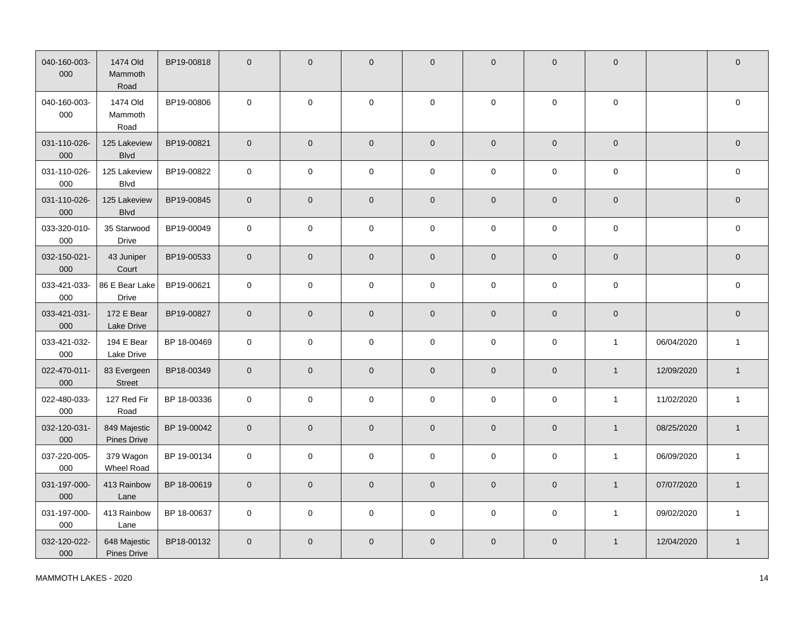| 040-160-003-<br>000 | 1474 Old<br>Mammoth<br>Road    | BP19-00818  | $\mathbf{0}$   | $\mathbf{0}$ | $\mathbf 0$         | $\mathbf 0$         | $\mathbf 0$ | $\mathbf{0}$        | $\mathbf 0$    |            | $\mathsf{O}\xspace$ |
|---------------------|--------------------------------|-------------|----------------|--------------|---------------------|---------------------|-------------|---------------------|----------------|------------|---------------------|
| 040-160-003-<br>000 | 1474 Old<br>Mammoth<br>Road    | BP19-00806  | $\mathbf{0}$   | 0            | $\mathbf 0$         | 0                   | $\pmb{0}$   | 0                   | $\mathsf 0$    |            | 0                   |
| 031-110-026-<br>000 | 125 Lakeview<br><b>Blvd</b>    | BP19-00821  | $\mathbf 0$    | $\mathbf 0$  | $\mathbf 0$         | $\mathbf 0$         | $\mathbf 0$ | $\mathbf 0$         | $\mathbf 0$    |            | $\mathbf 0$         |
| 031-110-026-<br>000 | 125 Lakeview<br><b>Blvd</b>    | BP19-00822  | $\mathbf 0$    | $\mathsf 0$  | $\pmb{0}$           | $\mathsf{O}\xspace$ | $\pmb{0}$   | $\mathbf 0$         | $\mathsf 0$    |            | $\mathbf 0$         |
| 031-110-026-<br>000 | 125 Lakeview<br><b>Blvd</b>    | BP19-00845  | $\overline{0}$ | $\mathbf 0$  | $\mathbf 0$         | $\overline{0}$      | $\pmb{0}$   | $\overline{0}$      | $\pmb{0}$      |            | $\mathbf 0$         |
| 033-320-010-<br>000 | 35 Starwood<br>Drive           | BP19-00049  | $\mathbf 0$    | 0            | $\pmb{0}$           | $\mathbf 0$         | $\pmb{0}$   | $\pmb{0}$           | $\pmb{0}$      |            | $\pmb{0}$           |
| 032-150-021-<br>000 | 43 Juniper<br>Court            | BP19-00533  | $\mathbf 0$    | $\mathbf 0$  | $\mathbf 0$         | $\overline{0}$      | $\pmb{0}$   | $\mathbf 0$         | $\pmb{0}$      |            | $\mathbf 0$         |
| 033-421-033-<br>000 | 86 E Bear Lake<br><b>Drive</b> | BP19-00621  | $\mathbf 0$    | $\mathsf 0$  | $\mathsf{O}\xspace$ | $\mathbf 0$         | $\mathbf 0$ | $\mathbf 0$         | $\pmb{0}$      |            | $\mathbf 0$         |
| 033-421-031-<br>000 | 172 E Bear<br>Lake Drive       | BP19-00827  | $\mathbf 0$    | $\mathbf 0$  | $\mathbf 0$         | $\mathbf 0$         | $\mathbf 0$ | $\mathbf 0$         | $\pmb{0}$      |            | $\mathbf 0$         |
| 033-421-032-<br>000 | 194 E Bear<br>Lake Drive       | BP 18-00469 | $\pmb{0}$      | $\mathsf 0$  | $\mathsf{O}\xspace$ | $\pmb{0}$           | $\pmb{0}$   | $\mathbf 0$         | $\mathbf{1}$   | 06/04/2020 | $\mathbf{1}$        |
| 022-470-011-<br>000 | 83 Evergeen<br><b>Street</b>   | BP18-00349  | $\mathbf{0}$   | $\pmb{0}$    | $\mathbf 0$         | $\mathsf{O}\xspace$ | $\pmb{0}$   | $\mathbf{0}$        | $\overline{1}$ | 12/09/2020 | $\mathbf{1}$        |
| 022-480-033-<br>000 | 127 Red Fir<br>Road            | BP 18-00336 | $\mathbf{0}$   | $\pmb{0}$    | $\mathbf 0$         | $\mathsf{O}\xspace$ | $\pmb{0}$   | $\mathbf 0$         | $\overline{1}$ | 11/02/2020 | $\mathbf{1}$        |
| 032-120-031-<br>000 | 849 Majestic<br>Pines Drive    | BP 19-00042 | $\mathbf 0$    | $\mathbf 0$  | $\mathbf 0$         | $\mathsf{O}\xspace$ | $\pmb{0}$   | $\mathbf{0}$        | $\mathbf{1}$   | 08/25/2020 | $\mathbf{1}$        |
| 037-220-005-<br>000 | 379 Wagon<br>Wheel Road        | BP 19-00134 | $\mathbf 0$    | $\mathsf 0$  | $\mathsf{O}\xspace$ | $\mathsf{O}\xspace$ | $\pmb{0}$   | $\mathsf{O}\xspace$ | $\mathbf{1}$   | 06/09/2020 | $\mathbf{1}$        |
| 031-197-000-<br>000 | 413 Rainbow<br>Lane            | BP 18-00619 | $\mathbf 0$    | $\mathbf 0$  | $\mathbf 0$         | $\overline{0}$      | $\mathbf 0$ | $\mathbf 0$         | $\overline{1}$ | 07/07/2020 | $\mathbf{1}$        |
| 031-197-000-<br>000 | 413 Rainbow<br>Lane            | BP 18-00637 | $\mathbf 0$    | $\mathsf 0$  | $\mathsf{O}\xspace$ | $\mathbf 0$         | $\pmb{0}$   | $\mathsf{O}\xspace$ | $\overline{1}$ | 09/02/2020 | $\overline{1}$      |
| 032-120-022-<br>000 | 648 Majestic<br>Pines Drive    | BP18-00132  | $\mathbf{0}$   | $\mathbf 0$  | $\mathbf 0$         | $\overline{0}$      | $\mathbf 0$ | $\mathsf{O}\xspace$ | $\mathbf{1}$   | 12/04/2020 | $\mathbf{1}$        |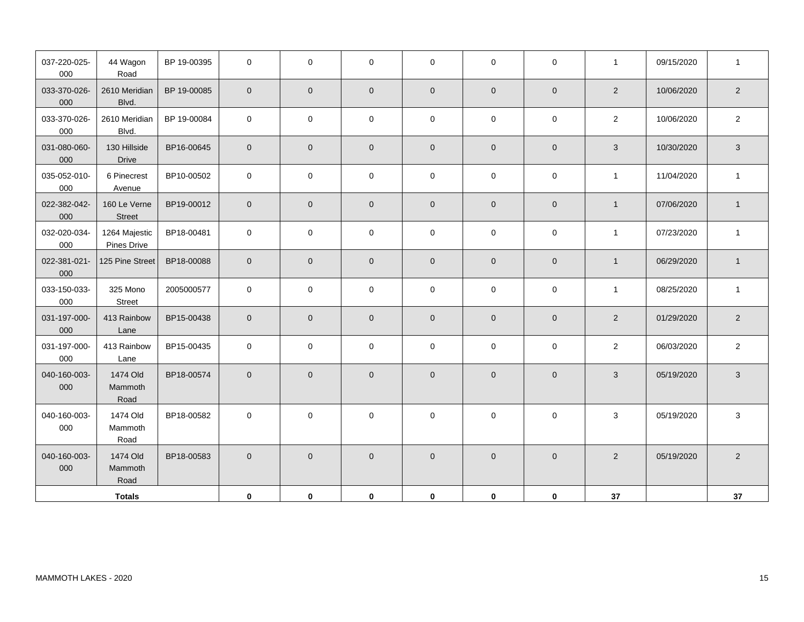| 037-220-025-<br>000 | 44 Wagon<br>Road             | BP 19-00395 | $\mathbf 0$         | 0           | $\mathbf 0$         | $\mathbf 0$         | $\mathbf 0$         | $\mathbf{0}$        | $\mathbf{1}$   | 09/15/2020 | $\mathbf{1}$              |
|---------------------|------------------------------|-------------|---------------------|-------------|---------------------|---------------------|---------------------|---------------------|----------------|------------|---------------------------|
| 033-370-026-<br>000 | 2610 Meridian<br>Blvd.       | BP 19-00085 | $\mathbf 0$         | $\mathbf 0$ | $\mathbf 0$         | $\mathbf{0}$        | $\mathbf 0$         | $\mathbf 0$         | $\overline{2}$ | 10/06/2020 | $\overline{c}$            |
| 033-370-026-<br>000 | 2610 Meridian<br>Blvd.       | BP 19-00084 | $\mathbf 0$         | 0           | $\mathsf{O}\xspace$ | $\mathbf 0$         | $\mathbf 0$         | $\mathsf{O}\xspace$ | $\overline{2}$ | 10/06/2020 | $\mathbf 2$               |
| 031-080-060-<br>000 | 130 Hillside<br>Drive        | BP16-00645  | $\mathbf 0$         | $\mathbf 0$ | $\mathbf 0$         | $\mathsf{O}\xspace$ | $\mathbf 0$         | $\overline{0}$      | $\mathbf{3}$   | 10/30/2020 | $\ensuremath{\mathsf{3}}$ |
| 035-052-010-<br>000 | 6 Pinecrest<br>Avenue        | BP10-00502  | $\mathsf{O}$        | 0           | $\mathbf 0$         | $\mathbf 0$         | $\mathbf 0$         | $\mathsf{O}\xspace$ | $\mathbf{1}$   | 11/04/2020 | $\overline{1}$            |
| 022-382-042-<br>000 | 160 Le Verne<br>Street       | BP19-00012  | $\mathsf{O}\xspace$ | $\pmb{0}$   | $\mathbf 0$         | $\mathsf{O}\xspace$ | $\mathbf 0$         | $\mathbf 0$         | $\mathbf{1}$   | 07/06/2020 | $\mathbf{1}$              |
| 032-020-034-<br>000 | 1264 Majestic<br>Pines Drive | BP18-00481  | $\mathbf 0$         | 0           | $\mathbf 0$         | $\mathbf 0$         | $\mathbf 0$         | $\mathbf 0$         | $\mathbf{1}$   | 07/23/2020 | $\mathbf{1}$              |
| 022-381-021-<br>000 | 125 Pine Street              | BP18-00088  | $\mathbf 0$         | $\mathbf 0$ | $\mathbf 0$         | $\mathbf 0$         | $\pmb{0}$           | $\mathbf 0$         | $\mathbf{1}$   | 06/29/2020 | $\mathbf{1}$              |
| 033-150-033-<br>000 | 325 Mono<br><b>Street</b>    | 2005000577  | $\mathsf 0$         | 0           | $\mathsf{O}\xspace$ | $\mathbf 0$         | $\mathsf{O}\xspace$ | $\mathsf{O}\xspace$ | $\mathbf{1}$   | 08/25/2020 | $\mathbf{1}$              |
| 031-197-000-<br>000 | 413 Rainbow<br>Lane          | BP15-00438  | $\mathbf 0$         | $\mathbf 0$ | $\overline{0}$      | $\mathbf 0$         | $\pmb{0}$           | $\mathsf{O}\xspace$ | $\overline{2}$ | 01/29/2020 | $\sqrt{2}$                |
| 031-197-000-<br>000 | 413 Rainbow<br>Lane          | BP15-00435  | $\mathbf 0$         | 0           | $\mathbf 0$         | $\mathsf{O}\xspace$ | $\mathbf 0$         | $\mathsf{O}\xspace$ | $\overline{2}$ | 06/03/2020 | $\sqrt{2}$                |
| 040-160-003-<br>000 | 1474 Old<br>Mammoth<br>Road  | BP18-00574  | $\mathbf 0$         | $\mathbf 0$ | $\mathbf 0$         | $\mathsf{O}\xspace$ | $\mathbf 0$         | $\mathbf 0$         | $\sqrt{3}$     | 05/19/2020 | $\ensuremath{\mathsf{3}}$ |
| 040-160-003-<br>000 | 1474 Old<br>Mammoth<br>Road  | BP18-00582  | $\mathbf 0$         | 0           | $\mathbf 0$         | $\mathbf 0$         | $\mathbf 0$         | $\mathbf 0$         | 3              | 05/19/2020 | $\mathsf 3$               |
| 040-160-003-<br>000 | 1474 Old<br>Mammoth<br>Road  | BP18-00583  | $\mathbf 0$         | $\pmb{0}$   | $\mathbf 0$         | $\mathbf 0$         | $\mathsf{O}\xspace$ | $\mathbf 0$         | $\overline{2}$ | 05/19/2020 | $\sqrt{2}$                |
|                     | <b>Totals</b>                |             | $\mathbf 0$         | 0           | $\mathbf 0$         | $\mathbf 0$         | $\mathbf 0$         | $\mathbf 0$         | 37             |            | 37                        |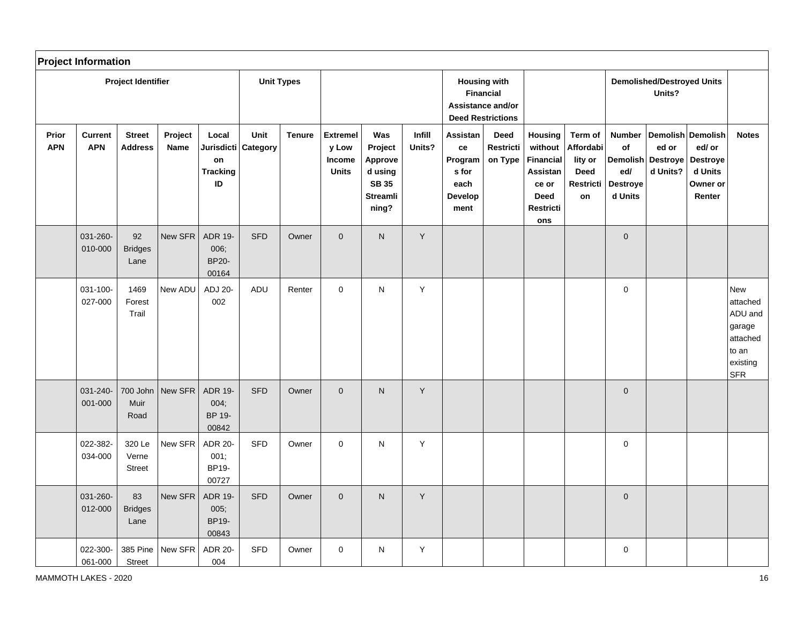|                     | <b>Project Information</b>   |                                  |                 |                                                           |                         |                   |                                                           |                                                                                  |                  |                                                               |                                                                                          |                                                                                                |                                                                   |                                                                      |                                             |                                                                          |                                                                                            |
|---------------------|------------------------------|----------------------------------|-----------------|-----------------------------------------------------------|-------------------------|-------------------|-----------------------------------------------------------|----------------------------------------------------------------------------------|------------------|---------------------------------------------------------------|------------------------------------------------------------------------------------------|------------------------------------------------------------------------------------------------|-------------------------------------------------------------------|----------------------------------------------------------------------|---------------------------------------------|--------------------------------------------------------------------------|--------------------------------------------------------------------------------------------|
|                     |                              | <b>Project Identifier</b>        |                 |                                                           |                         | <b>Unit Types</b> |                                                           |                                                                                  |                  |                                                               | <b>Housing with</b><br><b>Financial</b><br>Assistance and/or<br><b>Deed Restrictions</b> |                                                                                                |                                                                   |                                                                      | <b>Demolished/Destroyed Units</b><br>Units? |                                                                          |                                                                                            |
| Prior<br><b>APN</b> | <b>Current</b><br><b>APN</b> | <b>Street</b><br><b>Address</b>  | Project<br>Name | Local<br><b>Jurisdicti</b><br>on<br><b>Tracking</b><br>ID | Unit<br><b>Category</b> | <b>Tenure</b>     | <b>Extremel</b><br>y Low<br><b>Income</b><br><b>Units</b> | Was<br>Project<br>Approve<br>d using<br><b>SB 35</b><br><b>Streamli</b><br>ning? | Infill<br>Units? | Assistan<br>ce<br>Program<br>s for<br>each<br>Develop<br>ment | <b>Deed</b><br>Restricti<br>on Type                                                      | Housing<br>without<br><b>Financial</b><br>Assistan<br>ce or<br><b>Deed</b><br>Restricti<br>ons | Term of<br>Affordabi<br>lity or<br><b>Deed</b><br>Restricti<br>on | <b>Number</b><br>of<br>Demolish<br>ed/<br><b>Destroye</b><br>d Units | ed or<br>Destroye<br>d Units?               | Demolish Demolish<br>ed/ or<br>Destroye<br>d Units<br>Owner or<br>Renter | <b>Notes</b>                                                                               |
|                     | 031-260-<br>010-000          | 92<br><b>Bridges</b><br>Lane     | New SFR         | <b>ADR 19-</b><br>006:<br><b>BP20-</b><br>00164           | <b>SFD</b>              | Owner             | $\mathbf{0}$                                              | N.                                                                               | $\mathsf{Y}$     |                                                               |                                                                                          |                                                                                                |                                                                   | $\mathbf 0$                                                          |                                             |                                                                          |                                                                                            |
|                     | 031-100-<br>027-000          | 1469<br>Forest<br>Trail          | New ADU         | ADJ 20-<br>002                                            | ADU                     | Renter            | $\mathbf{0}$                                              | N                                                                                | $\mathsf{Y}$     |                                                               |                                                                                          |                                                                                                |                                                                   | $\mathbf 0$                                                          |                                             |                                                                          | <b>New</b><br>attached<br>ADU and<br>garage<br>attached<br>to an<br>existing<br><b>SFR</b> |
|                     | 031-240-<br>001-000          | 700 John<br>Muir<br>Road         | New SFR         | <b>ADR 19-</b><br>004;<br>BP 19-<br>00842                 | <b>SFD</b>              | Owner             | $\pmb{0}$                                                 | N.                                                                               | Y                |                                                               |                                                                                          |                                                                                                |                                                                   | $\mathbf 0$                                                          |                                             |                                                                          |                                                                                            |
|                     | 022-382-<br>034-000          | 320 Le<br>Verne<br><b>Street</b> | New SFR         | <b>ADR 20-</b><br>001;<br>BP19-<br>00727                  | <b>SFD</b>              | Owner             | $\Omega$                                                  | N                                                                                | Y                |                                                               |                                                                                          |                                                                                                |                                                                   | $\mathbf 0$                                                          |                                             |                                                                          |                                                                                            |
|                     | 031-260-<br>012-000          | 83<br><b>Bridges</b><br>Lane     | New SFR         | <b>ADR 19-</b><br>005;<br><b>BP19-</b><br>00843           | <b>SFD</b>              | Owner             | $\mathbf 0$                                               | ${\sf N}$                                                                        | Y                |                                                               |                                                                                          |                                                                                                |                                                                   | $\mathbf 0$                                                          |                                             |                                                                          |                                                                                            |
|                     | 022-300-<br>061-000          | 385 Pine<br>Street               | New SFR         | <b>ADR 20-</b><br>004                                     | <b>SFD</b>              | Owner             | $\Omega$                                                  | N                                                                                | Y                |                                                               |                                                                                          |                                                                                                |                                                                   | $\mathsf 0$                                                          |                                             |                                                                          |                                                                                            |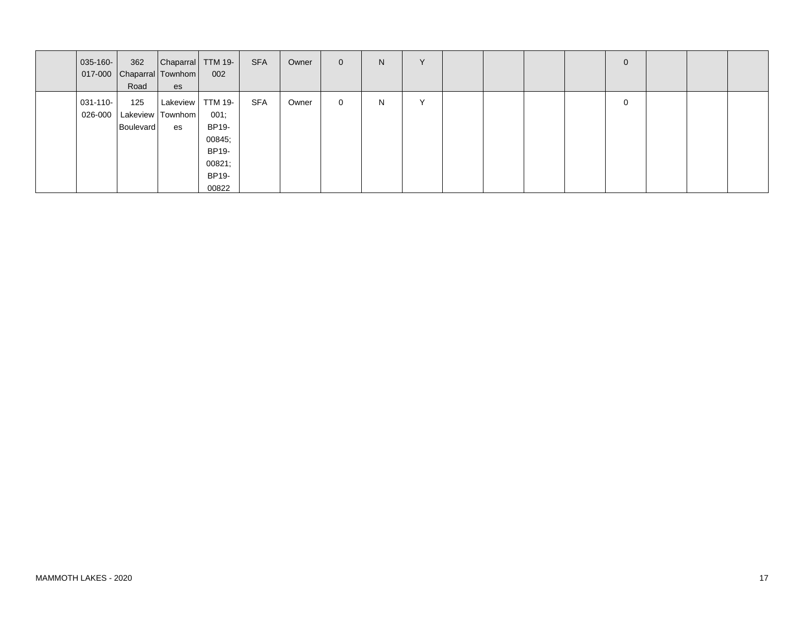| $ 035 - 160 -  $         | 362<br>Road      | Chaparral TTM 19-<br>017-000 Chaparral Townhom<br>es | 002                                                          | <b>SFA</b> | Owner | $\overline{0}$ | N | $\vee$       |  |  | 0 |  |  |
|--------------------------|------------------|------------------------------------------------------|--------------------------------------------------------------|------------|-------|----------------|---|--------------|--|--|---|--|--|
| $031 - 110 -$<br>026-000 | 125<br>Boulevard | Lakeview   TTM 19-<br>Lakeview   Townhom  <br>es     | 001;<br>BP19-<br>00845;<br>BP19-<br>00821;<br>BP19-<br>00822 | <b>SFA</b> | Owner | $\mathbf{0}$   | N | $\checkmark$ |  |  | 0 |  |  |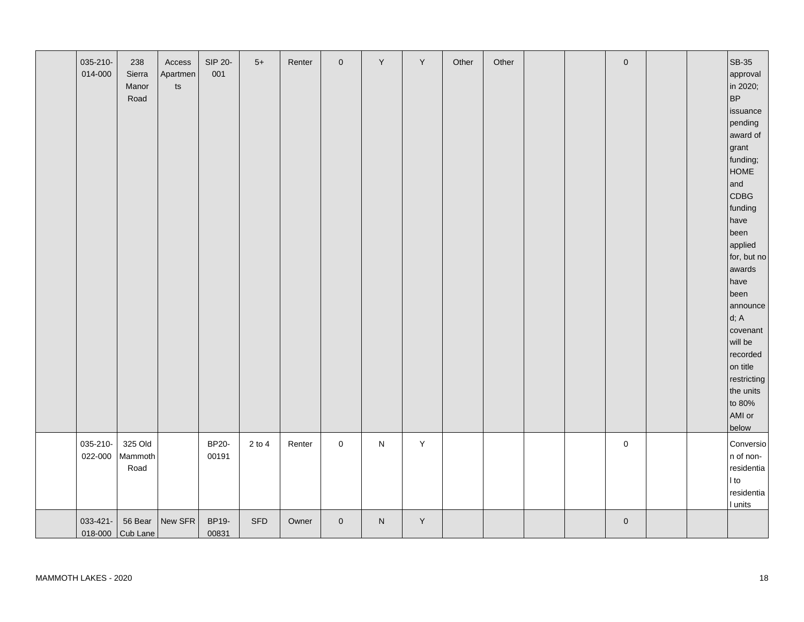| 035-210-<br>014-000 | 238<br>Sierra<br>Manor<br>Road | Access<br>Apartmen<br>$\sf{ts}$ | SIP 20-<br>001        | $5+$       | Renter | $\mathbf 0$ | Y         | Y           | Other | Other |  | $\mathbf 0$ |  | SB-35<br>approval<br>in 2020;<br>BP<br>issuance<br>pending<br>award of<br>grant<br>funding;<br><b>HOME</b><br>and<br>CDBG<br>funding<br>have<br>been<br>applied<br>for, but no<br>awards<br>have<br>been<br>announce<br>d; A<br>covenant<br>will be<br>recorded<br>on title<br>restricting<br>the units<br>to 80%<br>AMI or<br>below |
|---------------------|--------------------------------|---------------------------------|-----------------------|------------|--------|-------------|-----------|-------------|-------|-------|--|-------------|--|--------------------------------------------------------------------------------------------------------------------------------------------------------------------------------------------------------------------------------------------------------------------------------------------------------------------------------------|
| 035-210-<br>022-000 | 325 Old<br>Mammoth<br>Road     |                                 | <b>BP20-</b><br>00191 | $2$ to $4$ | Renter | $\mathsf 0$ | ${\sf N}$ | $\mathsf Y$ |       |       |  | $\mathsf 0$ |  | Conversio<br>n of non-<br>residentia<br>I to<br>residentia<br>I units                                                                                                                                                                                                                                                                |
| 033-421-            | 56 Bear<br>018-000 Cub Lane    | New SFR                         | BP19-<br>00831        | <b>SFD</b> | Owner  | $\pmb{0}$   | ${\sf N}$ | Y           |       |       |  | $\mathbf 0$ |  |                                                                                                                                                                                                                                                                                                                                      |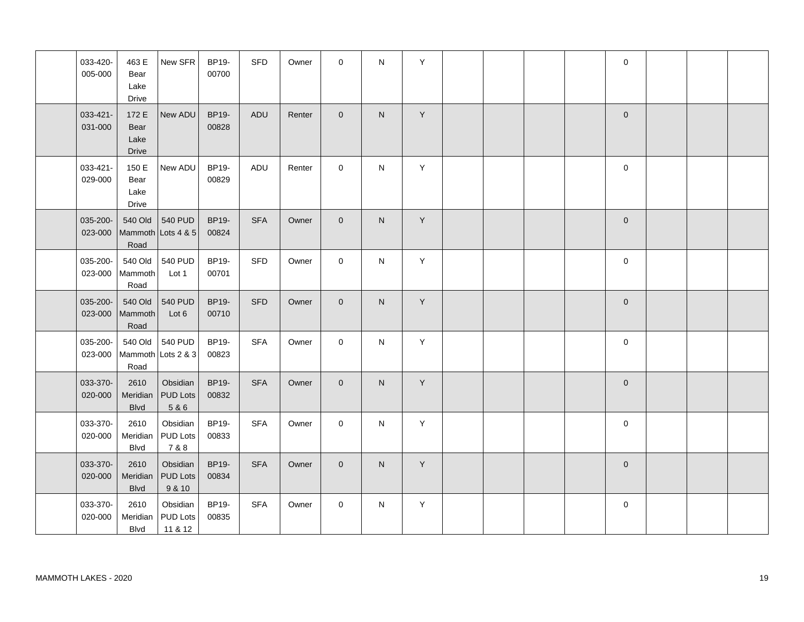| 033-420-<br>005-000 | 463 E<br>Bear<br>Lake<br>Drive        | New SFR                                | BP19-<br>00700        | <b>SFD</b> | Owner  | $\mathbf 0$    | $\mathsf{N}$ | Υ |  |  | $\mathbf 0$  |  |  |
|---------------------|---------------------------------------|----------------------------------------|-----------------------|------------|--------|----------------|--------------|---|--|--|--------------|--|--|
| 033-421-<br>031-000 | 172 E<br>Bear<br>Lake<br><b>Drive</b> | New ADU                                | BP19-<br>00828        | <b>ADU</b> | Renter | $\overline{0}$ | N            | Y |  |  | $\mathbf{0}$ |  |  |
| 033-421-<br>029-000 | 150 E<br>Bear<br>Lake<br>Drive        | New ADU                                | BP19-<br>00829        | ADU        | Renter | $\mathbf 0$    | $\mathsf{N}$ | Y |  |  | $\mathbf 0$  |  |  |
| 035-200-<br>023-000 | 540 Old<br>Mammoth<br>Road            | 540 PUD<br>Lots 4 & 5                  | BP19-<br>00824        | <b>SFA</b> | Owner  | $\overline{0}$ | N            | Y |  |  | $\mathbf{0}$ |  |  |
| 035-200-<br>023-000 | 540 Old<br>Mammoth<br>Road            | 540 PUD<br>Lot 1                       | BP19-<br>00701        | <b>SFD</b> | Owner  | $\mathbf 0$    | $\mathsf{N}$ | Y |  |  | $\mathbf 0$  |  |  |
| 035-200-<br>023-000 | 540 Old<br>Mammoth<br>Road            | 540 PUD<br>Lot 6                       | BP19-<br>00710        | <b>SFD</b> | Owner  | $\overline{0}$ | N            | Y |  |  | $\mathbf 0$  |  |  |
| 035-200-<br>023-000 | 540 Old<br>Mammoth<br>Road            | 540 PUD<br>Lots 2 & 3                  | BP19-<br>00823        | <b>SFA</b> | Owner  | $\mathbf 0$    | N            | Y |  |  | $\mathbf 0$  |  |  |
| 033-370-<br>020-000 | 2610<br>Meridian<br><b>Blvd</b>       | Obsidian<br><b>PUD Lots</b><br>5 & 6   | BP19-<br>00832        | <b>SFA</b> | Owner  | $\overline{0}$ | N.           | Y |  |  | $\mathbf{0}$ |  |  |
| 033-370-<br>020-000 | 2610<br>Meridian<br><b>Blvd</b>       | Obsidian<br><b>PUD Lots</b><br>7 & 8   | BP19-<br>00833        | <b>SFA</b> | Owner  | $\mathbf 0$    | N            | Y |  |  | $\mathbf 0$  |  |  |
| 033-370-<br>020-000 | 2610<br>Meridian<br><b>Blvd</b>       | Obsidian<br><b>PUD Lots</b><br>9 & 10  | <b>BP19-</b><br>00834 | <b>SFA</b> | Owner  | $\overline{0}$ | N            | Y |  |  | $\mathbf{0}$ |  |  |
| 033-370-<br>020-000 | 2610<br>Meridian<br><b>Blvd</b>       | Obsidian<br><b>PUD Lots</b><br>11 & 12 | BP19-<br>00835        | <b>SFA</b> | Owner  | $\mathbf 0$    | ${\sf N}$    | Y |  |  | 0            |  |  |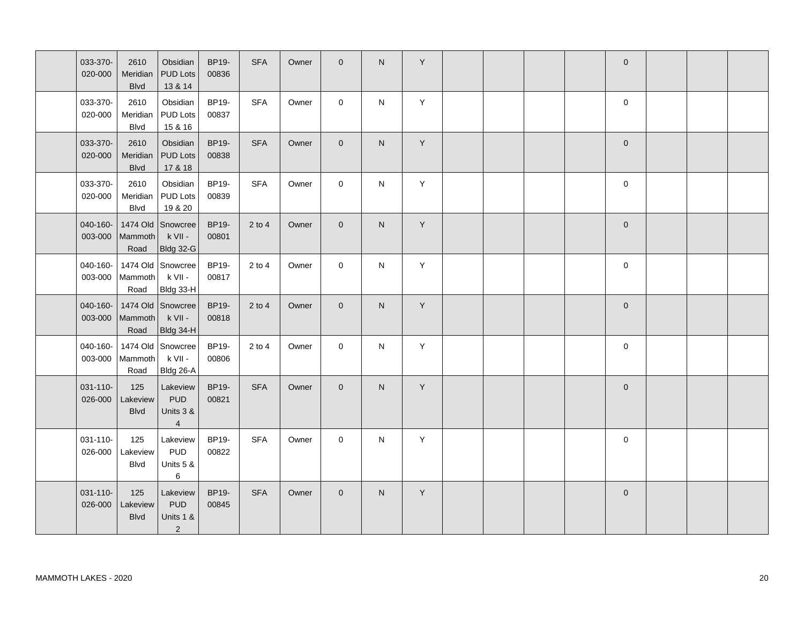| 033-370-<br>020-000 | 2610<br>Meridian<br><b>Blvd</b> | Obsidian<br><b>PUD Lots</b><br>13 & 14                | BP19-<br>00836 | <b>SFA</b> | Owner | $\overline{0}$ | N            | Υ |  |  | $\mathbf 0$ |  |  |
|---------------------|---------------------------------|-------------------------------------------------------|----------------|------------|-------|----------------|--------------|---|--|--|-------------|--|--|
| 033-370-<br>020-000 | 2610<br>Meridian<br>Blvd        | Obsidian<br>PUD Lots<br>15 & 16                       | BP19-<br>00837 | <b>SFA</b> | Owner | $\mathbf 0$    | N            | Υ |  |  | $\mathbf 0$ |  |  |
| 033-370-<br>020-000 | 2610<br>Meridian<br><b>Blvd</b> | Obsidian<br><b>PUD Lots</b><br>17 & 18                | BP19-<br>00838 | <b>SFA</b> | Owner | $\overline{0}$ | $\mathsf{N}$ | Y |  |  | $\mathbf 0$ |  |  |
| 033-370-<br>020-000 | 2610<br>Meridian<br>Blvd        | Obsidian<br>PUD Lots<br>19 & 20                       | BP19-<br>00839 | <b>SFA</b> | Owner | $\mathbf 0$    | N            | Y |  |  | $\mathbf 0$ |  |  |
| 040-160-<br>003-000 | 1474 Old<br>Mammoth<br>Road     | Snowcree<br>k VII -<br><b>Bldg 32-G</b>               | BP19-<br>00801 | $2$ to $4$ | Owner | $\overline{0}$ | ${\sf N}$    | Y |  |  | $\mathbf 0$ |  |  |
| 040-160-<br>003-000 | Mammoth<br>Road                 | 1474 Old Snowcree<br>k VII -<br>Bldg 33-H             | BP19-<br>00817 | $2$ to $4$ | Owner | $\mathbf 0$    | N            | Y |  |  | 0           |  |  |
| 040-160-<br>003-000 | Mammoth<br>Road                 | 1474 Old Snowcree<br>k VII -<br>Bldg 34-H             | BP19-<br>00818 | $2$ to 4   | Owner | $\overline{0}$ | N            | Y |  |  | $\mathbf 0$ |  |  |
| 040-160-<br>003-000 | 1474 Old<br>Mammoth<br>Road     | Snowcree<br>k VII -<br>Bldg 26-A                      | BP19-<br>00806 | $2$ to $4$ | Owner | $\mathbf 0$    | N            | Υ |  |  | 0           |  |  |
| 031-110-<br>026-000 | 125<br>Lakeview<br><b>Blvd</b>  | Lakeview<br><b>PUD</b><br>Units 3 &<br>$\overline{4}$ | BP19-<br>00821 | <b>SFA</b> | Owner | $\overline{0}$ | N            | Υ |  |  | $\mathbf 0$ |  |  |
| 031-110-<br>026-000 | 125<br>Lakeview<br><b>Blvd</b>  | Lakeview<br><b>PUD</b><br>Units 5 &<br>$\,6\,$        | BP19-<br>00822 | <b>SFA</b> | Owner | $\mathbf 0$    | N            | Υ |  |  | $\mathbf 0$ |  |  |
| 031-110-<br>026-000 | 125<br>Lakeview<br><b>Blvd</b>  | Lakeview<br><b>PUD</b><br>Units 1 &<br>$\overline{2}$ | BP19-<br>00845 | <b>SFA</b> | Owner | $\overline{0}$ | ${\sf N}$    | Y |  |  | $\mathbf 0$ |  |  |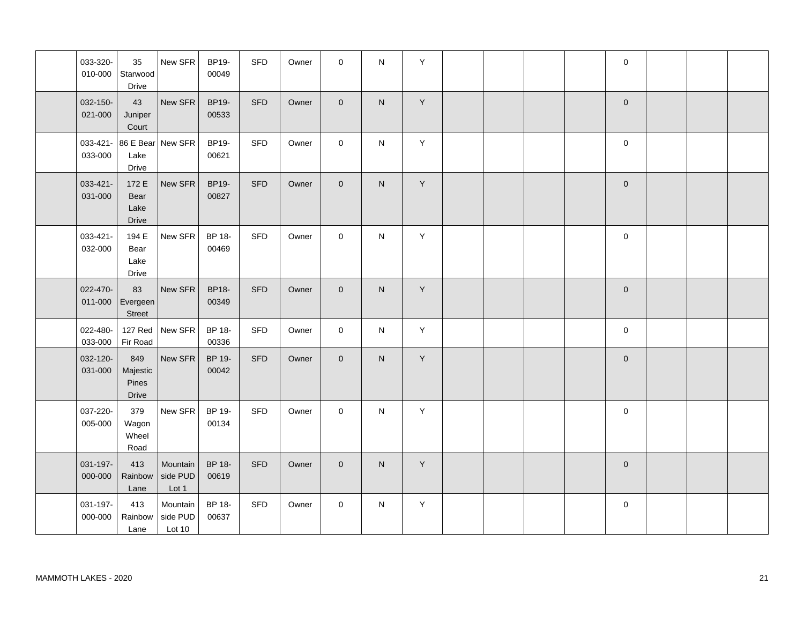| 033-320-<br>010-000 | 35<br>Starwood<br>Drive               | New SFR                        | BP19-<br>00049  | SFD        | Owner | $\mathbf 0$    | N            | Υ           |  |  | $\pmb{0}$           |  |  |
|---------------------|---------------------------------------|--------------------------------|-----------------|------------|-------|----------------|--------------|-------------|--|--|---------------------|--|--|
| 032-150-<br>021-000 | 43<br>Juniper<br>Court                | New SFR                        | BP19-<br>00533  | <b>SFD</b> | Owner | $\overline{0}$ | $\mathsf{N}$ | Y           |  |  | $\mathbf 0$         |  |  |
| 033-421-<br>033-000 | Lake<br>Drive                         | 86 E Bear New SFR              | BP19-<br>00621  | <b>SFD</b> | Owner | $\mathbf{0}$   | ${\sf N}$    | Y           |  |  | $\mathbf 0$         |  |  |
| 033-421-<br>031-000 | 172 E<br>Bear<br>Lake<br><b>Drive</b> | New SFR                        | BP19-<br>00827  | <b>SFD</b> | Owner | $\mathbf{0}$   | $\mathsf{N}$ | Y           |  |  | $\mathbf 0$         |  |  |
| 033-421-<br>032-000 | 194 E<br>Bear<br>Lake<br>Drive        | New SFR                        | BP 18-<br>00469 | SFD        | Owner | $\mathbf 0$    | N            | Y           |  |  | $\mathbf 0$         |  |  |
| 022-470-<br>011-000 | 83<br>Evergeen<br>Street              | New SFR                        | BP18-<br>00349  | <b>SFD</b> | Owner | $\mathbf{0}$   | $\mathsf{N}$ | Y           |  |  | $\mathbf 0$         |  |  |
| 022-480-<br>033-000 | <b>127 Red</b><br>Fir Road            | New SFR                        | BP 18-<br>00336 | SFD        | Owner | $\mathbf 0$    | N            | Y           |  |  | $\mathbf 0$         |  |  |
| 032-120-<br>031-000 | 849<br>Majestic<br>Pines<br>Drive     | New SFR                        | BP 19-<br>00042 | <b>SFD</b> | Owner | $\overline{0}$ | N            | $\mathsf Y$ |  |  | $\mathbf{0}$        |  |  |
| 037-220-<br>005-000 | 379<br>Wagon<br>Wheel<br>Road         | New SFR                        | BP 19-<br>00134 | <b>SFD</b> | Owner | $\mathbf{0}$   | N            | Y           |  |  | $\mathsf{O}\xspace$ |  |  |
| 031-197-<br>000-000 | 413<br>Rainbow<br>Lane                | Mountain<br>side PUD<br>Lot 1  | BP 18-<br>00619 | <b>SFD</b> | Owner | $\overline{0}$ | N.           | Y           |  |  | $\mathbf 0$         |  |  |
| 031-197-<br>000-000 | 413<br>Rainbow<br>Lane                | Mountain<br>side PUD<br>Lot 10 | BP 18-<br>00637 | SFD        | Owner | $\mathbf 0$    | $\mathsf{N}$ | Υ           |  |  | $\pmb{0}$           |  |  |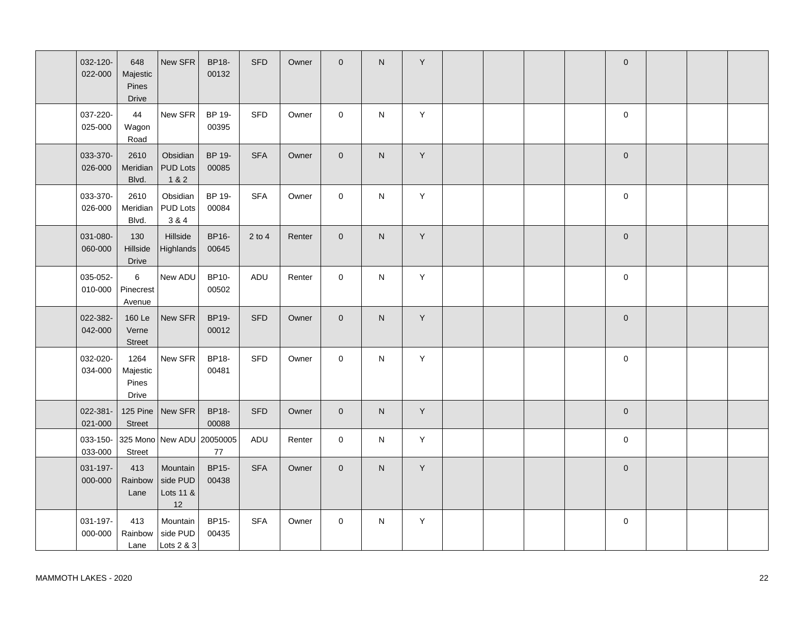| 032-120-<br>022-000 | 648<br>Majestic<br>Pines<br>Drive  | New SFR                                 | <b>BP18-</b><br>00132 | <b>SFD</b> | Owner  | $\Omega$       | $\mathsf{N}$   | Y       |  |  | $\mathbf 0$ |  |  |
|---------------------|------------------------------------|-----------------------------------------|-----------------------|------------|--------|----------------|----------------|---------|--|--|-------------|--|--|
| 037-220-<br>025-000 | 44<br>Wagon<br>Road                | New SFR                                 | BP 19-<br>00395       | SFD        | Owner  | $\Omega$       | ${\sf N}$      | Y       |  |  | $\mathbf 0$ |  |  |
| 033-370-<br>026-000 | 2610<br>Meridian<br>Blvd.          | Obsidian<br><b>PUD Lots</b><br>1 & 2    | BP 19-<br>00085       | <b>SFA</b> | Owner  | $\overline{0}$ | ${\sf N}$      | Y       |  |  | $\mathbf 0$ |  |  |
| 033-370-<br>026-000 | 2610<br>Meridian<br>Blvd.          | Obsidian<br><b>PUD Lots</b><br>3 & 4    | BP 19-<br>00084       | <b>SFA</b> | Owner  | $\mathbf 0$    | N              | Υ       |  |  | 0           |  |  |
| 031-080-<br>060-000 | 130<br>Hillside<br><b>Drive</b>    | Hillside<br><b>Highlands</b>            | <b>BP16-</b><br>00645 | $2$ to $4$ | Renter | $\mathbf{0}$   | $\mathsf{N}$   | $\sf Y$ |  |  | $\mathbf 0$ |  |  |
| 035-052-<br>010-000 | 6<br>Pinecrest<br>Avenue           | New ADU                                 | BP10-<br>00502        | ADU        | Renter | $\mathbf 0$    | $\mathsf{N}$   | Υ       |  |  | 0           |  |  |
| 022-382-<br>042-000 | 160 Le<br>Verne<br><b>Street</b>   | New SFR                                 | <b>BP19-</b><br>00012 | <b>SFD</b> | Owner  | $\mathbf 0$    | $\mathsf{N}$   | $\sf Y$ |  |  | $\mathbf 0$ |  |  |
| 032-020-<br>034-000 | 1264<br>Majestic<br>Pines<br>Drive | New SFR                                 | <b>BP18-</b><br>00481 | SFD        | Owner  | $\mathbf 0$    | ${\sf N}$      | Υ       |  |  | 0           |  |  |
| 022-381-<br>021-000 | 125 Pine<br>Street                 | New SFR                                 | <b>BP18-</b><br>00088 | <b>SFD</b> | Owner  | $\overline{0}$ | $\mathsf{N}$   | $\sf Y$ |  |  | $\mathbf 0$ |  |  |
| 033-150-<br>033-000 | Street                             | 325 Mono New ADU 20050005               | 77                    | ADU        | Renter | $\mathbf{0}$   | N              | Υ       |  |  | $\pmb{0}$   |  |  |
| 031-197-<br>000-000 | 413<br>Rainbow<br>Lane             | Mountain<br>side PUD<br>Lots 11 &<br>12 | <b>BP15-</b><br>00438 | <b>SFA</b> | Owner  | $\overline{0}$ | $\overline{N}$ | Y       |  |  | $\mathbf 0$ |  |  |
| 031-197-<br>000-000 | 413<br>Rainbow<br>Lane             | Mountain<br>side PUD<br>Lots 2 & 3      | <b>BP15-</b><br>00435 | <b>SFA</b> | Owner  | $\mathbf 0$    | N              | Υ       |  |  | 0           |  |  |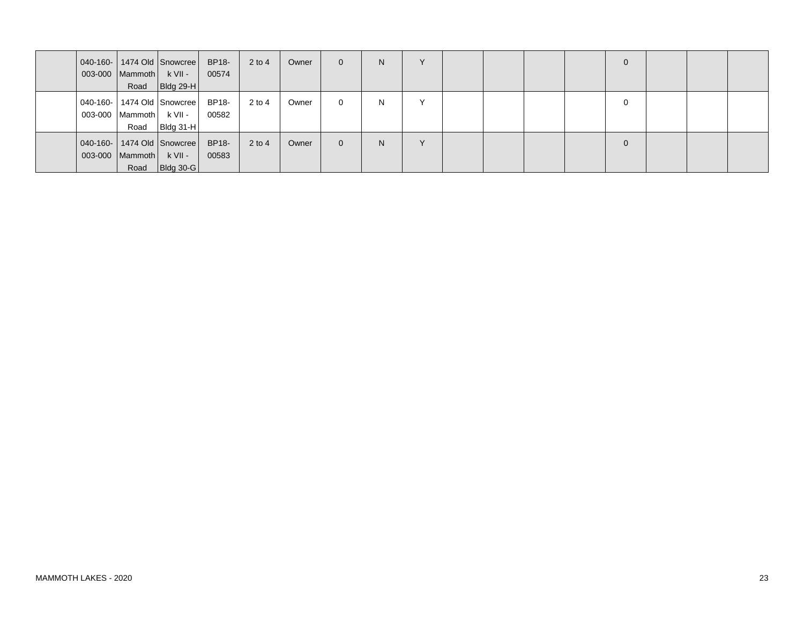|                   |                   | 040-160-   1474 Old   Snowcree | BP18- | $2$ to 4 | Owner | $\overline{0}$ | N. | $\checkmark$ |  |  | $\mathbf{0}$ |  |  |
|-------------------|-------------------|--------------------------------|-------|----------|-------|----------------|----|--------------|--|--|--------------|--|--|
|                   | $003-000$ Mammoth | $k$ VII -                      | 00574 |          |       |                |    |              |  |  |              |  |  |
|                   | Road              | <b>Bldg 29-H</b>               |       |          |       |                |    |              |  |  |              |  |  |
|                   |                   | 040-160-   1474 Old   Snowcree | BP18- | $2$ to 4 | Owner | $\Omega$       | N. | $\checkmark$ |  |  | $\Omega$     |  |  |
| 003-000           | Mammoth           | k VII -                        | 00582 |          |       |                |    |              |  |  |              |  |  |
|                   | Road              | <b>Bldg 31-H</b>               |       |          |       |                |    |              |  |  |              |  |  |
| $  040 - 160 -  $ |                   | 1474 Old Snowcree              | BP18- | $2$ to 4 | Owner | $\Omega$       | N. | $\checkmark$ |  |  | $\mathbf{0}$ |  |  |
|                   | 003-000   Mammoth | $k$ VII -                      | 00583 |          |       |                |    |              |  |  |              |  |  |
|                   | Road              | <b>Bldg 30-G</b>               |       |          |       |                |    |              |  |  |              |  |  |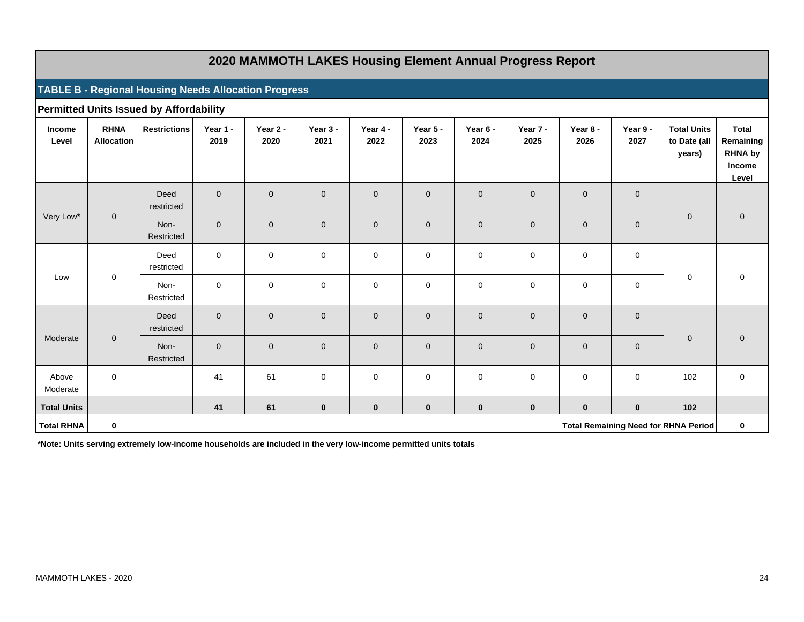## **2020 MAMMOTH LAKES Housing Element Annual Progress Report**

#### **TABLE B - Regional Housing Needs Allocation Progress**

|                    |                                  | <b>Permitted Units Issued by Affordability</b> |                     |                  |                  |                  |                  |                  |                  |                  |                     |                                              |                                                                       |
|--------------------|----------------------------------|------------------------------------------------|---------------------|------------------|------------------|------------------|------------------|------------------|------------------|------------------|---------------------|----------------------------------------------|-----------------------------------------------------------------------|
| Income<br>Level    | <b>RHNA</b><br><b>Allocation</b> | <b>Restrictions</b>                            | Year 1 -<br>2019    | Year 2 -<br>2020 | Year 3 -<br>2021 | Year 4 -<br>2022 | Year 5 -<br>2023 | Year 6 -<br>2024 | Year 7 -<br>2025 | Year 8 -<br>2026 | Year 9 -<br>2027    | <b>Total Units</b><br>to Date (all<br>years) | <b>Total</b><br>Remaining<br><b>RHNA by</b><br><b>Income</b><br>Level |
|                    |                                  | Deed<br>restricted                             | $\overline{0}$      | $\mathbf 0$      | $\mathbf 0$      | $\mathbf{0}$     | $\mathbf 0$      | $\mathbf 0$      | $\mathbf 0$      | $\mathbf 0$      | $\mathbf{0}$        |                                              |                                                                       |
| Very Low*          | $\pmb{0}$                        | Non-<br>Restricted                             | $\mathbf 0$         | $\mathbf 0$      | $\mathbf 0$      | $\mathbf 0$      | $\mathbf 0$      | $\mathbf 0$      | $\mathbf 0$      | $\mathbf 0$      | $\mathbf 0$         | $\mathbf 0$                                  | $\mathbf 0$                                                           |
|                    |                                  | Deed<br>restricted                             | $\mathbf 0$         | $\mathbf 0$      | $\mathbf 0$      | $\pmb{0}$        | $\mathbf 0$      | $\mathbf 0$      | $\mathbf 0$      | $\mathbf 0$      | $\mathbf 0$         |                                              |                                                                       |
| Low                | $\mathsf 0$                      | Non-<br>Restricted                             | $\mathbf 0$         | $\mathbf 0$      | $\mathbf 0$      | $\mathbf 0$      | $\mathbf 0$      | $\mathbf 0$      | $\mathbf 0$      | $\mathbf 0$      | $\mathsf 0$         | 0                                            | 0                                                                     |
|                    |                                  | Deed<br>restricted                             | $\overline{0}$      | $\mathbf{0}$     | $\mathbf 0$      | $\mathbf 0$      | $\overline{0}$   | $\mathbf{0}$     | $\mathbf 0$      | $\mathbf 0$      | $\mathbf 0$         |                                              |                                                                       |
| Moderate           | $\pmb{0}$                        | Non-<br>Restricted                             | $\mathsf{O}\xspace$ | $\mathbf{0}$     | $\mathbf 0$      | $\mathbf 0$      | $\mathbf 0$      | $\mathbf{0}$     | $\mathbf 0$      | $\mathbf 0$      | $\mathsf{O}\xspace$ | $\overline{0}$                               | $\mathbf 0$                                                           |
| Above<br>Moderate  | $\pmb{0}$                        |                                                | 41                  | 61               | $\mathbf 0$      | $\pmb{0}$        | $\mathbf 0$      | $\mathbf 0$      | $\mathbf 0$      | $\mathbf 0$      | $\mathsf 0$         | 102                                          | $\mathsf 0$                                                           |
| <b>Total Units</b> |                                  |                                                | 41                  | 61               | $\mathbf 0$      | $\pmb{0}$        | $\mathbf 0$      | $\mathbf 0$      | $\bf{0}$         | $\bf{0}$         | $\bf{0}$            | 102                                          |                                                                       |
| <b>Total RHNA</b>  | $\pmb{0}$                        |                                                |                     |                  |                  |                  |                  |                  |                  |                  |                     | <b>Total Remaining Need for RHNA Period</b>  | $\bf{0}$                                                              |

**\*Note: Units serving extremely low-income households are included in the very low-income permitted units totals**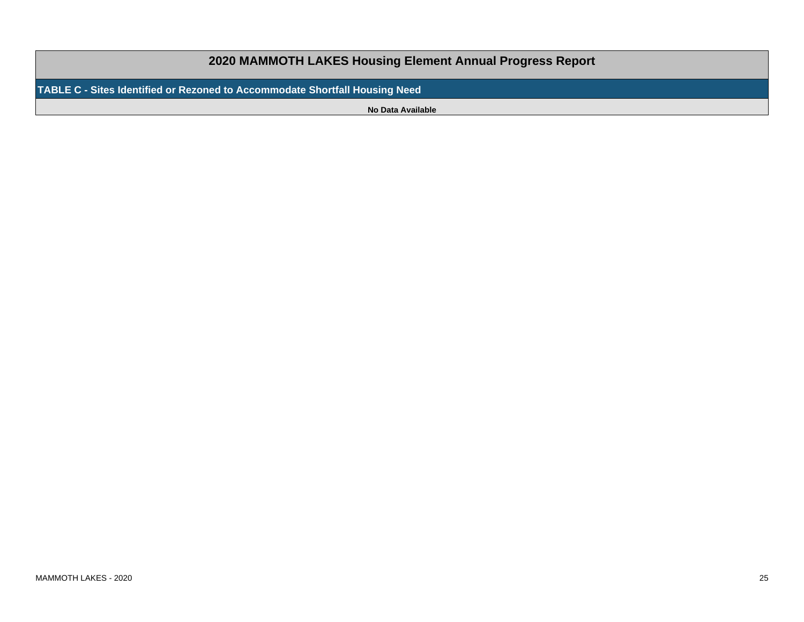# **2020 MAMMOTH LAKES Housing Element Annual Progress ReportTABLE C - Sites Identified or Rezoned to Accommodate Shortfall Housing NeedNo Data Available**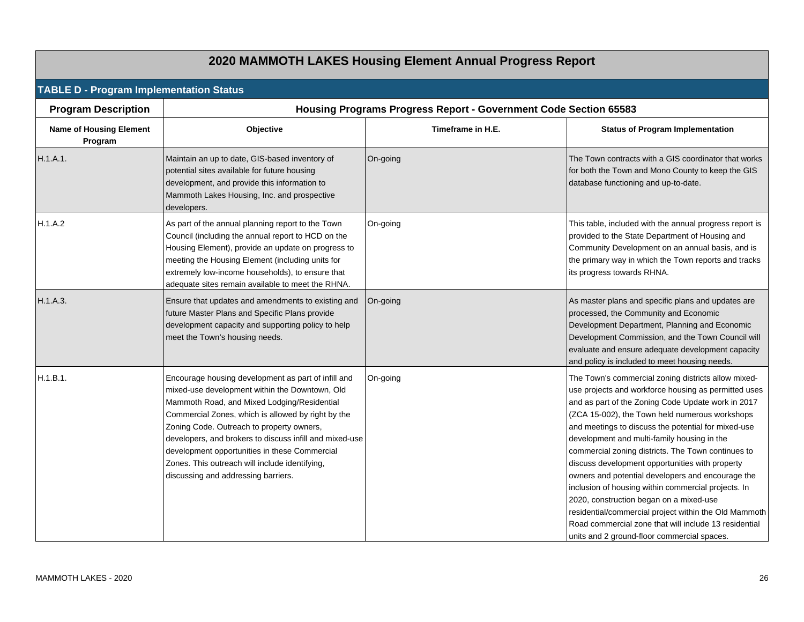|                                                |                                                                                                                                                                                                                                                                                                                                                                                                                                                              | 2020 MAMMOTH LAKES Housing Element Annual Progress Report        |                                                                                                                                                                                                                                                                                                                                                                                                                                                                                                                                                                                                                                                                                                                                                            |
|------------------------------------------------|--------------------------------------------------------------------------------------------------------------------------------------------------------------------------------------------------------------------------------------------------------------------------------------------------------------------------------------------------------------------------------------------------------------------------------------------------------------|------------------------------------------------------------------|------------------------------------------------------------------------------------------------------------------------------------------------------------------------------------------------------------------------------------------------------------------------------------------------------------------------------------------------------------------------------------------------------------------------------------------------------------------------------------------------------------------------------------------------------------------------------------------------------------------------------------------------------------------------------------------------------------------------------------------------------------|
| <b>TABLE D - Program Implementation Status</b> |                                                                                                                                                                                                                                                                                                                                                                                                                                                              |                                                                  |                                                                                                                                                                                                                                                                                                                                                                                                                                                                                                                                                                                                                                                                                                                                                            |
| <b>Program Description</b>                     |                                                                                                                                                                                                                                                                                                                                                                                                                                                              | Housing Programs Progress Report - Government Code Section 65583 |                                                                                                                                                                                                                                                                                                                                                                                                                                                                                                                                                                                                                                                                                                                                                            |
| <b>Name of Housing Element</b><br>Program      | Objective                                                                                                                                                                                                                                                                                                                                                                                                                                                    | Timeframe in H.E.                                                | <b>Status of Program Implementation</b>                                                                                                                                                                                                                                                                                                                                                                                                                                                                                                                                                                                                                                                                                                                    |
| H.1.A.1.                                       | Maintain an up to date, GIS-based inventory of<br>potential sites available for future housing<br>development, and provide this information to<br>Mammoth Lakes Housing, Inc. and prospective<br>developers.                                                                                                                                                                                                                                                 | On-going                                                         | The Town contracts with a GIS coordinator that works<br>for both the Town and Mono County to keep the GIS<br>database functioning and up-to-date.                                                                                                                                                                                                                                                                                                                                                                                                                                                                                                                                                                                                          |
| H.1.A.2                                        | As part of the annual planning report to the Town<br>Council (including the annual report to HCD on the<br>Housing Element), provide an update on progress to<br>meeting the Housing Element (including units for<br>extremely low-income households), to ensure that<br>adequate sites remain available to meet the RHNA.                                                                                                                                   | On-going                                                         | This table, included with the annual progress report is<br>provided to the State Department of Housing and<br>Community Development on an annual basis, and is<br>the primary way in which the Town reports and tracks<br>its progress towards RHNA.                                                                                                                                                                                                                                                                                                                                                                                                                                                                                                       |
| H.1.A.3.                                       | Ensure that updates and amendments to existing and<br>future Master Plans and Specific Plans provide<br>development capacity and supporting policy to help<br>meet the Town's housing needs.                                                                                                                                                                                                                                                                 | On-going                                                         | As master plans and specific plans and updates are<br>processed, the Community and Economic<br>Development Department, Planning and Economic<br>Development Commission, and the Town Council will<br>evaluate and ensure adequate development capacity<br>and policy is included to meet housing needs.                                                                                                                                                                                                                                                                                                                                                                                                                                                    |
| H.1.B.1.                                       | Encourage housing development as part of infill and<br>mixed-use development within the Downtown, Old<br>Mammoth Road, and Mixed Lodging/Residential<br>Commercial Zones, which is allowed by right by the<br>Zoning Code. Outreach to property owners,<br>developers, and brokers to discuss infill and mixed-use<br>development opportunities in these Commercial<br>Zones. This outreach will include identifying,<br>discussing and addressing barriers. | On-going                                                         | The Town's commercial zoning districts allow mixed-<br>use projects and workforce housing as permitted uses<br>and as part of the Zoning Code Update work in 2017<br>(ZCA 15-002), the Town held numerous workshops<br>and meetings to discuss the potential for mixed-use<br>development and multi-family housing in the<br>commercial zoning districts. The Town continues to<br>discuss development opportunities with property<br>owners and potential developers and encourage the<br>inclusion of housing within commercial projects. In<br>2020, construction began on a mixed-use<br>residential/commercial project within the Old Mammoth<br>Road commercial zone that will include 13 residential<br>units and 2 ground-floor commercial spaces. |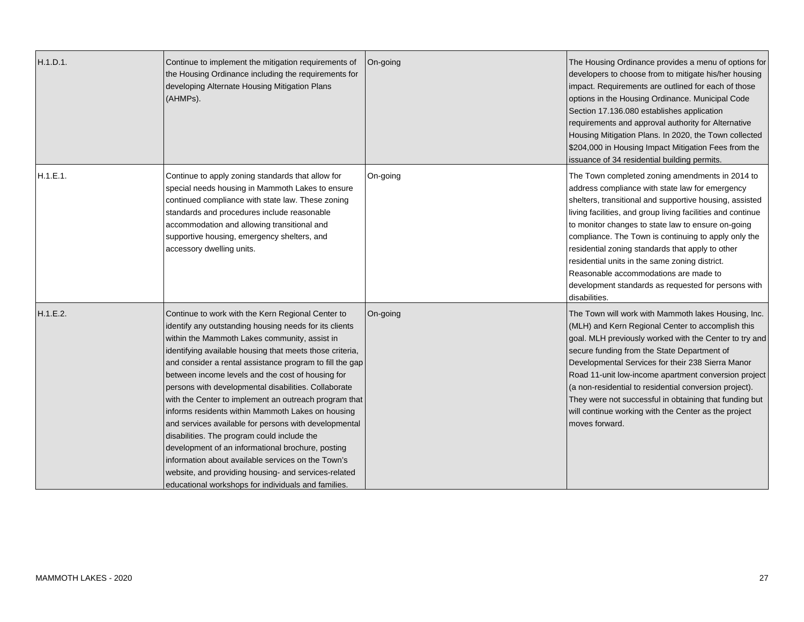| H.1.D.1. | Continue to implement the mitigation requirements of<br>the Housing Ordinance including the requirements for<br>developing Alternate Housing Mitigation Plans<br>(AHMPs).                                                                                                                                                                                                                                                                                                                                                                                                                                                                                                                                                                                                                                                                         | On-going | The Housing Ordinance provides a menu of options for<br>developers to choose from to mitigate his/her housing<br>impact. Requirements are outlined for each of those<br>options in the Housing Ordinance. Municipal Code<br>Section 17.136.080 establishes application<br>requirements and approval authority for Alternative<br>Housing Mitigation Plans. In 2020, the Town collected<br>\$204,000 in Housing Impact Mitigation Fees from the<br>issuance of 34 residential building permits.                                                                    |
|----------|---------------------------------------------------------------------------------------------------------------------------------------------------------------------------------------------------------------------------------------------------------------------------------------------------------------------------------------------------------------------------------------------------------------------------------------------------------------------------------------------------------------------------------------------------------------------------------------------------------------------------------------------------------------------------------------------------------------------------------------------------------------------------------------------------------------------------------------------------|----------|-------------------------------------------------------------------------------------------------------------------------------------------------------------------------------------------------------------------------------------------------------------------------------------------------------------------------------------------------------------------------------------------------------------------------------------------------------------------------------------------------------------------------------------------------------------------|
| H.1.E.1. | Continue to apply zoning standards that allow for<br>special needs housing in Mammoth Lakes to ensure<br>continued compliance with state law. These zoning<br>standards and procedures include reasonable<br>accommodation and allowing transitional and<br>supportive housing, emergency shelters, and<br>accessory dwelling units.                                                                                                                                                                                                                                                                                                                                                                                                                                                                                                              | On-going | The Town completed zoning amendments in 2014 to<br>address compliance with state law for emergency<br>shelters, transitional and supportive housing, assisted<br>living facilities, and group living facilities and continue<br>to monitor changes to state law to ensure on-going<br>compliance. The Town is continuing to apply only the<br>residential zoning standards that apply to other<br>residential units in the same zoning district.<br>Reasonable accommodations are made to<br>development standards as requested for persons with<br>disabilities. |
| H.1.E.2. | Continue to work with the Kern Regional Center to<br>identify any outstanding housing needs for its clients<br>within the Mammoth Lakes community, assist in<br>identifying available housing that meets those criteria,<br>and consider a rental assistance program to fill the gap<br>between income levels and the cost of housing for<br>persons with developmental disabilities. Collaborate<br>with the Center to implement an outreach program that<br>informs residents within Mammoth Lakes on housing<br>and services available for persons with developmental<br>disabilities. The program could include the<br>development of an informational brochure, posting<br>information about available services on the Town's<br>website, and providing housing- and services-related<br>educational workshops for individuals and families. | On-going | The Town will work with Mammoth lakes Housing, Inc.<br>(MLH) and Kern Regional Center to accomplish this<br>goal. MLH previously worked with the Center to try and<br>secure funding from the State Department of<br>Developmental Services for their 238 Sierra Manor<br>Road 11-unit low-income apartment conversion project<br>(a non-residential to residential conversion project).<br>They were not successful in obtaining that funding but<br>will continue working with the Center as the project<br>moves forward.                                      |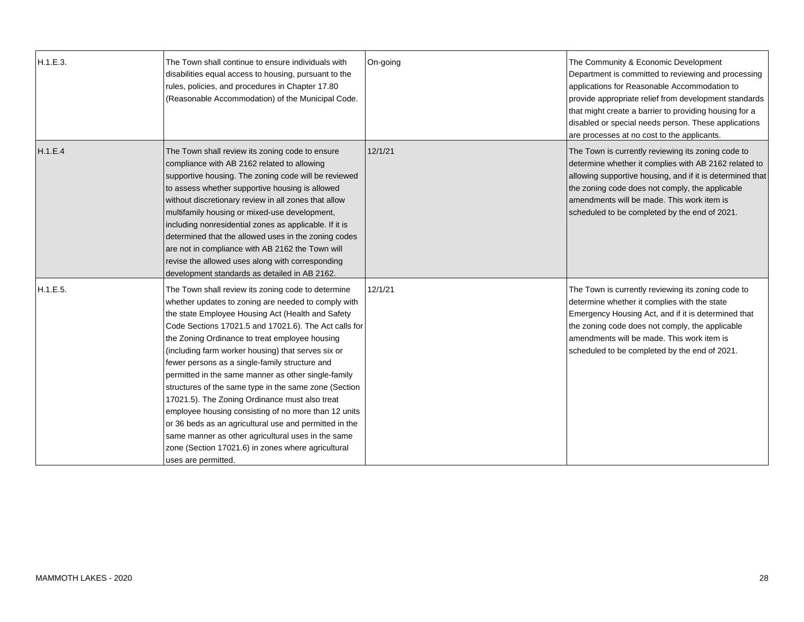| H.1.E.3. | The Town shall continue to ensure individuals with<br>disabilities equal access to housing, pursuant to the<br>rules, policies, and procedures in Chapter 17.80<br>(Reasonable Accommodation) of the Municipal Code.                                                                                                                                                                                                                                                                                                                                                                                                                                                                                                                                                                                     | On-going | The Community & Economic Development<br>Department is committed to reviewing and processing<br>applications for Reasonable Accommodation to<br>provide appropriate relief from development standards<br>that might create a barrier to providing housing for a<br>disabled or special needs person. These applications<br>are processes at no cost to the applicants. |
|----------|----------------------------------------------------------------------------------------------------------------------------------------------------------------------------------------------------------------------------------------------------------------------------------------------------------------------------------------------------------------------------------------------------------------------------------------------------------------------------------------------------------------------------------------------------------------------------------------------------------------------------------------------------------------------------------------------------------------------------------------------------------------------------------------------------------|----------|-----------------------------------------------------------------------------------------------------------------------------------------------------------------------------------------------------------------------------------------------------------------------------------------------------------------------------------------------------------------------|
| H.1.E.4  | The Town shall review its zoning code to ensure<br>compliance with AB 2162 related to allowing<br>supportive housing. The zoning code will be reviewed<br>to assess whether supportive housing is allowed<br>without discretionary review in all zones that allow<br>multifamily housing or mixed-use development,<br>including nonresidential zones as applicable. If it is<br>determined that the allowed uses in the zoning codes<br>are not in compliance with AB 2162 the Town will<br>revise the allowed uses along with corresponding<br>development standards as detailed in AB 2162.                                                                                                                                                                                                            | 12/1/21  | The Town is currently reviewing its zoning code to<br>determine whether it complies with AB 2162 related to<br>allowing supportive housing, and if it is determined that<br>the zoning code does not comply, the applicable<br>amendments will be made. This work item is<br>scheduled to be completed by the end of 2021.                                            |
| H.1.E.5. | The Town shall review its zoning code to determine<br>whether updates to zoning are needed to comply with<br>the state Employee Housing Act (Health and Safety<br>Code Sections 17021.5 and 17021.6). The Act calls for<br>the Zoning Ordinance to treat employee housing<br>(including farm worker housing) that serves six or<br>fewer persons as a single-family structure and<br>permitted in the same manner as other single-family<br>structures of the same type in the same zone (Section<br>17021.5). The Zoning Ordinance must also treat<br>employee housing consisting of no more than 12 units<br>or 36 beds as an agricultural use and permitted in the<br>same manner as other agricultural uses in the same<br>zone (Section 17021.6) in zones where agricultural<br>uses are permitted. | 12/1/21  | The Town is currently reviewing its zoning code to<br>determine whether it complies with the state<br>Emergency Housing Act, and if it is determined that<br>the zoning code does not comply, the applicable<br>amendments will be made. This work item is<br>scheduled to be completed by the end of 2021.                                                           |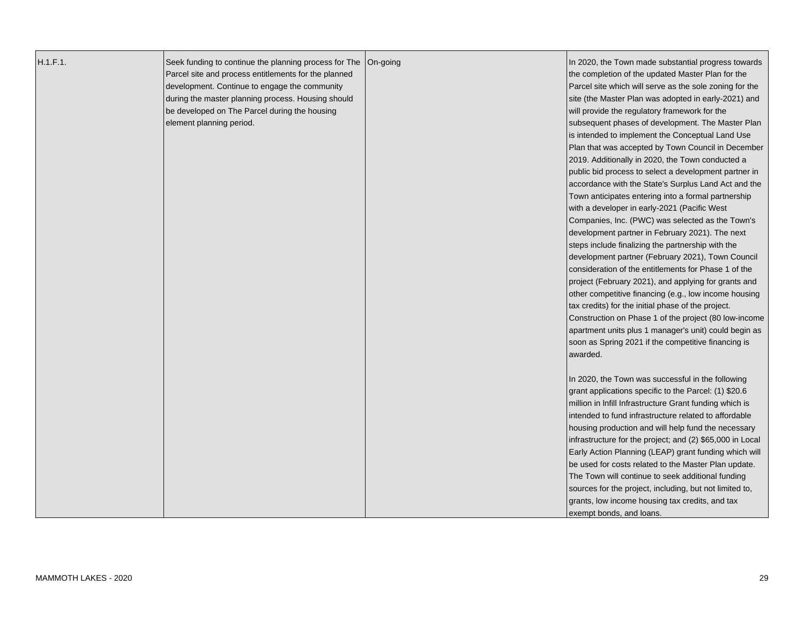| Parcel site and process entitlements for the planned<br>the completion of the updated Master Plan for the<br>development. Continue to engage the community<br>Parcel site which will serve as the sole zoning for the<br>during the master planning process. Housing should<br>site (the Master Plan was adopted in early-2021) and<br>be developed on The Parcel during the housing<br>will provide the regulatory framework for the<br>element planning period.<br>subsequent phases of development. The Master Plan<br>is intended to implement the Conceptual Land Use<br>Plan that was accepted by Town Council in December<br>2019. Additionally in 2020, the Town conducted a<br>public bid process to select a development partner in<br>accordance with the State's Surplus Land Act and the<br>Town anticipates entering into a formal partnership<br>with a developer in early-2021 (Pacific West<br>Companies, Inc. (PWC) was selected as the Town's<br>development partner in February 2021). The next<br>steps include finalizing the partnership with the<br>development partner (February 2021), Town Council<br>consideration of the entitlements for Phase 1 of the<br>project (February 2021), and applying for grants and<br>other competitive financing (e.g., low income housing<br>tax credits) for the initial phase of the project.<br>Construction on Phase 1 of the project (80 low-income<br>apartment units plus 1 manager's unit) could begin as<br>soon as Spring 2021 if the competitive financing is<br>awarded.<br>In 2020, the Town was successful in the following<br>grant applications specific to the Parcel: (1) \$20.6<br>million in Infill Infrastructure Grant funding which is<br>intended to fund infrastructure related to affordable<br>housing production and will help fund the necessary<br>infrastructure for the project; and (2) \$65,000 in Local<br>Early Action Planning (LEAP) grant funding which will<br>be used for costs related to the Master Plan update.<br>The Town will continue to seek additional funding | H.1.F.1. | Seek funding to continue the planning process for The   On-going | In 2020, the Town made substantial progress towards |
|-------------------------------------------------------------------------------------------------------------------------------------------------------------------------------------------------------------------------------------------------------------------------------------------------------------------------------------------------------------------------------------------------------------------------------------------------------------------------------------------------------------------------------------------------------------------------------------------------------------------------------------------------------------------------------------------------------------------------------------------------------------------------------------------------------------------------------------------------------------------------------------------------------------------------------------------------------------------------------------------------------------------------------------------------------------------------------------------------------------------------------------------------------------------------------------------------------------------------------------------------------------------------------------------------------------------------------------------------------------------------------------------------------------------------------------------------------------------------------------------------------------------------------------------------------------------------------------------------------------------------------------------------------------------------------------------------------------------------------------------------------------------------------------------------------------------------------------------------------------------------------------------------------------------------------------------------------------------------------------------------------------------------------------------------------------------------------|----------|------------------------------------------------------------------|-----------------------------------------------------|
|                                                                                                                                                                                                                                                                                                                                                                                                                                                                                                                                                                                                                                                                                                                                                                                                                                                                                                                                                                                                                                                                                                                                                                                                                                                                                                                                                                                                                                                                                                                                                                                                                                                                                                                                                                                                                                                                                                                                                                                                                                                                               |          |                                                                  |                                                     |
|                                                                                                                                                                                                                                                                                                                                                                                                                                                                                                                                                                                                                                                                                                                                                                                                                                                                                                                                                                                                                                                                                                                                                                                                                                                                                                                                                                                                                                                                                                                                                                                                                                                                                                                                                                                                                                                                                                                                                                                                                                                                               |          |                                                                  |                                                     |
|                                                                                                                                                                                                                                                                                                                                                                                                                                                                                                                                                                                                                                                                                                                                                                                                                                                                                                                                                                                                                                                                                                                                                                                                                                                                                                                                                                                                                                                                                                                                                                                                                                                                                                                                                                                                                                                                                                                                                                                                                                                                               |          |                                                                  |                                                     |
|                                                                                                                                                                                                                                                                                                                                                                                                                                                                                                                                                                                                                                                                                                                                                                                                                                                                                                                                                                                                                                                                                                                                                                                                                                                                                                                                                                                                                                                                                                                                                                                                                                                                                                                                                                                                                                                                                                                                                                                                                                                                               |          |                                                                  |                                                     |
|                                                                                                                                                                                                                                                                                                                                                                                                                                                                                                                                                                                                                                                                                                                                                                                                                                                                                                                                                                                                                                                                                                                                                                                                                                                                                                                                                                                                                                                                                                                                                                                                                                                                                                                                                                                                                                                                                                                                                                                                                                                                               |          |                                                                  |                                                     |
|                                                                                                                                                                                                                                                                                                                                                                                                                                                                                                                                                                                                                                                                                                                                                                                                                                                                                                                                                                                                                                                                                                                                                                                                                                                                                                                                                                                                                                                                                                                                                                                                                                                                                                                                                                                                                                                                                                                                                                                                                                                                               |          |                                                                  |                                                     |
|                                                                                                                                                                                                                                                                                                                                                                                                                                                                                                                                                                                                                                                                                                                                                                                                                                                                                                                                                                                                                                                                                                                                                                                                                                                                                                                                                                                                                                                                                                                                                                                                                                                                                                                                                                                                                                                                                                                                                                                                                                                                               |          |                                                                  |                                                     |
|                                                                                                                                                                                                                                                                                                                                                                                                                                                                                                                                                                                                                                                                                                                                                                                                                                                                                                                                                                                                                                                                                                                                                                                                                                                                                                                                                                                                                                                                                                                                                                                                                                                                                                                                                                                                                                                                                                                                                                                                                                                                               |          |                                                                  |                                                     |
|                                                                                                                                                                                                                                                                                                                                                                                                                                                                                                                                                                                                                                                                                                                                                                                                                                                                                                                                                                                                                                                                                                                                                                                                                                                                                                                                                                                                                                                                                                                                                                                                                                                                                                                                                                                                                                                                                                                                                                                                                                                                               |          |                                                                  |                                                     |
|                                                                                                                                                                                                                                                                                                                                                                                                                                                                                                                                                                                                                                                                                                                                                                                                                                                                                                                                                                                                                                                                                                                                                                                                                                                                                                                                                                                                                                                                                                                                                                                                                                                                                                                                                                                                                                                                                                                                                                                                                                                                               |          |                                                                  |                                                     |
|                                                                                                                                                                                                                                                                                                                                                                                                                                                                                                                                                                                                                                                                                                                                                                                                                                                                                                                                                                                                                                                                                                                                                                                                                                                                                                                                                                                                                                                                                                                                                                                                                                                                                                                                                                                                                                                                                                                                                                                                                                                                               |          |                                                                  |                                                     |
|                                                                                                                                                                                                                                                                                                                                                                                                                                                                                                                                                                                                                                                                                                                                                                                                                                                                                                                                                                                                                                                                                                                                                                                                                                                                                                                                                                                                                                                                                                                                                                                                                                                                                                                                                                                                                                                                                                                                                                                                                                                                               |          |                                                                  |                                                     |
|                                                                                                                                                                                                                                                                                                                                                                                                                                                                                                                                                                                                                                                                                                                                                                                                                                                                                                                                                                                                                                                                                                                                                                                                                                                                                                                                                                                                                                                                                                                                                                                                                                                                                                                                                                                                                                                                                                                                                                                                                                                                               |          |                                                                  |                                                     |
|                                                                                                                                                                                                                                                                                                                                                                                                                                                                                                                                                                                                                                                                                                                                                                                                                                                                                                                                                                                                                                                                                                                                                                                                                                                                                                                                                                                                                                                                                                                                                                                                                                                                                                                                                                                                                                                                                                                                                                                                                                                                               |          |                                                                  |                                                     |
|                                                                                                                                                                                                                                                                                                                                                                                                                                                                                                                                                                                                                                                                                                                                                                                                                                                                                                                                                                                                                                                                                                                                                                                                                                                                                                                                                                                                                                                                                                                                                                                                                                                                                                                                                                                                                                                                                                                                                                                                                                                                               |          |                                                                  |                                                     |
|                                                                                                                                                                                                                                                                                                                                                                                                                                                                                                                                                                                                                                                                                                                                                                                                                                                                                                                                                                                                                                                                                                                                                                                                                                                                                                                                                                                                                                                                                                                                                                                                                                                                                                                                                                                                                                                                                                                                                                                                                                                                               |          |                                                                  |                                                     |
|                                                                                                                                                                                                                                                                                                                                                                                                                                                                                                                                                                                                                                                                                                                                                                                                                                                                                                                                                                                                                                                                                                                                                                                                                                                                                                                                                                                                                                                                                                                                                                                                                                                                                                                                                                                                                                                                                                                                                                                                                                                                               |          |                                                                  |                                                     |
|                                                                                                                                                                                                                                                                                                                                                                                                                                                                                                                                                                                                                                                                                                                                                                                                                                                                                                                                                                                                                                                                                                                                                                                                                                                                                                                                                                                                                                                                                                                                                                                                                                                                                                                                                                                                                                                                                                                                                                                                                                                                               |          |                                                                  |                                                     |
|                                                                                                                                                                                                                                                                                                                                                                                                                                                                                                                                                                                                                                                                                                                                                                                                                                                                                                                                                                                                                                                                                                                                                                                                                                                                                                                                                                                                                                                                                                                                                                                                                                                                                                                                                                                                                                                                                                                                                                                                                                                                               |          |                                                                  |                                                     |
|                                                                                                                                                                                                                                                                                                                                                                                                                                                                                                                                                                                                                                                                                                                                                                                                                                                                                                                                                                                                                                                                                                                                                                                                                                                                                                                                                                                                                                                                                                                                                                                                                                                                                                                                                                                                                                                                                                                                                                                                                                                                               |          |                                                                  |                                                     |
|                                                                                                                                                                                                                                                                                                                                                                                                                                                                                                                                                                                                                                                                                                                                                                                                                                                                                                                                                                                                                                                                                                                                                                                                                                                                                                                                                                                                                                                                                                                                                                                                                                                                                                                                                                                                                                                                                                                                                                                                                                                                               |          |                                                                  |                                                     |
|                                                                                                                                                                                                                                                                                                                                                                                                                                                                                                                                                                                                                                                                                                                                                                                                                                                                                                                                                                                                                                                                                                                                                                                                                                                                                                                                                                                                                                                                                                                                                                                                                                                                                                                                                                                                                                                                                                                                                                                                                                                                               |          |                                                                  |                                                     |
|                                                                                                                                                                                                                                                                                                                                                                                                                                                                                                                                                                                                                                                                                                                                                                                                                                                                                                                                                                                                                                                                                                                                                                                                                                                                                                                                                                                                                                                                                                                                                                                                                                                                                                                                                                                                                                                                                                                                                                                                                                                                               |          |                                                                  |                                                     |
|                                                                                                                                                                                                                                                                                                                                                                                                                                                                                                                                                                                                                                                                                                                                                                                                                                                                                                                                                                                                                                                                                                                                                                                                                                                                                                                                                                                                                                                                                                                                                                                                                                                                                                                                                                                                                                                                                                                                                                                                                                                                               |          |                                                                  |                                                     |
|                                                                                                                                                                                                                                                                                                                                                                                                                                                                                                                                                                                                                                                                                                                                                                                                                                                                                                                                                                                                                                                                                                                                                                                                                                                                                                                                                                                                                                                                                                                                                                                                                                                                                                                                                                                                                                                                                                                                                                                                                                                                               |          |                                                                  |                                                     |
|                                                                                                                                                                                                                                                                                                                                                                                                                                                                                                                                                                                                                                                                                                                                                                                                                                                                                                                                                                                                                                                                                                                                                                                                                                                                                                                                                                                                                                                                                                                                                                                                                                                                                                                                                                                                                                                                                                                                                                                                                                                                               |          |                                                                  |                                                     |
|                                                                                                                                                                                                                                                                                                                                                                                                                                                                                                                                                                                                                                                                                                                                                                                                                                                                                                                                                                                                                                                                                                                                                                                                                                                                                                                                                                                                                                                                                                                                                                                                                                                                                                                                                                                                                                                                                                                                                                                                                                                                               |          |                                                                  |                                                     |
|                                                                                                                                                                                                                                                                                                                                                                                                                                                                                                                                                                                                                                                                                                                                                                                                                                                                                                                                                                                                                                                                                                                                                                                                                                                                                                                                                                                                                                                                                                                                                                                                                                                                                                                                                                                                                                                                                                                                                                                                                                                                               |          |                                                                  |                                                     |
|                                                                                                                                                                                                                                                                                                                                                                                                                                                                                                                                                                                                                                                                                                                                                                                                                                                                                                                                                                                                                                                                                                                                                                                                                                                                                                                                                                                                                                                                                                                                                                                                                                                                                                                                                                                                                                                                                                                                                                                                                                                                               |          |                                                                  |                                                     |
|                                                                                                                                                                                                                                                                                                                                                                                                                                                                                                                                                                                                                                                                                                                                                                                                                                                                                                                                                                                                                                                                                                                                                                                                                                                                                                                                                                                                                                                                                                                                                                                                                                                                                                                                                                                                                                                                                                                                                                                                                                                                               |          |                                                                  |                                                     |
|                                                                                                                                                                                                                                                                                                                                                                                                                                                                                                                                                                                                                                                                                                                                                                                                                                                                                                                                                                                                                                                                                                                                                                                                                                                                                                                                                                                                                                                                                                                                                                                                                                                                                                                                                                                                                                                                                                                                                                                                                                                                               |          |                                                                  |                                                     |
|                                                                                                                                                                                                                                                                                                                                                                                                                                                                                                                                                                                                                                                                                                                                                                                                                                                                                                                                                                                                                                                                                                                                                                                                                                                                                                                                                                                                                                                                                                                                                                                                                                                                                                                                                                                                                                                                                                                                                                                                                                                                               |          |                                                                  |                                                     |
|                                                                                                                                                                                                                                                                                                                                                                                                                                                                                                                                                                                                                                                                                                                                                                                                                                                                                                                                                                                                                                                                                                                                                                                                                                                                                                                                                                                                                                                                                                                                                                                                                                                                                                                                                                                                                                                                                                                                                                                                                                                                               |          |                                                                  |                                                     |
|                                                                                                                                                                                                                                                                                                                                                                                                                                                                                                                                                                                                                                                                                                                                                                                                                                                                                                                                                                                                                                                                                                                                                                                                                                                                                                                                                                                                                                                                                                                                                                                                                                                                                                                                                                                                                                                                                                                                                                                                                                                                               |          |                                                                  |                                                     |
| sources for the project, including, but not limited to,                                                                                                                                                                                                                                                                                                                                                                                                                                                                                                                                                                                                                                                                                                                                                                                                                                                                                                                                                                                                                                                                                                                                                                                                                                                                                                                                                                                                                                                                                                                                                                                                                                                                                                                                                                                                                                                                                                                                                                                                                       |          |                                                                  |                                                     |
| grants, low income housing tax credits, and tax                                                                                                                                                                                                                                                                                                                                                                                                                                                                                                                                                                                                                                                                                                                                                                                                                                                                                                                                                                                                                                                                                                                                                                                                                                                                                                                                                                                                                                                                                                                                                                                                                                                                                                                                                                                                                                                                                                                                                                                                                               |          |                                                                  |                                                     |
| exempt bonds, and loans.                                                                                                                                                                                                                                                                                                                                                                                                                                                                                                                                                                                                                                                                                                                                                                                                                                                                                                                                                                                                                                                                                                                                                                                                                                                                                                                                                                                                                                                                                                                                                                                                                                                                                                                                                                                                                                                                                                                                                                                                                                                      |          |                                                                  |                                                     |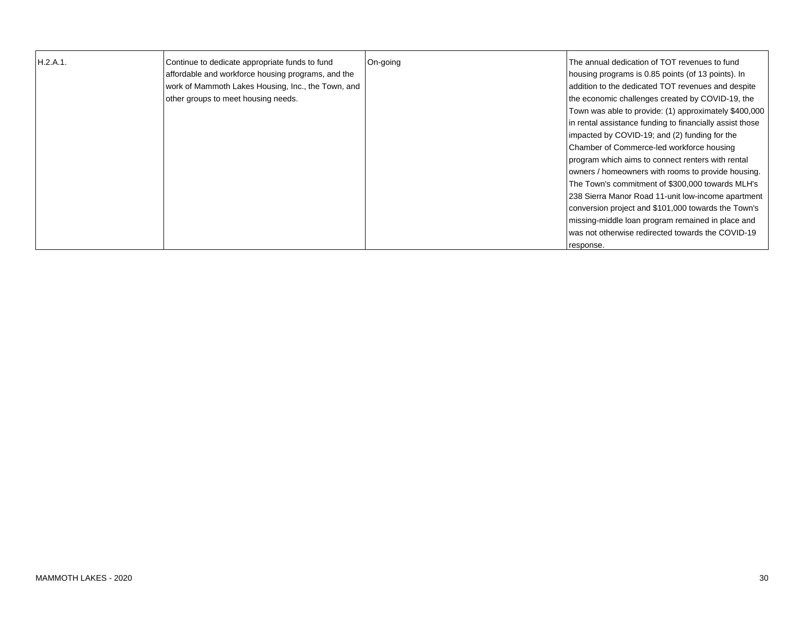| H.2.A.1. | Continue to dedicate appropriate funds to fund     | On-going | The annual dedication of TOT revenues to fund            |
|----------|----------------------------------------------------|----------|----------------------------------------------------------|
|          | affordable and workforce housing programs, and the |          | housing programs is 0.85 points (of 13 points). In       |
|          | work of Mammoth Lakes Housing, Inc., the Town, and |          | addition to the dedicated TOT revenues and despite       |
|          | other groups to meet housing needs.                |          | the economic challenges created by COVID-19, the         |
|          |                                                    |          | Town was able to provide: (1) approximately \$400,000    |
|          |                                                    |          | in rental assistance funding to financially assist those |
|          |                                                    |          | impacted by COVID-19; and (2) funding for the            |
|          |                                                    |          | Chamber of Commerce-led workforce housing                |
|          |                                                    |          | program which aims to connect renters with rental        |
|          |                                                    |          | owners / homeowners with rooms to provide housing.       |
|          |                                                    |          | The Town's commitment of \$300,000 towards MLH's         |
|          |                                                    |          | 238 Sierra Manor Road 11-unit low-income apartment       |
|          |                                                    |          | conversion project and \$101,000 towards the Town's      |
|          |                                                    |          | missing-middle loan program remained in place and        |
|          |                                                    |          | lwas not otherwise redirected towards the COVID-19       |
|          |                                                    |          | response.                                                |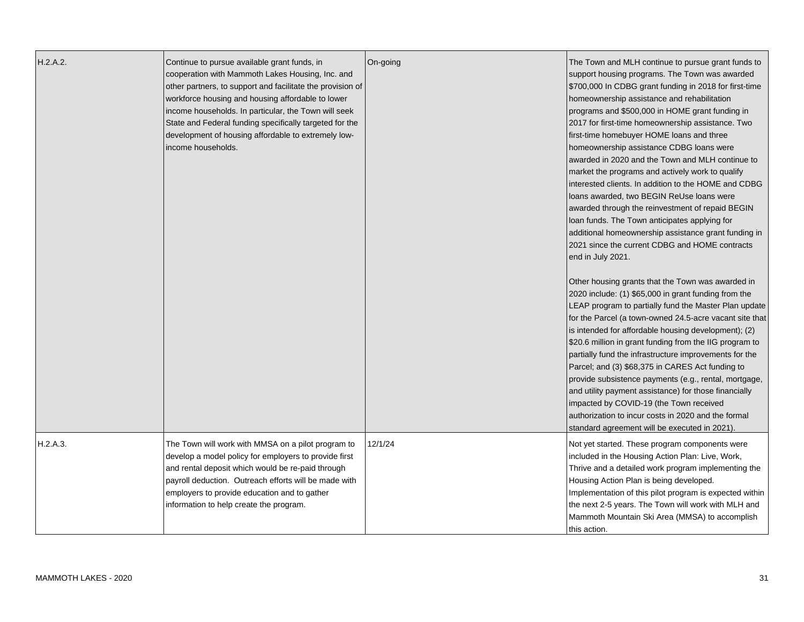| H.2.A.2. | Continue to pursue available grant funds, in<br>cooperation with Mammoth Lakes Housing, Inc. and<br>other partners, to support and facilitate the provision of<br>workforce housing and housing affordable to lower<br>income households. In particular, the Town will seek<br>State and Federal funding specifically targeted for the<br>development of housing affordable to extremely low-<br>income households. | On-going | The Town and MLH continue to pursue grant funds to<br>support housing programs. The Town was awarded<br>\$700,000 In CDBG grant funding in 2018 for first-time<br>homeownership assistance and rehabilitation<br>programs and \$500,000 in HOME grant funding in<br>2017 for first-time homeownership assistance. Two<br>first-time homebuyer HOME loans and three<br>homeownership assistance CDBG loans were<br>awarded in 2020 and the Town and MLH continue to<br>market the programs and actively work to qualify<br>interested clients. In addition to the HOME and CDBG<br>loans awarded, two BEGIN ReUse loans were<br>awarded through the reinvestment of repaid BEGIN<br>loan funds. The Town anticipates applying for<br>additional homeownership assistance grant funding in<br>2021 since the current CDBG and HOME contracts<br>end in July 2021.<br>Other housing grants that the Town was awarded in<br>2020 include: (1) \$65,000 in grant funding from the<br>LEAP program to partially fund the Master Plan update<br>for the Parcel (a town-owned 24.5-acre vacant site that<br>is intended for affordable housing development); (2)<br>\$20.6 million in grant funding from the IIG program to<br>partially fund the infrastructure improvements for the<br>Parcel; and (3) \$68,375 in CARES Act funding to<br>provide subsistence payments (e.g., rental, mortgage,<br>and utility payment assistance) for those financially<br>impacted by COVID-19 (the Town received<br>authorization to incur costs in 2020 and the formal<br>standard agreement will be executed in 2021). |
|----------|---------------------------------------------------------------------------------------------------------------------------------------------------------------------------------------------------------------------------------------------------------------------------------------------------------------------------------------------------------------------------------------------------------------------|----------|--------------------------------------------------------------------------------------------------------------------------------------------------------------------------------------------------------------------------------------------------------------------------------------------------------------------------------------------------------------------------------------------------------------------------------------------------------------------------------------------------------------------------------------------------------------------------------------------------------------------------------------------------------------------------------------------------------------------------------------------------------------------------------------------------------------------------------------------------------------------------------------------------------------------------------------------------------------------------------------------------------------------------------------------------------------------------------------------------------------------------------------------------------------------------------------------------------------------------------------------------------------------------------------------------------------------------------------------------------------------------------------------------------------------------------------------------------------------------------------------------------------------------------------------------------------------------------------------------------|
| H.2.A.3. | The Town will work with MMSA on a pilot program to<br>develop a model policy for employers to provide first<br>and rental deposit which would be re-paid through<br>payroll deduction. Outreach efforts will be made with<br>employers to provide education and to gather<br>information to help create the program.                                                                                                | 12/1/24  | Not yet started. These program components were<br>included in the Housing Action Plan: Live, Work,<br>Thrive and a detailed work program implementing the<br>Housing Action Plan is being developed.<br>Implementation of this pilot program is expected within<br>the next 2-5 years. The Town will work with MLH and<br>Mammoth Mountain Ski Area (MMSA) to accomplish<br>this action.                                                                                                                                                                                                                                                                                                                                                                                                                                                                                                                                                                                                                                                                                                                                                                                                                                                                                                                                                                                                                                                                                                                                                                                                               |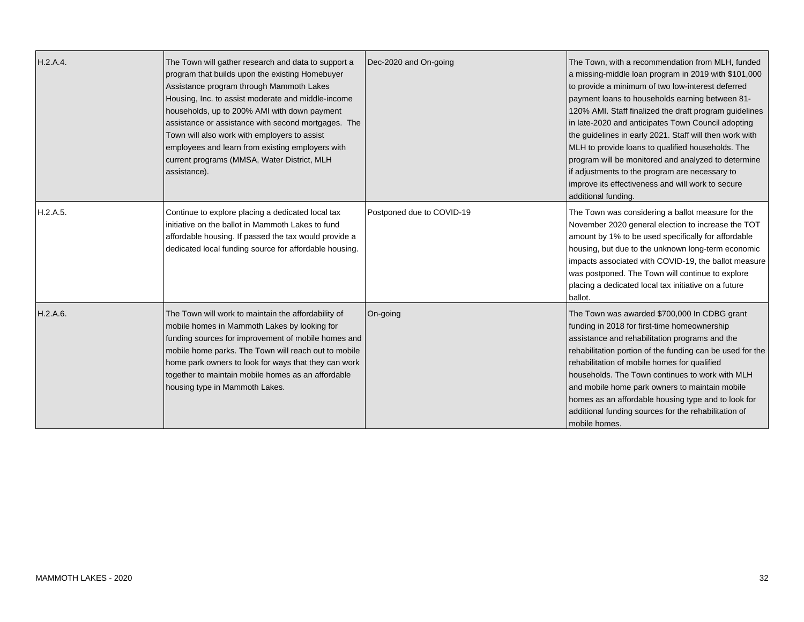| H.2.A.4. | The Town will gather research and data to support a<br>program that builds upon the existing Homebuyer<br>Assistance program through Mammoth Lakes<br>Housing, Inc. to assist moderate and middle-income<br>households, up to 200% AMI with down payment<br>assistance or assistance with second mortgages. The<br>Town will also work with employers to assist<br>employees and learn from existing employers with<br>current programs (MMSA, Water District, MLH<br>assistance). | Dec-2020 and On-going     | The Town, with a recommendation from MLH, funded<br>a missing-middle loan program in 2019 with \$101,000<br>to provide a minimum of two low-interest deferred<br>payment loans to households earning between 81-<br>120% AMI. Staff finalized the draft program guidelines<br>in late-2020 and anticipates Town Council adopting<br>the guidelines in early 2021. Staff will then work with<br>MLH to provide loans to qualified households. The<br>program will be monitored and analyzed to determine<br>if adjustments to the program are necessary to<br>improve its effectiveness and will work to secure<br>additional funding. |
|----------|------------------------------------------------------------------------------------------------------------------------------------------------------------------------------------------------------------------------------------------------------------------------------------------------------------------------------------------------------------------------------------------------------------------------------------------------------------------------------------|---------------------------|---------------------------------------------------------------------------------------------------------------------------------------------------------------------------------------------------------------------------------------------------------------------------------------------------------------------------------------------------------------------------------------------------------------------------------------------------------------------------------------------------------------------------------------------------------------------------------------------------------------------------------------|
| H.2.A.5. | Continue to explore placing a dedicated local tax<br>initiative on the ballot in Mammoth Lakes to fund<br>affordable housing. If passed the tax would provide a<br>dedicated local funding source for affordable housing.                                                                                                                                                                                                                                                          | Postponed due to COVID-19 | The Town was considering a ballot measure for the<br>November 2020 general election to increase the TOT<br>amount by 1% to be used specifically for affordable<br>housing, but due to the unknown long-term economic<br>impacts associated with COVID-19, the ballot measure<br>was postponed. The Town will continue to explore<br>placing a dedicated local tax initiative on a future<br>ballot.                                                                                                                                                                                                                                   |
| H.2.A.6. | The Town will work to maintain the affordability of<br>mobile homes in Mammoth Lakes by looking for<br>funding sources for improvement of mobile homes and<br>mobile home parks. The Town will reach out to mobile<br>home park owners to look for ways that they can work<br>together to maintain mobile homes as an affordable<br>housing type in Mammoth Lakes.                                                                                                                 | On-going                  | The Town was awarded \$700,000 In CDBG grant<br>funding in 2018 for first-time homeownership<br>assistance and rehabilitation programs and the<br>rehabilitation portion of the funding can be used for the<br>rehabilitation of mobile homes for qualified<br>households. The Town continues to work with MLH<br>and mobile home park owners to maintain mobile<br>homes as an affordable housing type and to look for<br>additional funding sources for the rehabilitation of<br>mobile homes.                                                                                                                                      |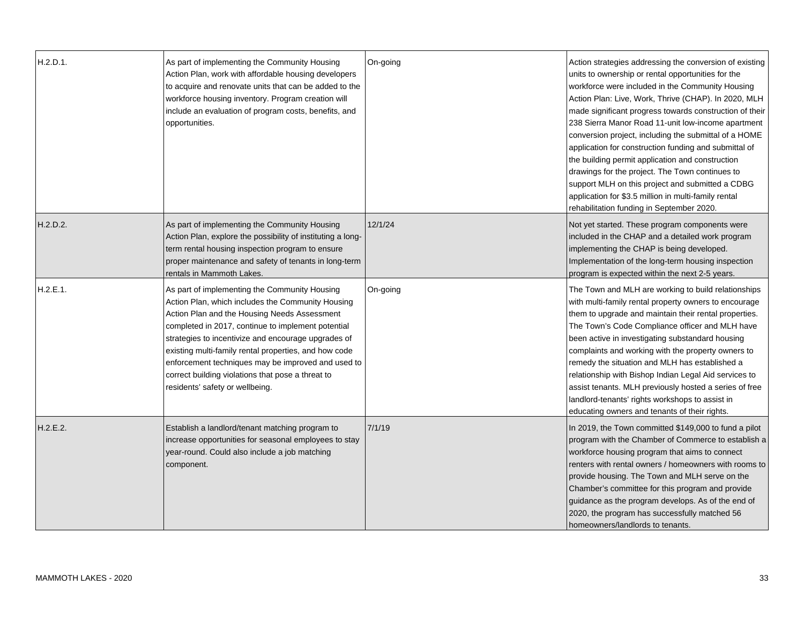| H.2.D.1. | As part of implementing the Community Housing<br>Action Plan, work with affordable housing developers<br>to acquire and renovate units that can be added to the<br>workforce housing inventory. Program creation will<br>include an evaluation of program costs, benefits, and<br>opportunities.                                                                                                                                                                       | On-going | Action strategies addressing the conversion of existing<br>units to ownership or rental opportunities for the<br>workforce were included in the Community Housing<br>Action Plan: Live, Work, Thrive (CHAP). In 2020, MLH<br>made significant progress towards construction of their<br>238 Sierra Manor Road 11-unit low-income apartment<br>conversion project, including the submittal of a HOME<br>application for construction funding and submittal of<br>the building permit application and construction<br>drawings for the project. The Town continues to<br>support MLH on this project and submitted a CDBG<br>application for \$3.5 million in multi-family rental<br>rehabilitation funding in September 2020. |
|----------|------------------------------------------------------------------------------------------------------------------------------------------------------------------------------------------------------------------------------------------------------------------------------------------------------------------------------------------------------------------------------------------------------------------------------------------------------------------------|----------|------------------------------------------------------------------------------------------------------------------------------------------------------------------------------------------------------------------------------------------------------------------------------------------------------------------------------------------------------------------------------------------------------------------------------------------------------------------------------------------------------------------------------------------------------------------------------------------------------------------------------------------------------------------------------------------------------------------------------|
| H.2.D.2. | As part of implementing the Community Housing<br>Action Plan, explore the possibility of instituting a long-<br>term rental housing inspection program to ensure<br>proper maintenance and safety of tenants in long-term<br>rentals in Mammoth Lakes.                                                                                                                                                                                                                 | 12/1/24  | Not yet started. These program components were<br>included in the CHAP and a detailed work program<br>implementing the CHAP is being developed.<br>Implementation of the long-term housing inspection<br>program is expected within the next 2-5 years.                                                                                                                                                                                                                                                                                                                                                                                                                                                                      |
| H.2.E.1. | As part of implementing the Community Housing<br>Action Plan, which includes the Community Housing<br>Action Plan and the Housing Needs Assessment<br>completed in 2017, continue to implement potential<br>strategies to incentivize and encourage upgrades of<br>existing multi-family rental properties, and how code<br>enforcement techniques may be improved and used to<br>correct building violations that pose a threat to<br>residents' safety or wellbeing. | On-going | The Town and MLH are working to build relationships<br>with multi-family rental property owners to encourage<br>them to upgrade and maintain their rental properties.<br>The Town's Code Compliance officer and MLH have<br>been active in investigating substandard housing<br>complaints and working with the property owners to<br>remedy the situation and MLH has established a<br>relationship with Bishop Indian Legal Aid services to<br>assist tenants. MLH previously hosted a series of free<br>landlord-tenants' rights workshops to assist in<br>educating owners and tenants of their rights.                                                                                                                  |
| H.2.E.2. | Establish a landlord/tenant matching program to<br>increase opportunities for seasonal employees to stay<br>year-round. Could also include a job matching<br>component.                                                                                                                                                                                                                                                                                                | 7/1/19   | In 2019, the Town committed \$149,000 to fund a pilot<br>program with the Chamber of Commerce to establish a<br>workforce housing program that aims to connect<br>renters with rental owners / homeowners with rooms to<br>provide housing. The Town and MLH serve on the<br>Chamber's committee for this program and provide<br>guidance as the program develops. As of the end of<br>2020, the program has successfully matched 56<br>homeowners/landlords to tenants.                                                                                                                                                                                                                                                     |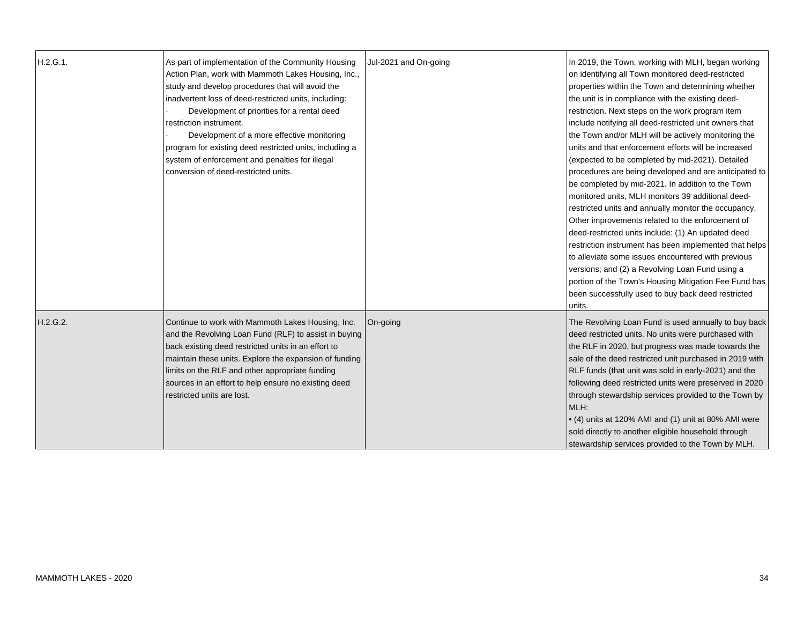| H.2.G.1. | As part of implementation of the Community Housing<br>Action Plan, work with Mammoth Lakes Housing, Inc.,<br>study and develop procedures that will avoid the<br>inadvertent loss of deed-restricted units, including:<br>Development of priorities for a rental deed<br>restriction instrument.<br>Development of a more effective monitoring<br>program for existing deed restricted units, including a<br>system of enforcement and penalties for illegal<br>conversion of deed-restricted units. | Jul-2021 and On-going | In 2019, the Town, working with MLH, began working<br>on identifying all Town monitored deed-restricted<br>properties within the Town and determining whether<br>the unit is in compliance with the existing deed-<br>restriction. Next steps on the work program item<br>include notifying all deed-restricted unit owners that<br>the Town and/or MLH will be actively monitoring the<br>units and that enforcement efforts will be increased<br>(expected to be completed by mid-2021). Detailed<br>procedures are being developed and are anticipated to<br>be completed by mid-2021. In addition to the Town<br>monitored units, MLH monitors 39 additional deed-<br>restricted units and annually monitor the occupancy.<br>Other improvements related to the enforcement of<br>deed-restricted units include: (1) An updated deed<br>restriction instrument has been implemented that helps<br>to alleviate some issues encountered with previous<br>versions; and (2) a Revolving Loan Fund using a<br>portion of the Town's Housing Mitigation Fee Fund has<br>been successfully used to buy back deed restricted<br>units. |
|----------|------------------------------------------------------------------------------------------------------------------------------------------------------------------------------------------------------------------------------------------------------------------------------------------------------------------------------------------------------------------------------------------------------------------------------------------------------------------------------------------------------|-----------------------|--------------------------------------------------------------------------------------------------------------------------------------------------------------------------------------------------------------------------------------------------------------------------------------------------------------------------------------------------------------------------------------------------------------------------------------------------------------------------------------------------------------------------------------------------------------------------------------------------------------------------------------------------------------------------------------------------------------------------------------------------------------------------------------------------------------------------------------------------------------------------------------------------------------------------------------------------------------------------------------------------------------------------------------------------------------------------------------------------------------------------------------|
| H.2.G.2. | Continue to work with Mammoth Lakes Housing, Inc.<br>and the Revolving Loan Fund (RLF) to assist in buying<br>back existing deed restricted units in an effort to<br>maintain these units. Explore the expansion of funding<br>limits on the RLF and other appropriate funding<br>sources in an effort to help ensure no existing deed<br>restricted units are lost.                                                                                                                                 | On-going              | The Revolving Loan Fund is used annually to buy back<br>deed restricted units. No units were purchased with<br>the RLF in 2020, but progress was made towards the<br>sale of the deed restricted unit purchased in 2019 with<br>RLF funds (that unit was sold in early-2021) and the<br>following deed restricted units were preserved in 2020<br>through stewardship services provided to the Town by<br>MLH:<br>• (4) units at 120% AMI and (1) unit at 80% AMI were<br>sold directly to another eligible household through<br>stewardship services provided to the Town by MLH.                                                                                                                                                                                                                                                                                                                                                                                                                                                                                                                                                   |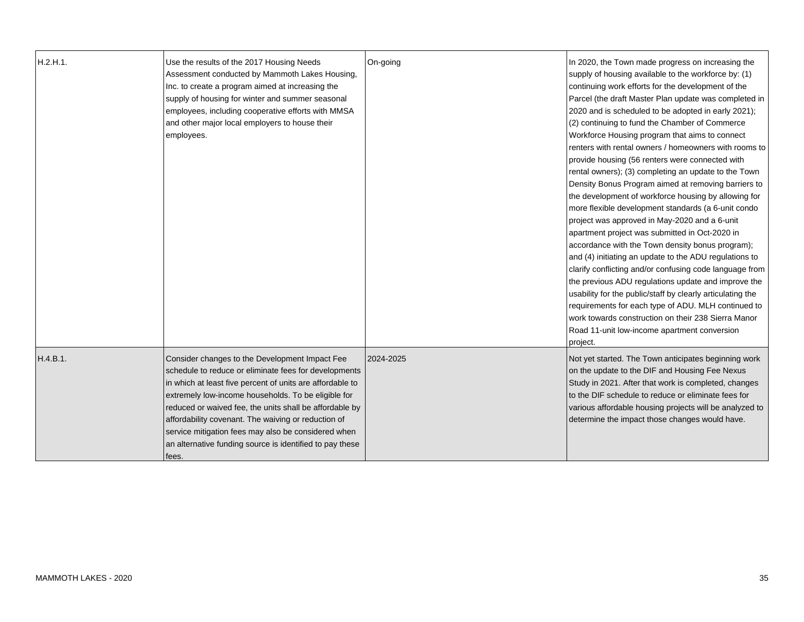| H.2.H.1. | Use the results of the 2017 Housing Needs<br>Assessment conducted by Mammoth Lakes Housing,<br>Inc. to create a program aimed at increasing the<br>supply of housing for winter and summer seasonal<br>employees, including cooperative efforts with MMSA<br>and other major local employers to house their<br>employees.                                                                                                                                                 | On-going  | In 2020, the Town made progress on increasing the<br>supply of housing available to the workforce by: (1)<br>continuing work efforts for the development of the<br>Parcel (the draft Master Plan update was completed in<br>2020 and is scheduled to be adopted in early 2021);<br>(2) continuing to fund the Chamber of Commerce<br>Workforce Housing program that aims to connect<br>renters with rental owners / homeowners with rooms to<br>provide housing (56 renters were connected with<br>rental owners); (3) completing an update to the Town<br>Density Bonus Program aimed at removing barriers to<br>the development of workforce housing by allowing for<br>more flexible development standards (a 6-unit condo<br>project was approved in May-2020 and a 6-unit<br>apartment project was submitted in Oct-2020 in<br>accordance with the Town density bonus program);<br>and (4) initiating an update to the ADU regulations to<br>clarify conflicting and/or confusing code language from<br>the previous ADU regulations update and improve the<br>usability for the public/staff by clearly articulating the<br>requirements for each type of ADU. MLH continued to<br>work towards construction on their 238 Sierra Manor<br>Road 11-unit low-income apartment conversion<br>project. |
|----------|---------------------------------------------------------------------------------------------------------------------------------------------------------------------------------------------------------------------------------------------------------------------------------------------------------------------------------------------------------------------------------------------------------------------------------------------------------------------------|-----------|----------------------------------------------------------------------------------------------------------------------------------------------------------------------------------------------------------------------------------------------------------------------------------------------------------------------------------------------------------------------------------------------------------------------------------------------------------------------------------------------------------------------------------------------------------------------------------------------------------------------------------------------------------------------------------------------------------------------------------------------------------------------------------------------------------------------------------------------------------------------------------------------------------------------------------------------------------------------------------------------------------------------------------------------------------------------------------------------------------------------------------------------------------------------------------------------------------------------------------------------------------------------------------------------------------|
| H.4.B.1. | Consider changes to the Development Impact Fee<br>schedule to reduce or eliminate fees for developments<br>in which at least five percent of units are affordable to<br>extremely low-income households. To be eligible for<br>reduced or waived fee, the units shall be affordable by<br>affordability covenant. The waiving or reduction of<br>service mitigation fees may also be considered when<br>an alternative funding source is identified to pay these<br>fees. | 2024-2025 | Not yet started. The Town anticipates beginning work<br>on the update to the DIF and Housing Fee Nexus<br>Study in 2021. After that work is completed, changes<br>to the DIF schedule to reduce or eliminate fees for<br>various affordable housing projects will be analyzed to<br>determine the impact those changes would have.                                                                                                                                                                                                                                                                                                                                                                                                                                                                                                                                                                                                                                                                                                                                                                                                                                                                                                                                                                       |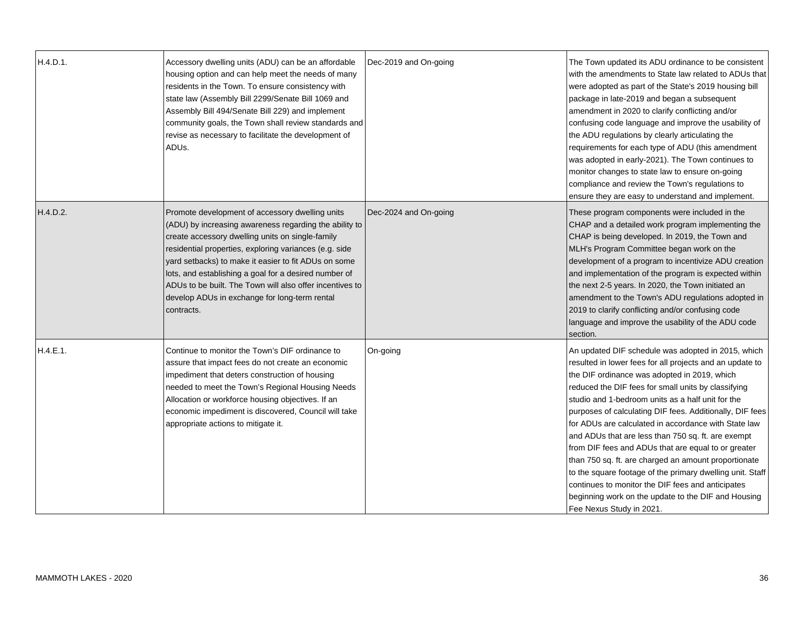| H.4.D.1. | Accessory dwelling units (ADU) can be an affordable<br>housing option and can help meet the needs of many<br>residents in the Town. To ensure consistency with<br>state law (Assembly Bill 2299/Senate Bill 1069 and<br>Assembly Bill 494/Senate Bill 229) and implement<br>community goals, the Town shall review standards and<br>revise as necessary to facilitate the development of<br>ADUs.                                                                   | Dec-2019 and On-going | The Town updated its ADU ordinance to be consistent<br>with the amendments to State law related to ADUs that<br>were adopted as part of the State's 2019 housing bill<br>package in late-2019 and began a subsequent<br>amendment in 2020 to clarify conflicting and/or<br>confusing code language and improve the usability of<br>the ADU regulations by clearly articulating the<br>requirements for each type of ADU (this amendment<br>was adopted in early-2021). The Town continues to<br>monitor changes to state law to ensure on-going<br>compliance and review the Town's regulations to<br>ensure they are easy to understand and implement.                                                                                                                  |
|----------|---------------------------------------------------------------------------------------------------------------------------------------------------------------------------------------------------------------------------------------------------------------------------------------------------------------------------------------------------------------------------------------------------------------------------------------------------------------------|-----------------------|--------------------------------------------------------------------------------------------------------------------------------------------------------------------------------------------------------------------------------------------------------------------------------------------------------------------------------------------------------------------------------------------------------------------------------------------------------------------------------------------------------------------------------------------------------------------------------------------------------------------------------------------------------------------------------------------------------------------------------------------------------------------------|
| H.4.D.2. | Promote development of accessory dwelling units<br>(ADU) by increasing awareness regarding the ability to<br>create accessory dwelling units on single-family<br>residential properties, exploring variances (e.g. side<br>yard setbacks) to make it easier to fit ADUs on some<br>lots, and establishing a goal for a desired number of<br>ADUs to be built. The Town will also offer incentives to<br>develop ADUs in exchange for long-term rental<br>contracts. | Dec-2024 and On-going | These program components were included in the<br>CHAP and a detailed work program implementing the<br>CHAP is being developed. In 2019, the Town and<br>MLH's Program Committee began work on the<br>development of a program to incentivize ADU creation<br>and implementation of the program is expected within<br>the next 2-5 years. In 2020, the Town initiated an<br>amendment to the Town's ADU regulations adopted in<br>2019 to clarify conflicting and/or confusing code<br>language and improve the usability of the ADU code<br>section.                                                                                                                                                                                                                     |
| H.4.E.1. | Continue to monitor the Town's DIF ordinance to<br>assure that impact fees do not create an economic<br>impediment that deters construction of housing<br>needed to meet the Town's Regional Housing Needs<br>Allocation or workforce housing objectives. If an<br>economic impediment is discovered, Council will take<br>appropriate actions to mitigate it.                                                                                                      | On-going              | An updated DIF schedule was adopted in 2015, which<br>resulted in lower fees for all projects and an update to<br>the DIF ordinance was adopted in 2019, which<br>reduced the DIF fees for small units by classifying<br>studio and 1-bedroom units as a half unit for the<br>purposes of calculating DIF fees. Additionally, DIF fees<br>for ADUs are calculated in accordance with State law<br>and ADUs that are less than 750 sq. ft. are exempt<br>from DIF fees and ADUs that are equal to or greater<br>than 750 sq. ft. are charged an amount proportionate<br>to the square footage of the primary dwelling unit. Staff<br>continues to monitor the DIF fees and anticipates<br>beginning work on the update to the DIF and Housing<br>Fee Nexus Study in 2021. |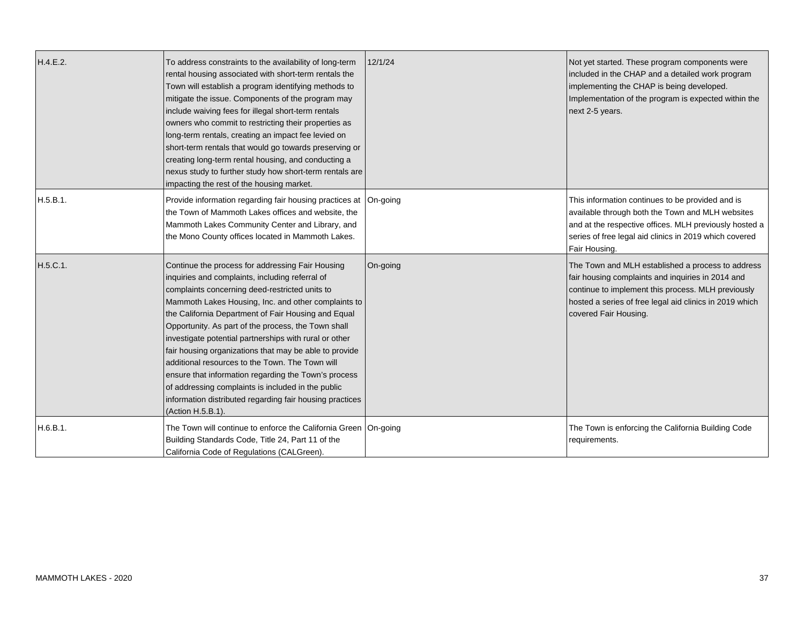| H.4.E.2. | To address constraints to the availability of long-term<br>rental housing associated with short-term rentals the<br>Town will establish a program identifying methods to<br>mitigate the issue. Components of the program may<br>include waiving fees for illegal short-term rentals<br>owners who commit to restricting their properties as<br>long-term rentals, creating an impact fee levied on<br>short-term rentals that would go towards preserving or<br>creating long-term rental housing, and conducting a<br>nexus study to further study how short-term rentals are<br>impacting the rest of the housing market.                                                                     | 12/1/24  | Not yet started. These program components were<br>included in the CHAP and a detailed work program<br>implementing the CHAP is being developed.<br>Implementation of the program is expected within the<br>next 2-5 years.                       |
|----------|--------------------------------------------------------------------------------------------------------------------------------------------------------------------------------------------------------------------------------------------------------------------------------------------------------------------------------------------------------------------------------------------------------------------------------------------------------------------------------------------------------------------------------------------------------------------------------------------------------------------------------------------------------------------------------------------------|----------|--------------------------------------------------------------------------------------------------------------------------------------------------------------------------------------------------------------------------------------------------|
| H.5.B.1. | Provide information regarding fair housing practices at<br>the Town of Mammoth Lakes offices and website, the<br>Mammoth Lakes Community Center and Library, and<br>the Mono County offices located in Mammoth Lakes.                                                                                                                                                                                                                                                                                                                                                                                                                                                                            | On-going | This information continues to be provided and is<br>available through both the Town and MLH websites<br>and at the respective offices. MLH previously hosted a<br>series of free legal aid clinics in 2019 which covered<br>Fair Housing.        |
| H.5.C.1. | Continue the process for addressing Fair Housing<br>inquiries and complaints, including referral of<br>complaints concerning deed-restricted units to<br>Mammoth Lakes Housing, Inc. and other complaints to<br>the California Department of Fair Housing and Equal<br>Opportunity. As part of the process, the Town shall<br>investigate potential partnerships with rural or other<br>fair housing organizations that may be able to provide<br>additional resources to the Town. The Town will<br>ensure that information regarding the Town's process<br>of addressing complaints is included in the public<br>information distributed regarding fair housing practices<br>(Action H.5.B.1). | On-going | The Town and MLH established a process to address<br>fair housing complaints and inquiries in 2014 and<br>continue to implement this process. MLH previously<br>hosted a series of free legal aid clinics in 2019 which<br>covered Fair Housing. |
| H.6.B.1. | The Town will continue to enforce the California Green   On-going<br>Building Standards Code, Title 24, Part 11 of the<br>California Code of Regulations (CALGreen).                                                                                                                                                                                                                                                                                                                                                                                                                                                                                                                             |          | The Town is enforcing the California Building Code<br>requirements.                                                                                                                                                                              |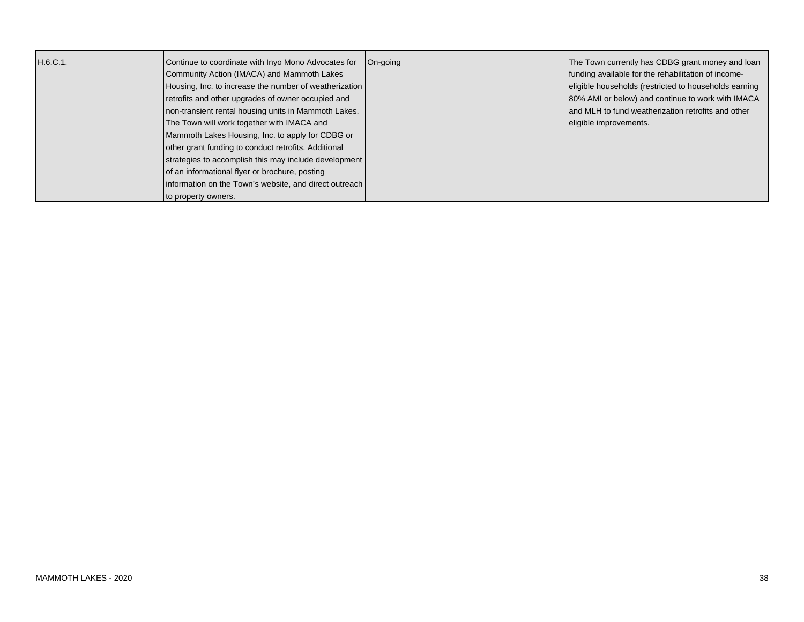| H.6.C.1. | Continue to coordinate with Inyo Mono Advocates for    | On-going | The Town currently has CDBG grant money and loan      |
|----------|--------------------------------------------------------|----------|-------------------------------------------------------|
|          | Community Action (IMACA) and Mammoth Lakes             |          | funding available for the rehabilitation of income-   |
|          | Housing, Inc. to increase the number of weatherization |          | eligible households (restricted to households earning |
|          | retrofits and other upgrades of owner occupied and     |          | 80% AMI or below) and continue to work with IMACA     |
|          | non-transient rental housing units in Mammoth Lakes.   |          | and MLH to fund weatherization retrofits and other    |
|          | The Town will work together with IMACA and             |          | eligible improvements.                                |
|          | Mammoth Lakes Housing, Inc. to apply for CDBG or       |          |                                                       |
|          | other grant funding to conduct retrofits. Additional   |          |                                                       |
|          | strategies to accomplish this may include development  |          |                                                       |
|          | of an informational flyer or brochure, posting         |          |                                                       |
|          | information on the Town's website, and direct outreach |          |                                                       |
|          | to property owners.                                    |          |                                                       |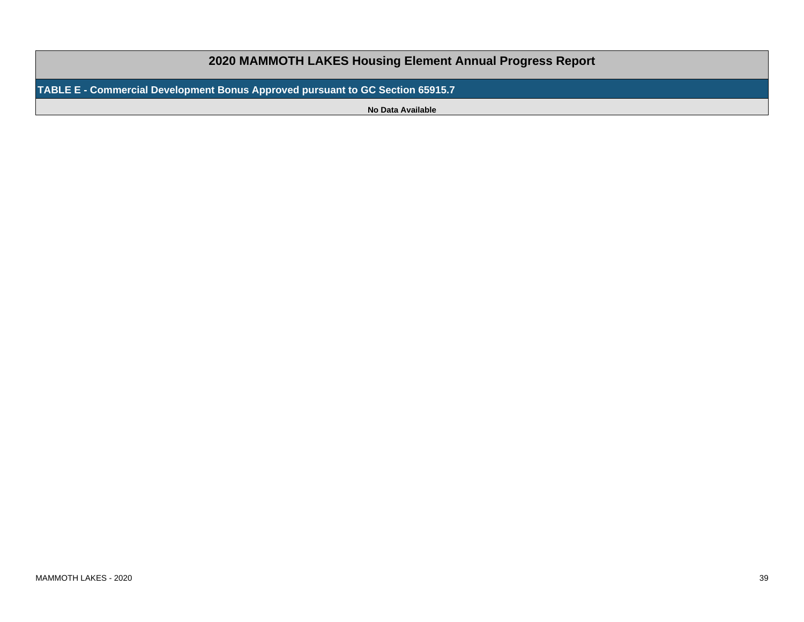## **2020 MAMMOTH LAKES Housing Element Annual Progress Report**

**TABLE E - Commercial Development Bonus Approved pursuant to GC Section 65915.7**

**No Data Available**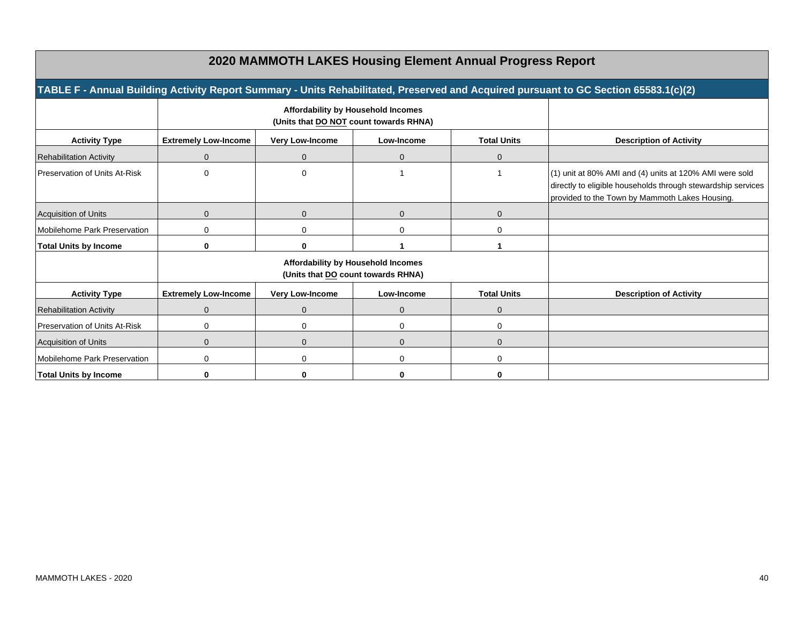| 2020 MAMMOTH LAKES Housing Element Annual Progress Report |                                                                              |                        |              |                    |                                                                                                                                                                           |
|-----------------------------------------------------------|------------------------------------------------------------------------------|------------------------|--------------|--------------------|---------------------------------------------------------------------------------------------------------------------------------------------------------------------------|
|                                                           |                                                                              |                        |              |                    | TABLE F - Annual Building Activity Report Summary - Units Rehabilitated, Preserved and Acquired pursuant to GC Section 65583.1(c)(2)                                      |
|                                                           | Affordability by Household Incomes<br>(Units that DO NOT count towards RHNA) |                        |              |                    |                                                                                                                                                                           |
| <b>Activity Type</b>                                      | <b>Extremely Low-Income</b>                                                  | <b>Very Low-Income</b> | Low-Income   | <b>Total Units</b> | <b>Description of Activity</b>                                                                                                                                            |
| <b>Rehabilitation Activity</b>                            | $\Omega$                                                                     | $\Omega$               | $\Omega$     | $\Omega$           |                                                                                                                                                                           |
| Preservation of Units At-Risk                             | $\Omega$                                                                     | $\Omega$               |              |                    | (1) unit at 80% AMI and (4) units at 120% AMI were sold<br>directly to eligible households through stewardship services<br>provided to the Town by Mammoth Lakes Housing. |
| Acquisition of Units                                      | $\Omega$                                                                     | $\Omega$               | $\Omega$     | $\mathbf{0}$       |                                                                                                                                                                           |
| Mobilehome Park Preservation                              | $\Omega$                                                                     | $\Omega$               | 0            | 0                  |                                                                                                                                                                           |
| <b>Total Units by Income</b>                              | $\bf{0}$                                                                     | ŋ                      |              |                    |                                                                                                                                                                           |
|                                                           | Affordability by Household Incomes<br>(Units that DO count towards RHNA)     |                        |              |                    |                                                                                                                                                                           |
| <b>Activity Type</b>                                      | <b>Extremely Low-Income</b>                                                  | <b>Very Low-Income</b> | Low-Income   | <b>Total Units</b> | <b>Description of Activity</b>                                                                                                                                            |
| <b>Rehabilitation Activity</b>                            | $\Omega$                                                                     | $\Omega$               | $\mathbf{0}$ | 0                  |                                                                                                                                                                           |
| Preservation of Units At-Risk                             | $\Omega$                                                                     | 0                      | 0            | 0                  |                                                                                                                                                                           |
| Acquisition of Units                                      | $\Omega$                                                                     | $\Omega$               | $\Omega$     | $\Omega$           |                                                                                                                                                                           |
| Mobilehome Park Preservation                              | $\Omega$                                                                     | $\Omega$               | 0            | 0                  |                                                                                                                                                                           |
| <b>Total Units by Income</b>                              | $\bf{0}$                                                                     | ŋ                      | U            | 0                  |                                                                                                                                                                           |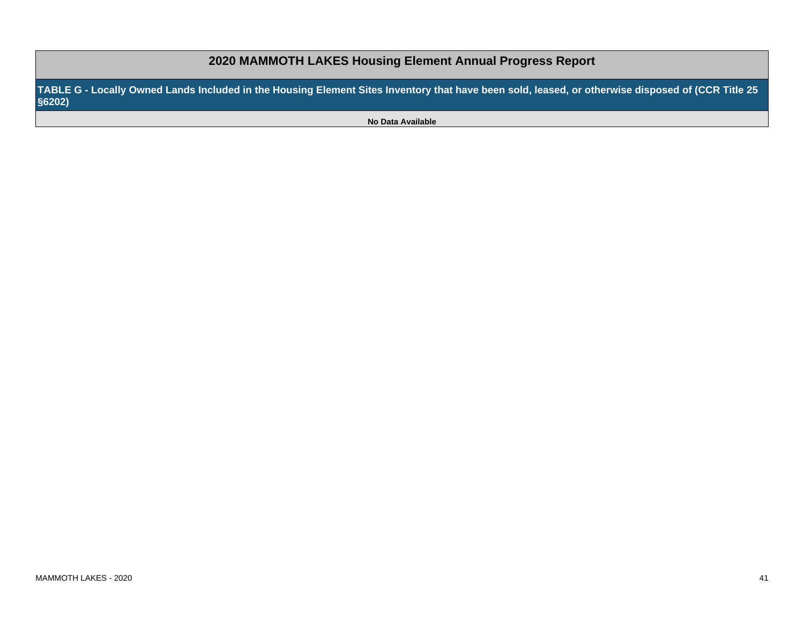**TABLE G - Locally Owned Lands Included in the Housing Element Sites Inventory that have been sold, leased, or otherwise disposed of (CCR Title 25§6202)**

**No Data Available**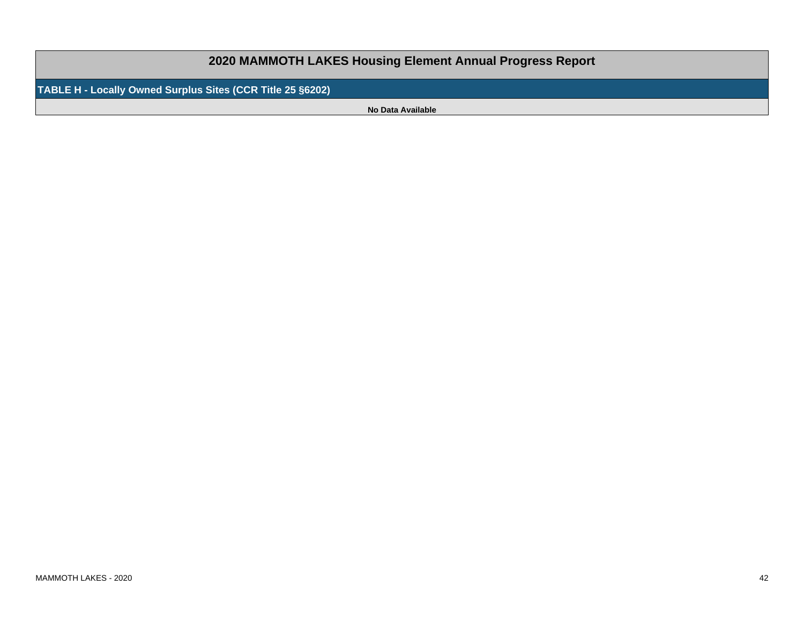**2020 MAMMOTH LAKES Housing Element Annual Progress Report**

**TABLE H - Locally Owned Surplus Sites (CCR Title 25 §6202)**

**No Data Available**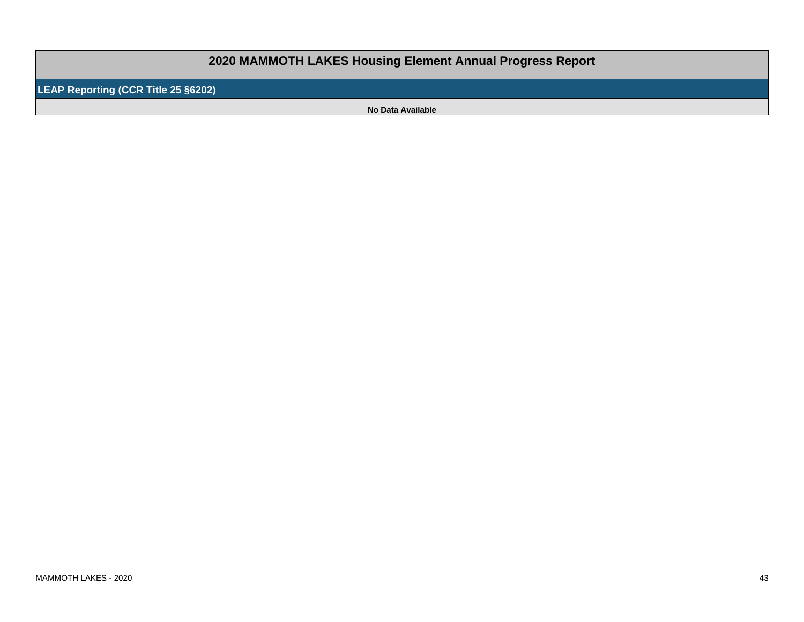## **2020 MAMMOTH LAKES Housing Element Annual Progress Report**

**LEAP Reporting (CCR Title 25 §6202)**

**No Data Available**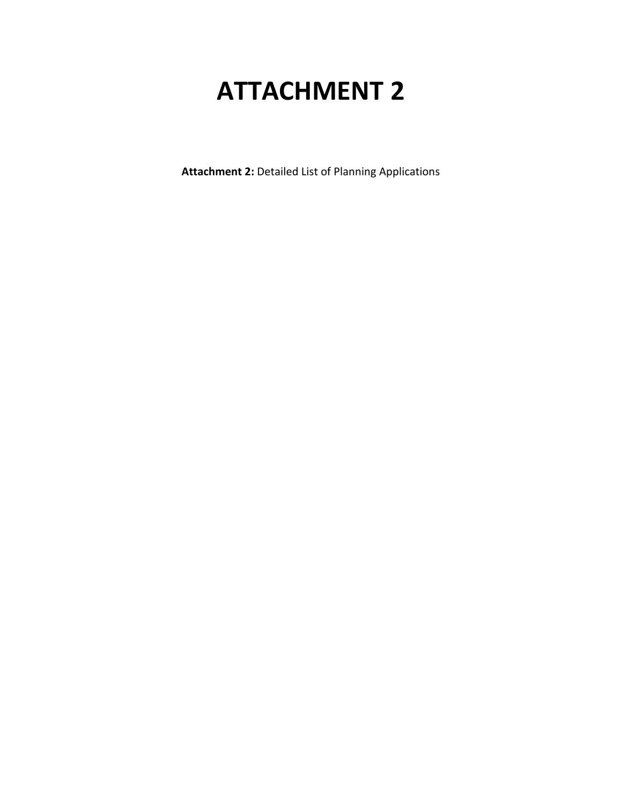## **ATTACHMENT 2**

**Attachment 2:** Detailed List of Planning Applications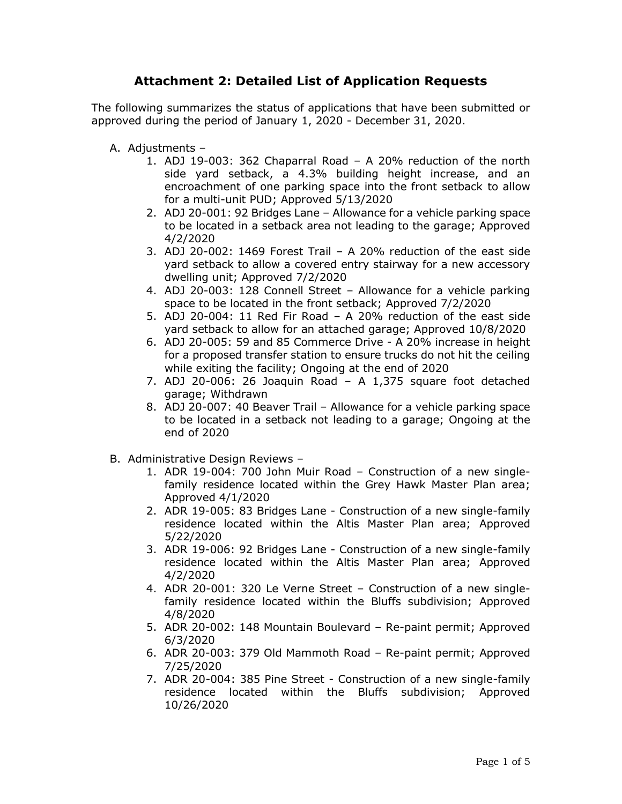## **Attachment 2: Detailed List of Application Requests**

The following summarizes the status of applications that have been submitted or approved during the period of January 1, 2020 - December 31, 2020.

- A. Adjustments
	- 1. ADJ 19-003: 362 Chaparral Road A 20% reduction of the north side yard setback, a 4.3% building height increase, and an encroachment of one parking space into the front setback to allow for a multi-unit PUD; Approved 5/13/2020
	- 2. ADJ 20-001: 92 Bridges Lane Allowance for a vehicle parking space to be located in a setback area not leading to the garage; Approved 4/2/2020
	- 3. ADJ 20-002: 1469 Forest Trail A 20% reduction of the east side yard setback to allow a covered entry stairway for a new accessory dwelling unit; Approved 7/2/2020
	- 4. ADJ 20-003: 128 Connell Street Allowance for a vehicle parking space to be located in the front setback; Approved 7/2/2020
	- 5. ADJ 20-004: 11 Red Fir Road A 20% reduction of the east side yard setback to allow for an attached garage; Approved 10/8/2020
	- 6. ADJ 20-005: 59 and 85 Commerce Drive A 20% increase in height for a proposed transfer station to ensure trucks do not hit the ceiling while exiting the facility; Ongoing at the end of 2020
	- 7. ADJ 20-006: 26 Joaquin Road A 1,375 square foot detached garage; Withdrawn
	- 8. ADJ 20-007: 40 Beaver Trail Allowance for a vehicle parking space to be located in a setback not leading to a garage; Ongoing at the end of 2020
- B. Administrative Design Reviews
	- 1. ADR 19-004: 700 John Muir Road Construction of a new singlefamily residence located within the Grey Hawk Master Plan area; Approved 4/1/2020
	- 2. ADR 19-005: 83 Bridges Lane Construction of a new single-family residence located within the Altis Master Plan area; Approved 5/22/2020
	- 3. ADR 19-006: 92 Bridges Lane Construction of a new single-family residence located within the Altis Master Plan area; Approved 4/2/2020
	- 4. ADR 20-001: 320 Le Verne Street Construction of a new singlefamily residence located within the Bluffs subdivision; Approved 4/8/2020
	- 5. ADR 20-002: 148 Mountain Boulevard Re-paint permit; Approved 6/3/2020
	- 6. ADR 20-003: 379 Old Mammoth Road Re-paint permit; Approved 7/25/2020
	- 7. ADR 20-004: 385 Pine Street Construction of a new single-family residence located within the Bluffs subdivision; Approved 10/26/2020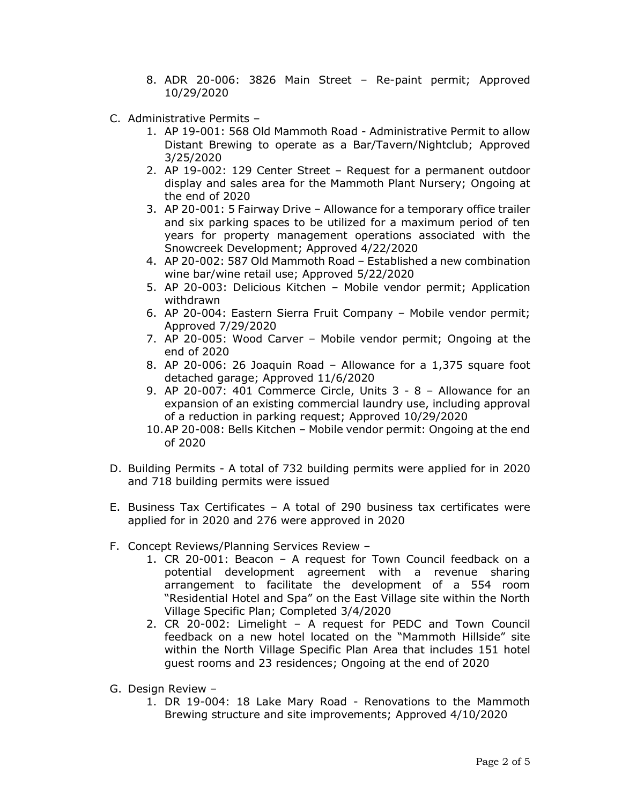- 8. ADR 20-006: 3826 Main Street Re-paint permit; Approved 10/29/2020
- C. Administrative Permits
	- 1. AP 19-001: 568 Old Mammoth Road Administrative Permit to allow Distant Brewing to operate as a Bar/Tavern/Nightclub; Approved 3/25/2020
	- 2. AP 19-002: 129 Center Street Request for a permanent outdoor display and sales area for the Mammoth Plant Nursery; Ongoing at the end of 2020
	- 3. AP 20-001: 5 Fairway Drive Allowance for a temporary office trailer and six parking spaces to be utilized for a maximum period of ten years for property management operations associated with the Snowcreek Development; Approved 4/22/2020
	- 4. AP 20-002: 587 Old Mammoth Road Established a new combination wine bar/wine retail use; Approved 5/22/2020
	- 5. AP 20-003: Delicious Kitchen Mobile vendor permit; Application withdrawn
	- 6. AP 20-004: Eastern Sierra Fruit Company Mobile vendor permit; Approved 7/29/2020
	- 7. AP 20-005: Wood Carver Mobile vendor permit; Ongoing at the end of 2020
	- 8. AP 20-006: 26 Joaquin Road Allowance for a 1,375 square foot detached garage; Approved 11/6/2020
	- 9. AP 20-007: 401 Commerce Circle, Units 3 8 Allowance for an expansion of an existing commercial laundry use, including approval of a reduction in parking request; Approved 10/29/2020
	- 10.AP 20-008: Bells Kitchen Mobile vendor permit: Ongoing at the end of 2020
- D. Building Permits A total of 732 building permits were applied for in 2020 and 718 building permits were issued
- E. Business Tax Certificates A total of 290 business tax certificates were applied for in 2020 and 276 were approved in 2020
- F. Concept Reviews/Planning Services Review
	- 1. CR 20-001: Beacon A request for Town Council feedback on a potential development agreement with a revenue sharing arrangement to facilitate the development of a 554 room "Residential Hotel and Spa" on the East Village site within the North Village Specific Plan; Completed 3/4/2020
	- 2. CR 20-002: Limelight A request for PEDC and Town Council feedback on a new hotel located on the "Mammoth Hillside" site within the North Village Specific Plan Area that includes 151 hotel guest rooms and 23 residences; Ongoing at the end of 2020
- G. Design Review
	- 1. DR 19-004: 18 Lake Mary Road Renovations to the Mammoth Brewing structure and site improvements; Approved 4/10/2020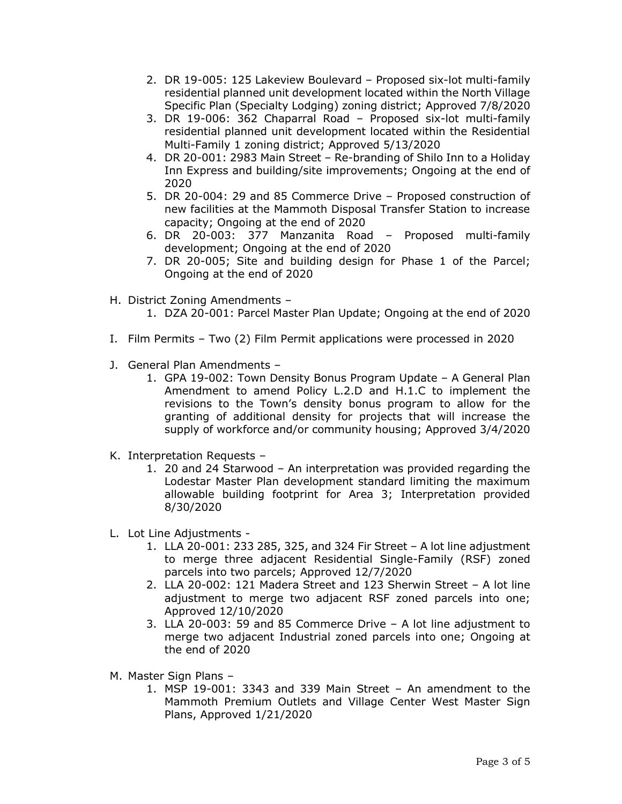- 2. DR 19-005: 125 Lakeview Boulevard Proposed six-lot multi-family residential planned unit development located within the North Village Specific Plan (Specialty Lodging) zoning district; Approved 7/8/2020
- 3. DR 19-006: 362 Chaparral Road Proposed six-lot multi-family residential planned unit development located within the Residential Multi-Family 1 zoning district; Approved 5/13/2020
- 4. DR 20-001: 2983 Main Street Re-branding of Shilo Inn to a Holiday Inn Express and building/site improvements; Ongoing at the end of 2020
- 5. DR 20-004: 29 and 85 Commerce Drive Proposed construction of new facilities at the Mammoth Disposal Transfer Station to increase capacity; Ongoing at the end of 2020
- 6. DR 20-003: 377 Manzanita Road Proposed multi-family development; Ongoing at the end of 2020
- 7. DR 20-005; Site and building design for Phase 1 of the Parcel; Ongoing at the end of 2020
- H. District Zoning Amendments
	- 1. DZA 20-001: Parcel Master Plan Update; Ongoing at the end of 2020
- I. Film Permits Two (2) Film Permit applications were processed in 2020
- J. General Plan Amendments
	- 1. GPA 19-002: Town Density Bonus Program Update A General Plan Amendment to amend Policy L.2.D and H.1.C to implement the revisions to the Town's density bonus program to allow for the granting of additional density for projects that will increase the supply of workforce and/or community housing; Approved 3/4/2020
- K. Interpretation Requests
	- 1. 20 and 24 Starwood An interpretation was provided regarding the Lodestar Master Plan development standard limiting the maximum allowable building footprint for Area 3; Interpretation provided 8/30/2020
- L. Lot Line Adjustments
	- 1. LLA 20-001: 233 285, 325, and 324 Fir Street A lot line adjustment to merge three adjacent Residential Single-Family (RSF) zoned parcels into two parcels; Approved 12/7/2020
	- 2. LLA 20-002: 121 Madera Street and 123 Sherwin Street A lot line adjustment to merge two adjacent RSF zoned parcels into one; Approved 12/10/2020
	- 3. LLA 20-003: 59 and 85 Commerce Drive A lot line adjustment to merge two adjacent Industrial zoned parcels into one; Ongoing at the end of 2020
- M. Master Sign Plans
	- 1. MSP 19-001: 3343 and 339 Main Street An amendment to the Mammoth Premium Outlets and Village Center West Master Sign Plans, Approved 1/21/2020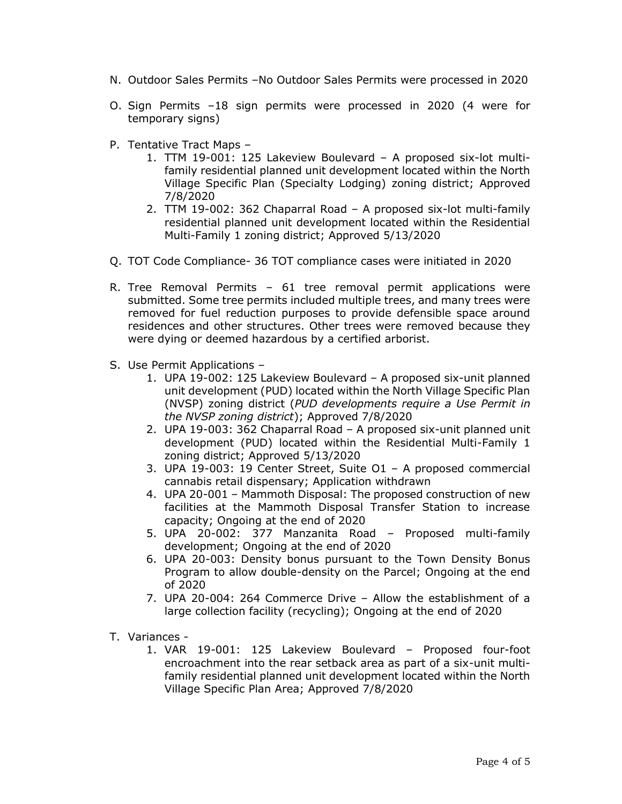- N. Outdoor Sales Permits –No Outdoor Sales Permits were processed in 2020
- O. Sign Permits –18 sign permits were processed in 2020 (4 were for temporary signs)
- P. Tentative Tract Maps
	- 1. TTM 19-001: 125 Lakeview Boulevard A proposed six-lot multifamily residential planned unit development located within the North Village Specific Plan (Specialty Lodging) zoning district; Approved 7/8/2020
	- 2. TTM 19-002: 362 Chaparral Road A proposed six-lot multi-family residential planned unit development located within the Residential Multi-Family 1 zoning district; Approved 5/13/2020
- Q. TOT Code Compliance- 36 TOT compliance cases were initiated in 2020
- R. Tree Removal Permits 61 tree removal permit applications were submitted. Some tree permits included multiple trees, and many trees were removed for fuel reduction purposes to provide defensible space around residences and other structures. Other trees were removed because they were dying or deemed hazardous by a certified arborist.
- S. Use Permit Applications
	- 1. UPA 19-002: 125 Lakeview Boulevard A proposed six-unit planned unit development (PUD) located within the North Village Specific Plan (NVSP) zoning district (*PUD developments require a Use Permit in the NVSP zoning district*); Approved 7/8/2020
	- 2. UPA 19-003: 362 Chaparral Road A proposed six-unit planned unit development (PUD) located within the Residential Multi-Family 1 zoning district; Approved 5/13/2020
	- 3. UPA 19-003: 19 Center Street, Suite O1 A proposed commercial cannabis retail dispensary; Application withdrawn
	- 4. UPA 20-001 Mammoth Disposal: The proposed construction of new facilities at the Mammoth Disposal Transfer Station to increase capacity; Ongoing at the end of 2020
	- 5. UPA 20-002: 377 Manzanita Road Proposed multi-family development; Ongoing at the end of 2020
	- 6. UPA 20-003: Density bonus pursuant to the Town Density Bonus Program to allow double-density on the Parcel; Ongoing at the end of 2020
	- 7. UPA 20-004: 264 Commerce Drive Allow the establishment of a large collection facility (recycling); Ongoing at the end of 2020
- T. Variances
	- 1. VAR 19-001: 125 Lakeview Boulevard Proposed four-foot encroachment into the rear setback area as part of a six-unit multifamily residential planned unit development located within the North Village Specific Plan Area; Approved 7/8/2020